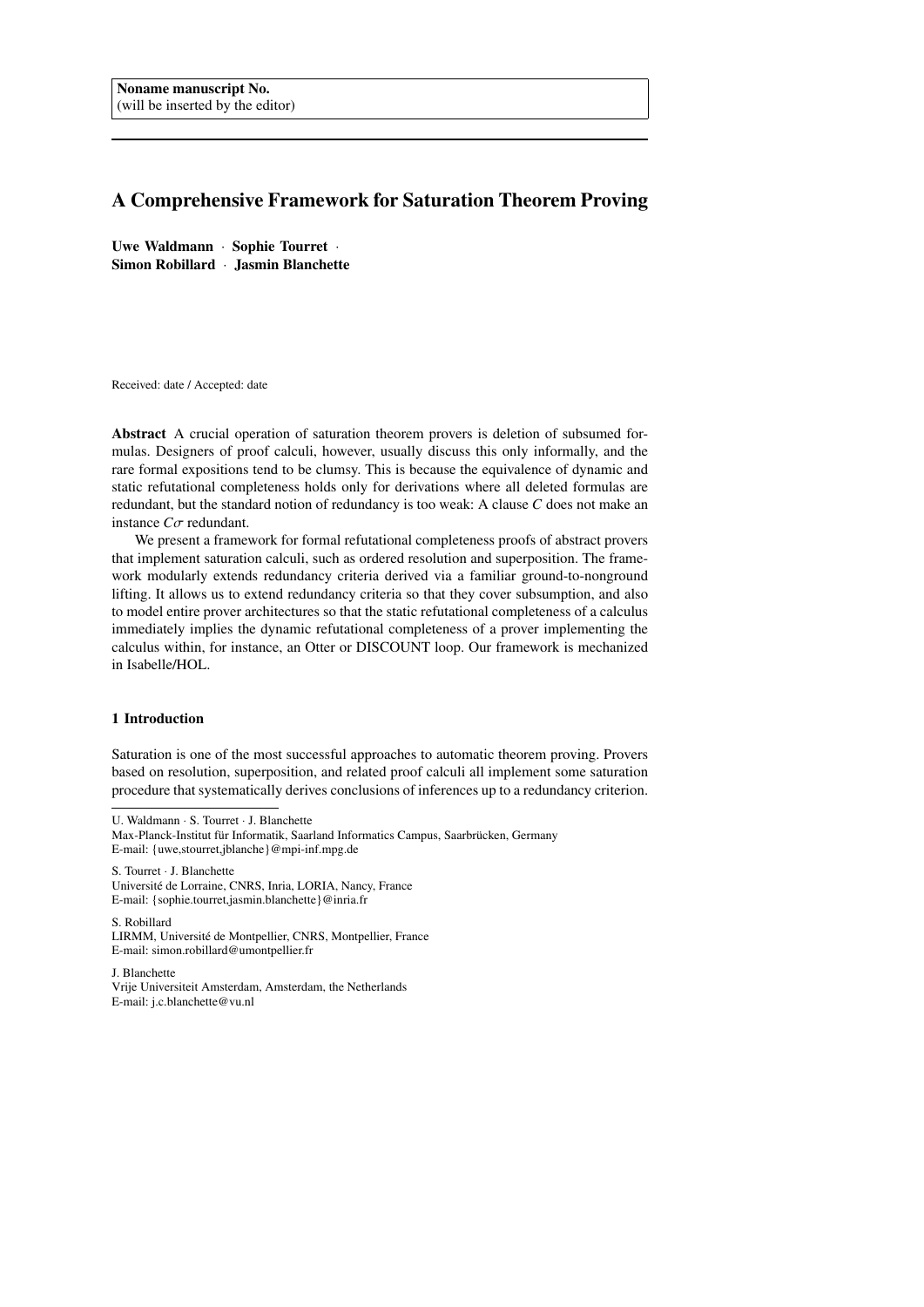# A Comprehensive Framework for Saturation Theorem Proving

Uwe Waldmann · Sophie Tourret · Simon Robillard · Jasmin Blanchette

Received: date / Accepted: date

Abstract A crucial operation of saturation theorem provers is deletion of subsumed formulas. Designers of proof calculi, however, usually discuss this only informally, and the rare formal expositions tend to be clumsy. This is because the equivalence of dynamic and static refutational completeness holds only for derivations where all deleted formulas are redundant, but the standard notion of redundancy is too weak: A clause *C* does not make an instance *<sup>C</sup>*σ redundant.

We present a framework for formal refutational completeness proofs of abstract provers that implement saturation calculi, such as ordered resolution and superposition. The framework modularly extends redundancy criteria derived via a familiar ground-to-nonground lifting. It allows us to extend redundancy criteria so that they cover subsumption, and also to model entire prover architectures so that the static refutational completeness of a calculus immediately implies the dynamic refutational completeness of a prover implementing the calculus within, for instance, an Otter or DISCOUNT loop. Our framework is mechanized in Isabelle/HOL.

### 1 Introduction

Saturation is one of the most successful approaches to automatic theorem proving. Provers based on resolution, superposition, and related proof calculi all implement some saturation procedure that systematically derives conclusions of inferences up to a redundancy criterion.

U. Waldmann · S. Tourret · J. Blanchette

S. Tourret · J. Blanchette

Université de Lorraine, CNRS, Inria, LORIA, Nancy, France E-mail: {sophie.tourret,jasmin.blanchette}@inria.fr

S. Robillard

LIRMM, Université de Montpellier, CNRS, Montpellier, France E-mail: simon.robillard@umontpellier.fr

J. Blanchette Vrije Universiteit Amsterdam, Amsterdam, the Netherlands E-mail: j.c.blanchette@vu.nl

Max-Planck-Institut für Informatik, Saarland Informatics Campus, Saarbrücken, Germany E-mail: {uwe,stourret,jblanche}@mpi-inf.mpg.de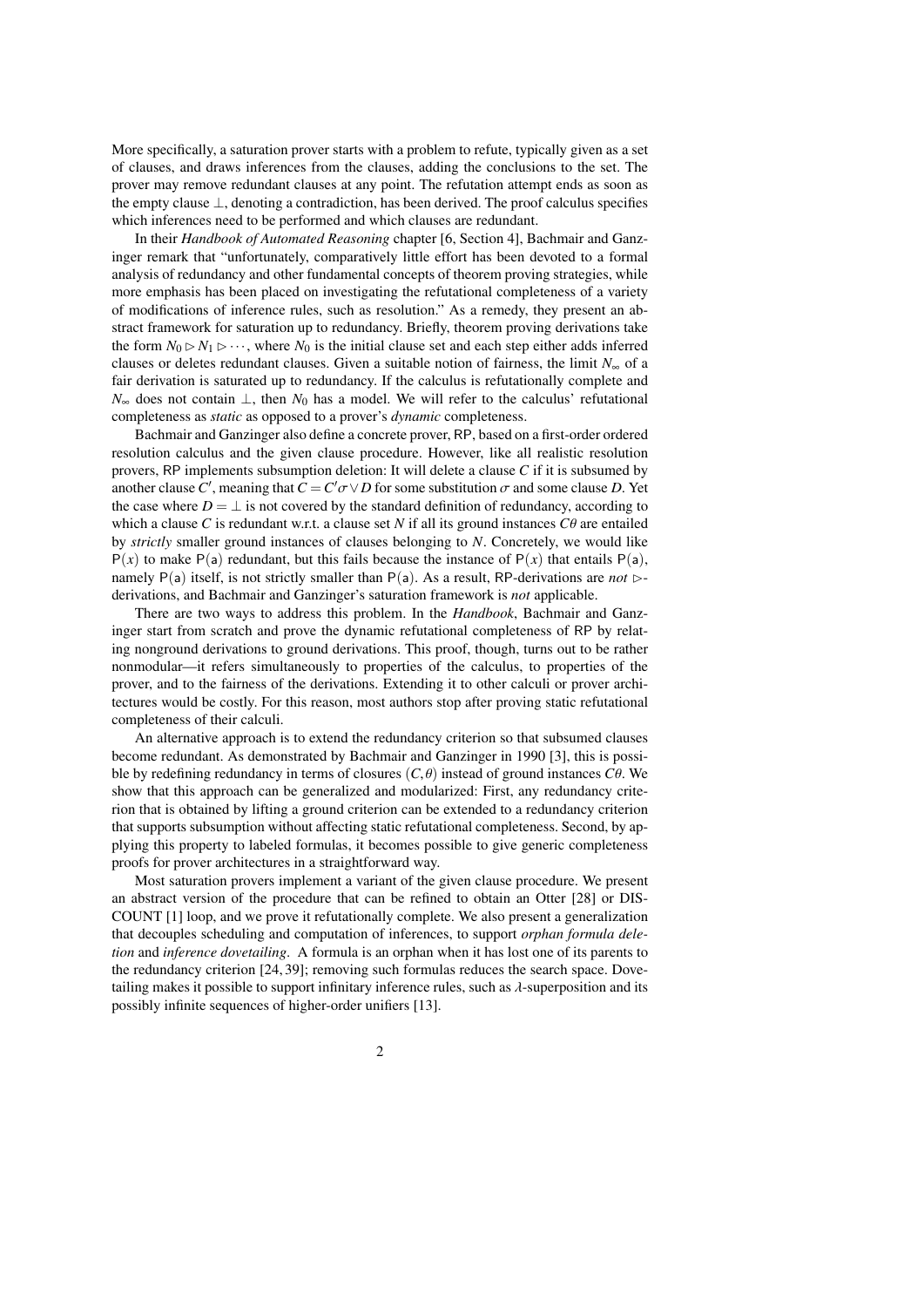More specifically, a saturation prover starts with a problem to refute, typically given as a set of clauses, and draws inferences from the clauses, adding the conclusions to the set. The prover may remove redundant clauses at any point. The refutation attempt ends as soon as the empty clause ⊥, denoting a contradiction, has been derived. The proof calculus specifies which inferences need to be performed and which clauses are redundant.

In their *Handbook of Automated Reasoning* chapter [\[6,](#page-38-0) Section 4], Bachmair and Ganzinger remark that "unfortunately, comparatively little effort has been devoted to a formal analysis of redundancy and other fundamental concepts of theorem proving strategies, while more emphasis has been placed on investigating the refutational completeness of a variety of modifications of inference rules, such as resolution." As a remedy, they present an abstract framework for saturation up to redundancy. Briefly, theorem proving derivations take the form  $N_0 \triangleright N_1 \triangleright \cdots$ , where  $N_0$  is the initial clause set and each step either adds inferred clauses or deletes redundant clauses. Given a suitable notion of fairness, the limit *N*<sup>∞</sup> of a fair derivation is saturated up to redundancy. If the calculus is refutationally complete and *N*∞ does not contain  $\bot$ , then *N*<sub>0</sub> has a model. We will refer to the calculus' refutational completeness as *static* as opposed to a prover's *dynamic* completeness.

Bachmair and Ganzinger also define a concrete prover, RP, based on a first-order ordered resolution calculus and the given clause procedure. However, like all realistic resolution provers, RP implements subsumption deletion: It will delete a clause *C* if it is subsumed by another clause *C'*, meaning that  $C = C' \sigma \vee D$  for some substitution  $\sigma$  and some clause *D*. Yet the case where  $D = \perp$  is not covered by the standard definition of redundancy, according to which a clause *C* is redundant w.r.t. a clause set *N* if all its ground instances  $C\theta$  are entailed by *strictly* smaller ground instances of clauses belonging to *N*. Concretely, we would like  $P(x)$  to make P(a) redundant, but this fails because the instance of  $P(x)$  that entails P(a), namely  $P(a)$  itself, is not strictly smaller than  $P(a)$ . As a result, RP-derivations are *not*  $\triangleright$ derivations, and Bachmair and Ganzinger's saturation framework is *not* applicable.

There are two ways to address this problem. In the *Handbook*, Bachmair and Ganzinger start from scratch and prove the dynamic refutational completeness of RP by relating nonground derivations to ground derivations. This proof, though, turns out to be rather nonmodular—it refers simultaneously to properties of the calculus, to properties of the prover, and to the fairness of the derivations. Extending it to other calculi or prover architectures would be costly. For this reason, most authors stop after proving static refutational completeness of their calculi.

An alternative approach is to extend the redundancy criterion so that subsumed clauses become redundant. As demonstrated by Bachmair and Ganzinger in 1990 [\[3\]](#page-38-1), this is possible by redefining redundancy in terms of closures (*C*, θ) instead of ground instances *<sup>C</sup>*θ. We show that this approach can be generalized and modularized: First, any redundancy criterion that is obtained by lifting a ground criterion can be extended to a redundancy criterion that supports subsumption without affecting static refutational completeness. Second, by applying this property to labeled formulas, it becomes possible to give generic completeness proofs for prover architectures in a straightforward way.

Most saturation provers implement a variant of the given clause procedure. We present an abstract version of the procedure that can be refined to obtain an Otter [\[28\]](#page-39-0) or DIS-COUNT [\[1\]](#page-38-2) loop, and we prove it refutationally complete. We also present a generalization that decouples scheduling and computation of inferences, to support *orphan formula deletion* and *inference dovetailing*. A formula is an orphan when it has lost one of its parents to the redundancy criterion [\[24,](#page-38-3) [39\]](#page-39-1); removing such formulas reduces the search space. Dovetailing makes it possible to support infinitary inference rules, such as λ-superposition and its possibly infinite sequences of higher-order unifiers [\[13\]](#page-38-4).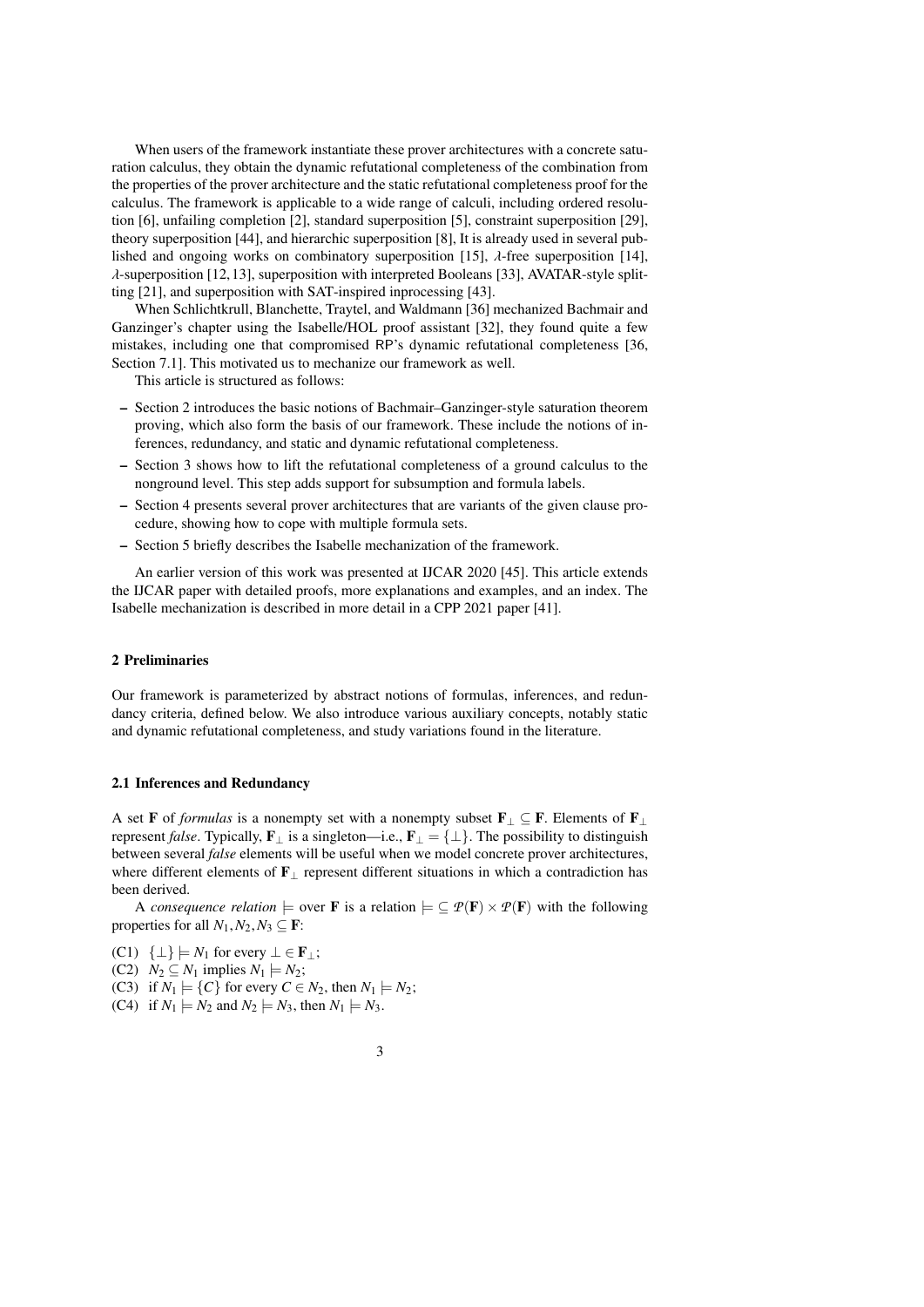When users of the framework instantiate these prover architectures with a concrete saturation calculus, they obtain the dynamic refutational completeness of the combination from the properties of the prover architecture and the static refutational completeness proof for the calculus. The framework is applicable to a wide range of calculi, including ordered resolution [\[6\]](#page-38-0), unfailing completion [\[2\]](#page-38-5), standard superposition [\[5\]](#page-38-6), constraint superposition [\[29\]](#page-39-2), theory superposition [\[44\]](#page-39-3), and hierarchic superposition [\[8\]](#page-38-7), It is already used in several pub-lished and ongoing works on combinatory superposition [\[15\]](#page-38-8),  $\lambda$ -free superposition [\[14\]](#page-38-9),  $\lambda$ -superposition [\[12,](#page-38-10) [13\]](#page-38-4), superposition with interpreted Booleans [\[33\]](#page-39-4), AVATAR-style splitting [\[21\]](#page-38-11), and superposition with SAT-inspired inprocessing [\[43\]](#page-39-5).

When Schlichtkrull, Blanchette, Traytel, and Waldmann [\[36\]](#page-39-6) mechanized Bachmair and Ganzinger's chapter using the Isabelle/HOL proof assistant [\[32\]](#page-39-7), they found quite a few mistakes, including one that compromised RP's dynamic refutational completeness [\[36,](#page-39-6) Section 7.1]. This motivated us to mechanize our framework as well.

This article is structured as follows:

- Section [2](#page-2-0) introduces the basic notions of Bachmair–Ganzinger-style saturation theorem proving, which also form the basis of our framework. These include the notions of inferences, redundancy, and static and dynamic refutational completeness.
- Section [3](#page-12-0) shows how to lift the refutational completeness of a ground calculus to the nonground level. This step adds support for subsumption and formula labels.
- Section [4](#page-23-0) presents several prover architectures that are variants of the given clause procedure, showing how to cope with multiple formula sets.
- Section [5](#page-35-0) briefly describes the Isabelle mechanization of the framework.

An earlier version of this work was presented at IJCAR 2020 [\[45\]](#page-39-8). This article extends the IJCAR paper with detailed proofs, more explanations and examples, and an index. The Isabelle mechanization is described in more detail in a CPP 2021 paper [\[41\]](#page-39-9).

### <span id="page-2-0"></span>2 Preliminaries

Our framework is parameterized by abstract notions of formulas, inferences, and redundancy criteria, defined below. We also introduce various auxiliary concepts, notably static and dynamic refutational completeness, and study variations found in the literature.

### <span id="page-2-1"></span>2.1 Inferences and Redundancy

A set **F** of *formulas* is a nonempty set with a nonempty subset  $\mathbf{F}_{\perp} \subseteq \mathbf{F}$ . Elements of  $\mathbf{F}_{\perp}$ represent *false*. Typically,  $\mathbf{F}_{\perp}$  is a singleton—i.e.,  $\mathbf{F}_{\perp} = {\perp}$ . The possibility to distinguish between several *false* elements will be useful when we model concrete prover architectures, where different elements of F<sup>⊥</sup> represent different situations in which a contradiction has been derived.

A *consequence relation*  $\models$  over **F** is a relation  $\models \subseteq \mathcal{P}(\mathbf{F}) \times \mathcal{P}(\mathbf{F})$  with the following properties for all  $N_1, N_2, N_3 \subseteq \mathbf{F}$ :

- <span id="page-2-3"></span>(C1)  $\{\perp\} \models N_1$  for every  $\perp \in \mathbf{F}_\perp$ ;
- (C2)  $N_2 \subseteq N_1$  implies  $N_1 \models N_2$ ;
- <span id="page-2-4"></span>(C3) if  $N_1 \models \{C\}$  for every  $C \in N_2$ , then  $N_1 \models N_2$ ;
- <span id="page-2-2"></span>(C4) if  $N_1 \models N_2$  and  $N_2 \models N_3$ , then  $N_1 \models N_3$ .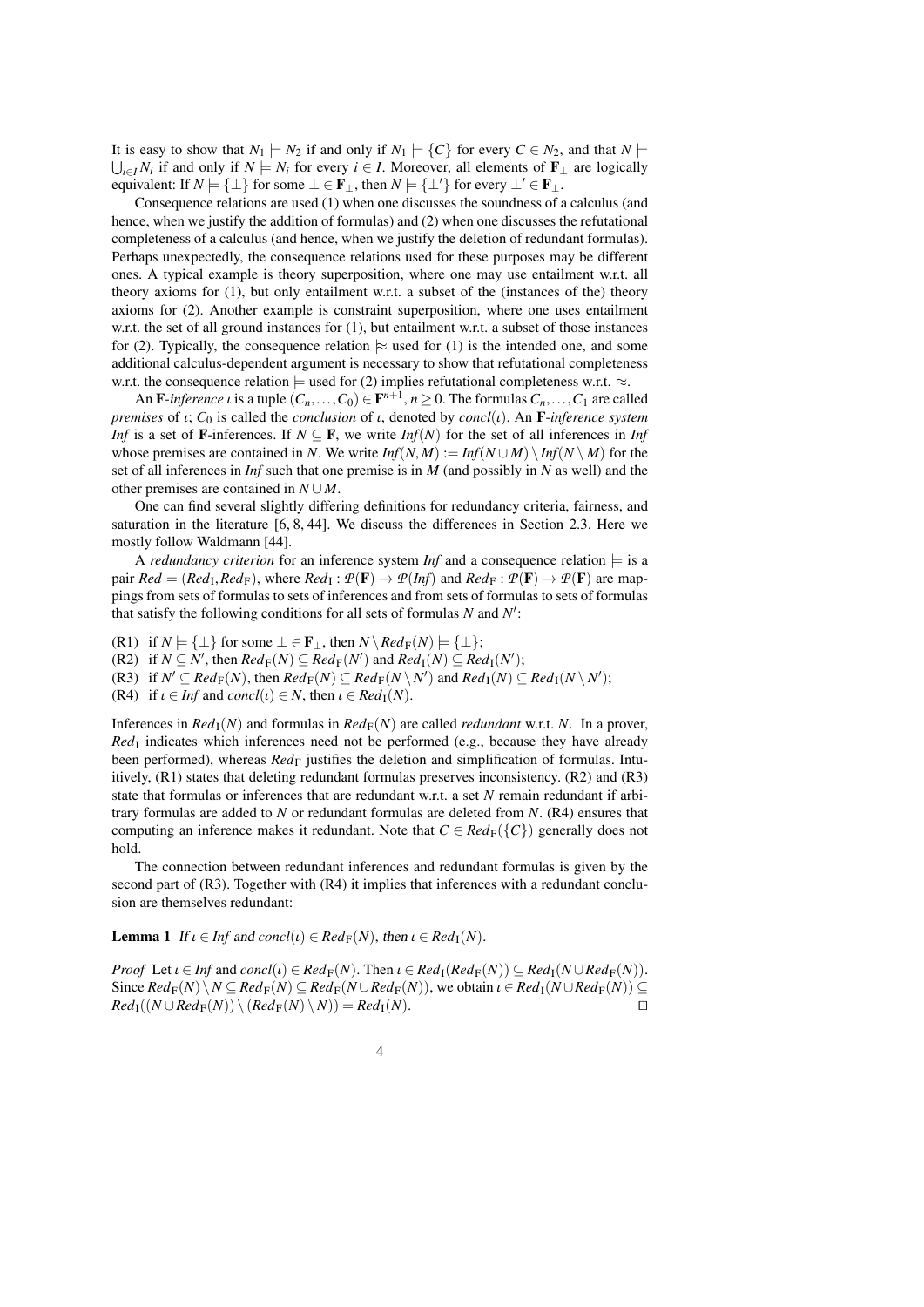It is easy to show that  $N_1 \models N_2$  if and only if  $N_1 \models \{C\}$  for every  $C \in N_2$ , and that  $N \models$  $\bigcup_{i \in I} N_i$  if and only if  $N \models N_i$  for every  $i \in I$ . Moreover, all elements of **F**<sub>⊥</sub> are logically equivalent: If  $N \models {\perp}$  for some  $\bot \in \mathbf{F}_{\perp}$ , then  $N \models {\perp'}$  for every  $\bot' \in \mathbf{F}_{\perp}$ .

Consequence relations are used (1) when one discusses the soundness of a calculus (and hence, when we justify the addition of formulas) and (2) when one discusses the refutational completeness of a calculus (and hence, when we justify the deletion of redundant formulas). Perhaps unexpectedly, the consequence relations used for these purposes may be different ones. A typical example is theory superposition, where one may use entailment w.r.t. all theory axioms for (1), but only entailment w.r.t. a subset of the (instances of the) theory axioms for (2). Another example is constraint superposition, where one uses entailment w.r.t. the set of all ground instances for (1), but entailment w.r.t. a subset of those instances for (2). Typically, the consequence relation  $\approx$  used for (1) is the intended one, and some additional calculus-dependent argument is necessary to show that refutational completeness w.r.t. the consequence relation  $\models$  used for (2) implies refutational completeness w.r.t.  $\models$ .

An F-inference *i* is a tuple  $(C_n, \ldots, C_0) \in \mathbf{F}^{n+1}$ ,  $n \ge 0$ . The formulas  $C_n, \ldots, C_1$  are called<br>nises of *t*:  $C_0$  is called the *conclusion* of *t* denoted by *concl(t)*. An E-inference system *premises* of <sup>ι</sup>; *<sup>C</sup>*<sup>0</sup> is called the *conclusion* of <sup>ι</sup>, denoted by *concl*(ι). An <sup>F</sup>-*inference system Inf* is a set of **F**-inferences. If  $N \subseteq \mathbf{F}$ , we write *Inf(N)* for the set of all inferences in *Inf* whose premises are contained in *N*. We write  $Inf(N,M) := Inf(N \cup M) \setminus Inf(N \setminus M)$  for the set of all inferences in *Inf* such that one premise is in *M* (and possibly in *N* as well) and the other premises are contained in *N* ∪ *M*.

One can find several slightly differing definitions for redundancy criteria, fairness, and saturation in the literature [\[6,](#page-38-0) [8,](#page-38-7) [44\]](#page-39-3). We discuss the differences in Section [2.3.](#page-7-0) Here we mostly follow Waldmann [\[44\]](#page-39-3).

A *redundancy criterion* for an inference system *Inf* and a consequence relation  $\models$  is a pair  $Red = (Red_{I}, Red_{F})$ , where  $Red_{I}: \mathcal{P}(F) \to \mathcal{P}(Inf)$  and  $Red_{F}: \mathcal{P}(F) \to \mathcal{P}(F)$  are map-<br>pings from sets of formulas to sets of inferences and from sets of formulas to sets of formulas pings from sets of formulas to sets of inferences and from sets of formulas to sets of formulas that satisfy the following conditions for all sets of formulas *N* and *N'*:

<span id="page-3-1"></span>(R1) if  $N \models {\perp}$  for some  $\bot \in \mathbf{F}_{\perp}$ , then  $N \setminus Red_F(N) \models {\perp};$ 

(R2) if  $N \subseteq N'$ , then  $Red_F(N) \subseteq Red_F(N')$  and  $Red_I(N) \subseteq Red_I(N')$ ;

(R3) if  $N' \subseteq Red_F(N)$ , then  $Red_F(N) \subseteq Red_F(N \setminus N')$  and  $Red_I(N) \subseteq Red_I(N \setminus N')$ ;

<span id="page-3-2"></span>(R4) if  $\iota \in \text{Inf}$  and  $\text{concl}(\iota) \in N$ , then  $\iota \in \text{Red}_{\mathbb{I}}(N)$ .

Inferences in  $Red_{\rm I}(N)$  and formulas in  $Red_{\rm F}(N)$  are called *redundant* w.r.t. N. In a prover, Red<sub>I</sub> indicates which inferences need not be performed (e.g., because they have already been performed), whereas *Red*<sub>F</sub> justifies the deletion and simplification of formulas. Intuitively, (R1) states that deleting redundant formulas preserves inconsistency. (R2) and (R3) state that formulas or inferences that are redundant w.r.t. a set *N* remain redundant if arbitrary formulas are added to *N* or redundant formulas are deleted from *N*. (R4) ensures that computing an inference makes it redundant. Note that  $C \in Red_F({C})$  generally does not hold.

The connection between redundant inferences and redundant formulas is given by the second part of  $(R3)$ . Together with  $(R4)$  it implies that inferences with a redundant conclusion are themselves redundant:

<span id="page-3-0"></span>**Lemma 1** If  $\iota \in \text{Inf}$  and  $\text{concl}(\iota) \in \text{Red}_{F}(N)$ , then  $\iota \in \text{Red}_{F}(N)$ .

*Proof* Let  $\iota \in \text{Inf}$  and  $\text{concl}(\iota) \in \text{Red}_{\text{F}}(N)$ . Then  $\iota \in \text{Red}_{\text{F}}(\text{Red}_{\text{F}}(N)) \subseteq \text{Red}_{\text{F}}(N \cup \text{Red}_{\text{F}}(N))$ . Since  $Red_{\mathbb{F}}(N)\setminus N \subseteq Red_{\mathbb{F}}(N) \subseteq Red_{\mathbb{F}}(N\cup Red_{\mathbb{F}}(N))$ , we obtain  $\iota \in Red_{\mathbb{I}}(N\cup Red_{\mathbb{F}}(N)) \subseteq Red_{\mathbb{F}}(N\cup N \cup Red_{\mathbb{F}}(N))\setminus (Red_{\mathbb{F}}(N)\setminus N) = Red_{\mathbb{F}}(N)$  $Red_{\mathbb{F}}((N \cup Red_{\mathbb{F}}(N)) \setminus (Red_{\mathbb{F}}(N) \setminus N)) = Red_{\mathbb{F}}(N).$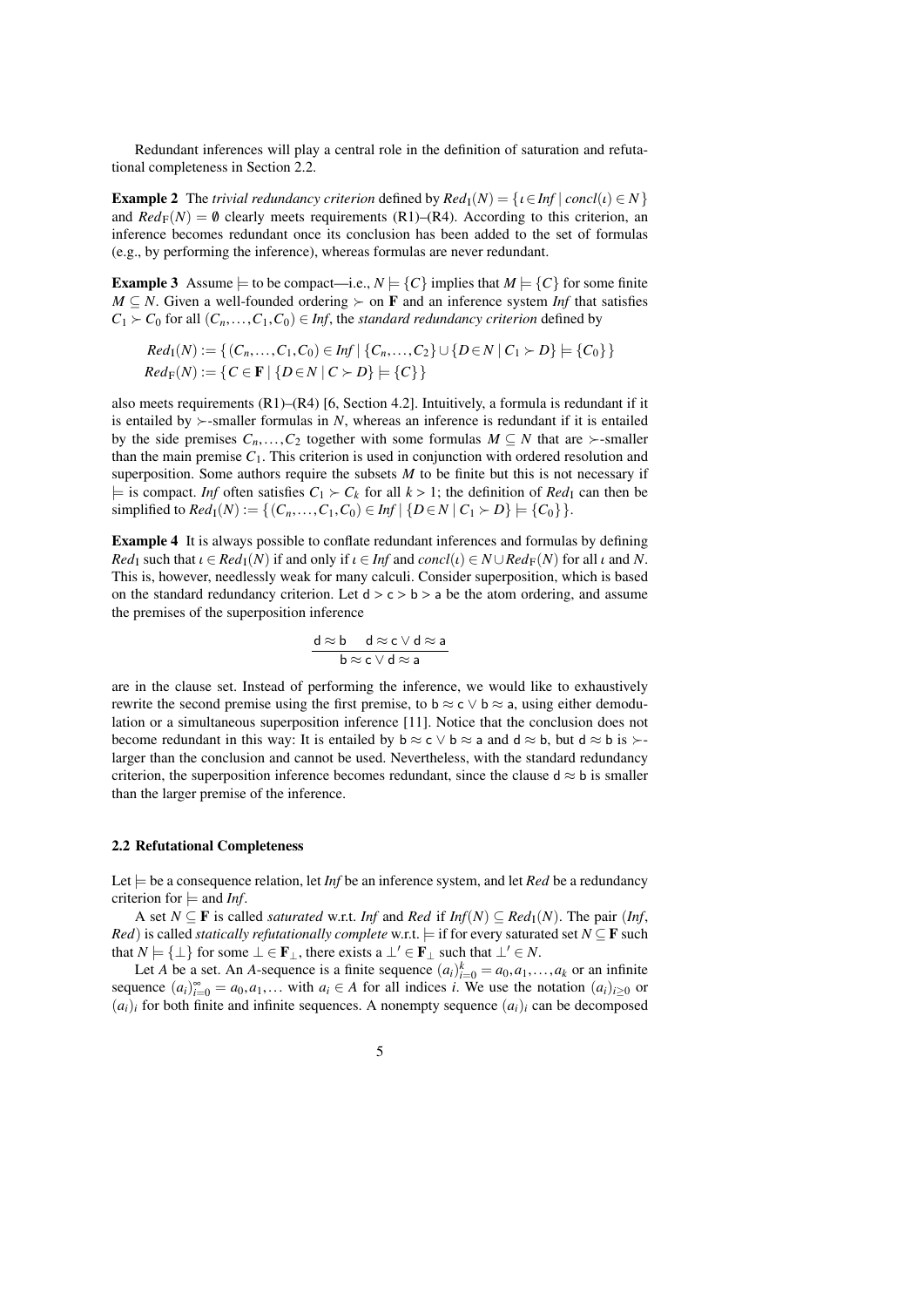Redundant inferences will play a central role in the definition of saturation and refutational completeness in Section [2.2.](#page-4-0)

<span id="page-4-1"></span>**Example 2** The *trivial redundancy criterion* defined by  $Red<sub>1</sub>(N) = \{ \iota \in Inf \mid conc(l) \in N \}$ and  $Red_F(N) = \emptyset$  clearly meets requirements (R1)–(R4). According to this criterion, an inference becomes redundant once its conclusion has been added to the set of formulas (e.g., by performing the inference), whereas formulas are never redundant.

<span id="page-4-2"></span>**Example 3** Assume  $\models$  to be compact—i.e.,  $N \models \{C\}$  implies that  $M \models \{C\}$  for some finite *M* ⊆ *N*. Given a well-founded ordering  $\succ$  on **F** and an inference system *Inf* that satisfies  $C_1 \succ C_0$  for all  $(C_n, \ldots, C_1, C_0) \in \text{Inf}$ , the *standard redundancy criterion* defined by

$$
Red_{I}(N) := \{ (C_n, ..., C_1, C_0) \in Inf \mid \{C_n, ..., C_2\} \cup \{D \in N \mid C_1 \succ D\} \models \{C_0\} \}
$$
  

$$
Red_{F}(N) := \{ C \in \mathbf{F} \mid \{D \in N \mid C \succ D\} \models \{C\} \}
$$

also meets requirements (R1)–(R4) [\[6,](#page-38-0) Section 4.2]. Intuitively, a formula is redundant if it is entailed by  $\succ$ -smaller formulas in *N*, whereas an inference is redundant if it is entailed by the side premises  $C_n$ ,..., $C_2$  together with some formulas  $M \subseteq N$  that are  $\succ$ -smaller than the main premise  $C_1$ . This criterion is used in conjunction with ordered resolution and superposition. Some authors require the subsets  $M$  to be finite but this is not necessary if  $\models$  is compact. *Inf* often satisfies  $C_1 \succ C_k$  for all  $k > 1$ ; the definition of  $Red_1$  can then be simplified to  $Red_1(N) := \{ (C_n, ..., C_1, C_0) \in Inf \mid \{ D \in N \mid C_1 \succ D \} \models \{ C_0 \} \}.$ 

Example 4 It is always possible to conflate redundant inferences and formulas by defining *Red*<sub>I</sub> such that  $\iota \in Red_1(N)$  if and only if  $\iota \in Inf$  and  $concl(\iota) \in N \cup Red_F(N)$  for all  $\iota$  and  $N$ . This is, however, needlessly weak for many calculi. Consider superposition, which is based on the standard redundancy criterion. Let  $d > c > b > a$  be the atom ordering, and assume the premises of the superposition inference

$$
\frac{\mathbf{d} \approx \mathbf{b} \quad \mathbf{d} \approx \mathbf{c} \lor \mathbf{d} \approx \mathbf{a}}{\mathbf{b} \approx \mathbf{c} \lor \mathbf{d} \approx \mathbf{a}}
$$

are in the clause set. Instead of performing the inference, we would like to exhaustively rewrite the second premise using the first premise, to b  $\approx$  c  $\lor$  b  $\approx$  a, using either demodulation or a simultaneous superposition inference [\[11\]](#page-38-12). Notice that the conclusion does not become redundant in this way: It is entailed by  $b \approx c \vee b \approx a$  and  $d \approx b$ , but  $d \approx b$  is  $\succ$ larger than the conclusion and cannot be used. Nevertheless, with the standard redundancy criterion, the superposition inference becomes redundant, since the clause  $d \approx b$  is smaller than the larger premise of the inference.

### <span id="page-4-0"></span>2.2 Refutational Completeness

Let  $\models$  be a consequence relation, let *Inf* be an inference system, and let *Red* be a redundancy criterion for  $\models$  and *Inf*.

A set *N* ⊆ **F** is called *saturated* w.r.t. *Inf* and *Red* if *Inf*(*N*) ⊆ *Red*<sub>I</sub>(*N*). The pair (*Inf*, *Red*) is called *statically refutationally complete* w.r.t.  $\models$  if for every saturated set *N*  $\subseteq$  **F** such that  $N \models {\perp}$  for some  $\bot \in \mathbf{F}_{\perp}$ , there exists a  $\bot' \in \mathbf{F}_{\perp}$  such that  $\bot' \in N$ .

Let *A* be a set. An *A*-sequence is a finite sequence  $(a_i)_{i=0}^k = a_0, a_1, \ldots, a_k$  or an infinite sequence  $(a_i)_{i=0}^{\infty} = a_0, a_1, \ldots, a_k$  or an infinite sequence  $(a_i)_{i=0}^{\infty} = a_0, a_1, \ldots$  with  $a_i \in A$  for all indices *i*. We use the notation  $(a_i)_{i\geq 0}$  or  $(a_i)$ , for both finite and infinite sequences. A poperative sequence  $(a_i)$ , can be decomposed  $(a_i)_i$  for both finite and infinite sequences. A nonempty sequence  $(a_i)_i$  can be decomposed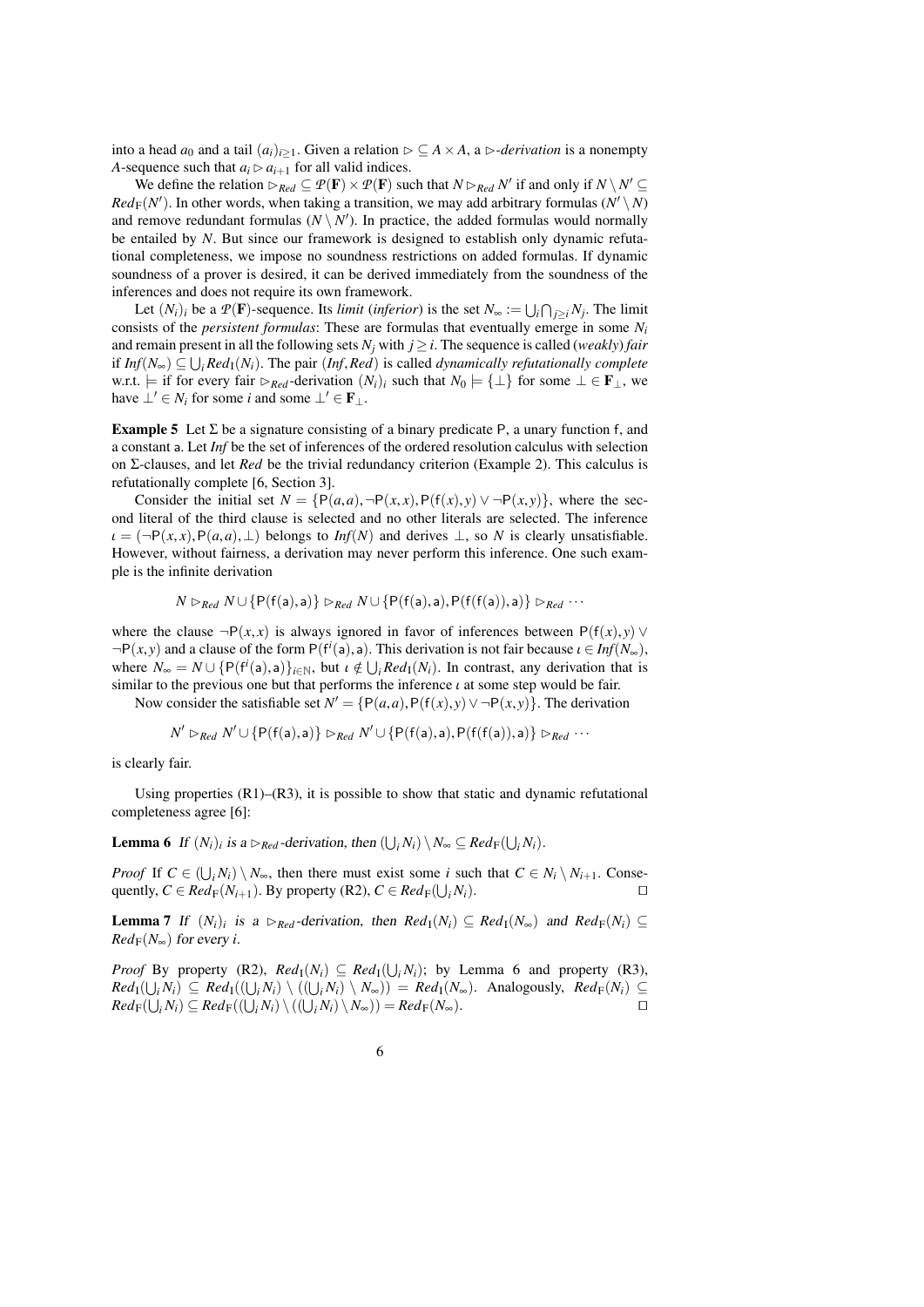into a head  $a_0$  and a tail  $(a_i)_{i\geq 1}$ . Given a relation  $\rhd \subseteq A \times A$ , a  $\rhd$ -*derivation* is a nonempty *A*-sequence such that  $a_i \triangleright a_{i+1}$  for all valid indices.

We define the relation  $\triangleright_{Red} \subseteq \mathcal{P}(\mathbf{F}) \times \mathcal{P}(\mathbf{F})$  such that  $N \triangleright_{Red} N'$  if and only if  $N \setminus N' \subseteq$  $Red_F(N')$ . In other words, when taking a transition, we may add arbitrary formulas ( $N' \setminus N$ ) and remove redundant formulas  $(N \setminus N')$ . In practice, the added formulas would normally be entailed by *N*. But since our framework is designed to establish only dynamic refutational completeness, we impose no soundness restrictions on added formulas. If dynamic soundness of a prover is desired, it can be derived immediately from the soundness of the inferences and does not require its own framework.

Let  $(N_i)_i$  be a  $P(\mathbf{F})$ -sequence. Its *limit (inferior)* is the set  $N_\infty := \bigcup_i \bigcap_{j \geq i} N_j$ . The limit consists of the *persistent formulas*: These are formulas that eventually emerge in some *N<sup>i</sup>* and remain present in all the following sets  $N_j$  with  $j \geq i$ . The sequence is called (*weakly*) *fair if Inf*( $N_{\infty}$ ) ⊆  $\bigcup_i Red_1(N_i)$ . The pair (*Inf,Red*) is called *dynamically refutationally complete*<br>w.r.t.  $\vdash$  *if for every fair*  $\triangleright_{\mathbb{R}}$ , *derivation* (*N*·), such that  $N_0 \vdash f \downarrow$  for some  $\vdash \in \mathbf{F}$ , w.r.t.  $\models$  if for every fair  $\triangleright_{Red}$ -derivation  $(N_i)_i$  such that  $N_0 \models {\bot}$  for some ⊥ ∈ **F**<sub>⊥</sub>, we have  $\perp' \in N_i$  for some *i* and some  $\perp' \in \mathbf{F}_\perp$ .

**Example 5** Let  $\Sigma$  be a signature consisting of a binary predicate P, a unary function f, and a constant a. Let *Inf* be the set of inferences of the ordered resolution calculus with selection on Σ-clauses, and let *Red* be the trivial redundancy criterion (Example [2\)](#page-4-1). This calculus is refutationally complete [\[6,](#page-38-0) Section 3].

Consider the initial set  $N = \{P(a,a), \neg P(x,x), P(f(x), y) \lor \neg P(x,y)\}$ , where the second literal of the third clause is selected and no other literals are selected. The inference  $\iota = (\neg P(x, x), P(a, a), \bot)$  belongs to *Inf(N)* and derives  $\bot$ , so *N* is clearly unsatisfiable. However, without fairness, a derivation may never perform this inference. One such example is the infinite derivation

$$
N \rhd_{Red} N \cup \{P(f(a),a)\} \rhd_{Red} N \cup \{P(f(a),a),P(f(f(a)),a)\} \rhd_{Red} \cdots
$$

where the clause  $\neg P(x, x)$  is always ignored in favor of inferences between  $P(f(x), y)$  $\neg P(x, y)$  and a clause of the form  $P(f^i(a), a)$ . This derivation is not fair because  $\iota \in Inf(N_{\infty})$ ,<br>where  $N = N + I P(f^i(a), a)$ , but  $\iota \notin I + Red(\Lambda)$ . In contrast, any derivation that is where  $N_{\infty} = N \cup \{P(f^i(a), a)\}_{i \in \mathbb{N}}$ , but  $\iota \notin \bigcup_i Red_1(N_i)$ . In contrast, any derivation that is similar to the previous one but that performs the inference  $\iota$  at some step would be fair similar to the previous one but that performs the inference  $\iota$  at some step would be fair.

Now consider the satisfiable set  $N' = \{P(a, a), P(f(x), y) \lor \neg P(x, y)\}$ . The derivation

$$
N' \rhd_{Red} N' \cup \{P(f(a),a)\} \rhd_{Red} N' \cup \{P(f(a),a),P(f(f(a)),a)\} \rhd_{Red} \cdots
$$

is clearly fair.

Using properties  $(R1)$ – $(R3)$ , it is possible to show that static and dynamic refutational completeness agree [\[6\]](#page-38-0):

<span id="page-5-0"></span>**Lemma 6** If  $(N_i)_i$  is a  $\triangleright_{Red}$ -derivation, then  $(\bigcup_i N_i) \setminus N_\infty \subseteq Red_F(\bigcup_i N_i)$ .

*Proof* If  $C \in (\bigcup_i N_i) \setminus N_\infty$ , then there must exist some *i* such that  $C \in N_i \setminus N_{i+1}$ . Consequently,  $C \in Red_F(N_{i+1})$ . By property (R2),  $C \in Red_F(\bigcup_i N_i)$ .

<span id="page-5-1"></span>**Lemma 7** If  $(N_i)_i$  is a  $\triangleright_{Red}$ -derivation, then  $Red_{\mathbb{I}}(N_i) \subseteq Red_{\mathbb{I}}(N_{\infty})$  and  $Red_{\mathbb{F}}(N_i) \subseteq$  $Red_{\mathbb{F}}(N_{\infty})$  for every *i*.

*Proof* By property (R2),  $Red_I(N_i) \subseteq Red_I(\bigcup_i N_i)$ ; by Lemma [6](#page-5-0) and property (R3),  $Red_{I}(\bigcup_{i} N_{i}) \subseteq Red_{I}((\bigcup_{i} N_{i}) \setminus ((\bigcup_{i} N_{i}) \setminus N_{\infty})) = Red_{I}(N_{\infty})$ . Analogously,  $Red_{F}(N_{i}) \subseteq$  $Red_{\mathbb{F}}(\bigcup_i N_i) \subseteq Red_{\mathbb{F}}((\bigcup_i N_i) \setminus ((\bigcup_i N_i) \setminus N_{\infty})) = Red_{\mathbb{F}}(N_{\infty}).$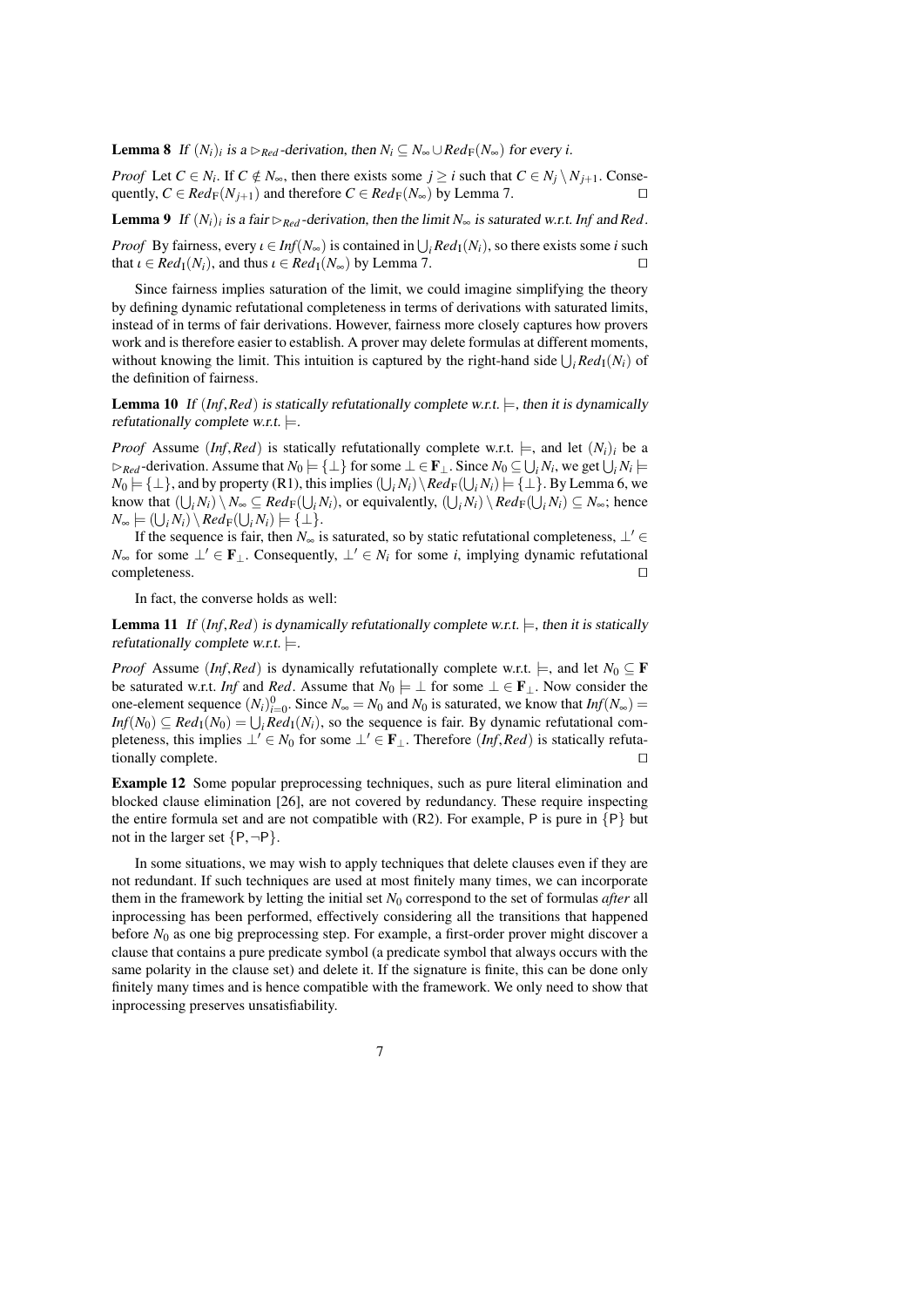**Lemma 8** If  $(N_i)_i$  is a  $\triangleright_{Red}$ -derivation, then  $N_i \subseteq N_\infty \cup Red_F(N_\infty)$  for every *i*.

*Proof* Let  $C \in N_i$ . If  $C \notin N_{\infty}$ , then there exists some  $j \ge i$  such that  $C \in N_j \setminus N_{j+1}$ . Conse-<br>quently  $C \subseteq Red_{\Sigma}(N_{\infty})$  and therefore  $C \subseteq Red_{\Sigma}(N_{\infty})$  by Lemma 7 quently,  $C \in Red_F(N_{j+1})$  and therefore  $C \in Red_F(N_{\infty})$  by Lemma [7.](#page-5-1)

<span id="page-6-1"></span>**Lemma 9** If  $(N_i)$  is a fair  $\triangleright_{Red}$ -derivation, then the limit  $N_\infty$  is saturated w.r.t. Inf and Red.

*Proof* By fairness, every  $\iota \in Inf(N_{\infty})$  is contained in  $\bigcup_i Red_1(N_i)$ , so there exists some *i* such that  $\iota \in Red_1(N_i)$  and thus  $\iota \in Red_1(N_i)$  by Lemma 7 that  $\iota \in Red_{\mathcal{I}}(N_i)$ , and thus  $\iota \in Red_{\mathcal{I}}(N_{\infty})$  by Lemma [7.](#page-5-1)

Since fairness implies saturation of the limit, we could imagine simplifying the theory by defining dynamic refutational completeness in terms of derivations with saturated limits, instead of in terms of fair derivations. However, fairness more closely captures how provers work and is therefore easier to establish. A prover may delete formulas at different moments, without knowing the limit. This intuition is captured by the right-hand side  $\bigcup_i Red_I(N_i)$  of the definition of fairness.

<span id="page-6-0"></span>**Lemma 10** If  $(Inf, Red)$  is statically refutationally complete w.r.t.  $\models$ , then it is dynamically refutationally complete w.r.t.  $\models$ .

*Proof* Assume (*Inf,Red*) is statically refutationally complete w.r.t.  $\models$ , and let  $(N_i)_i$  be a  $\triangleright_{\text{Red}}$ -derivation. Assume that  $N_0 \models {\perp}$  for some  $\bot \in \mathbf{F}_\bot$ . Since  $N_0 \subseteq \bigcup_i N_i$ , we get  $\bigcup_i N_i \models$  $N_0 \models \{\bot\}$ , and by property (R1), this implies  $(\bigcup_i N_i) \setminus Red_\text{F}(\bigcup_i N_i) \models \{\bot\}$ . By Lemma [6,](#page-5-0) we know that  $(\bigcup_i N_i) \setminus N_\infty \subseteq Red_\mathbb{F}(\bigcup_i N_i)$ , or equivalently,  $(\bigcup_i N_i) \setminus Red_\mathbb{F}(\bigcup_i N_i) \subseteq N_\infty$ ; hence  $N_{\infty} \models (\bigcup_i N_i) \setminus Red_\text{F}(\bigcup_i N_i) \models {\{\perp\}}.$ 

If the sequence is fair, then  $N_{\infty}$  is saturated, so by static refutational completeness,  $\perp' \in$ *N*∞ for some  $\perp' \in \mathbf{F}$ . Consequently,  $\perp' \in N$ *i* for some *i*, implying dynamic refutational completeness.  $\Box$ 

In fact, the converse holds as well:

<span id="page-6-2"></span>**Lemma 11** If (*Inf,Red*) is dynamically refutationally complete w.r.t.  $\models$ , then it is statically refutationally complete w.r.t.  $\models$ .

*Proof* Assume (*Inf,Red*) is dynamically refutationally complete w.r.t.  $\models$ , and let  $N_0 \subseteq \mathbf{F}$ be saturated w.r.t. *Inf* and *Red*. Assume that  $N_0 \models \bot$  for some  $\bot \in \mathbf{F}_\bot$ . Now consider the one-element sequence  $(N_i)_{i=0}^0$ . Since  $N_\infty = N_0$  and  $N_0$  is saturated, we know that  $Inf(N_\infty) =$  $Inf(N_0) \subseteq Red_1(N_0) = \bigcup_i Red_1(N_i)$ , so the sequence is fair. By dynamic refutational completeness, this implies  $\perp' \in N_0$  for some  $\perp' \in \mathbf{F}_\perp$ . Therefore (*Inf,Red*) is statically refutationally complete.

Example 12 Some popular preprocessing techniques, such as pure literal elimination and blocked clause elimination [\[26\]](#page-38-13), are not covered by redundancy. These require inspecting the entire formula set and are not compatible with  $(R2)$ . For example, P is pure in  $\{P\}$  but not in the larger set  $\{P, \neg P\}$ .

In some situations, we may wish to apply techniques that delete clauses even if they are not redundant. If such techniques are used at most finitely many times, we can incorporate them in the framework by letting the initial set *N*<sup>0</sup> correspond to the set of formulas *after* all inprocessing has been performed, effectively considering all the transitions that happened before  $N_0$  as one big preprocessing step. For example, a first-order prover might discover a clause that contains a pure predicate symbol (a predicate symbol that always occurs with the same polarity in the clause set) and delete it. If the signature is finite, this can be done only finitely many times and is hence compatible with the framework. We only need to show that inprocessing preserves unsatisfiability.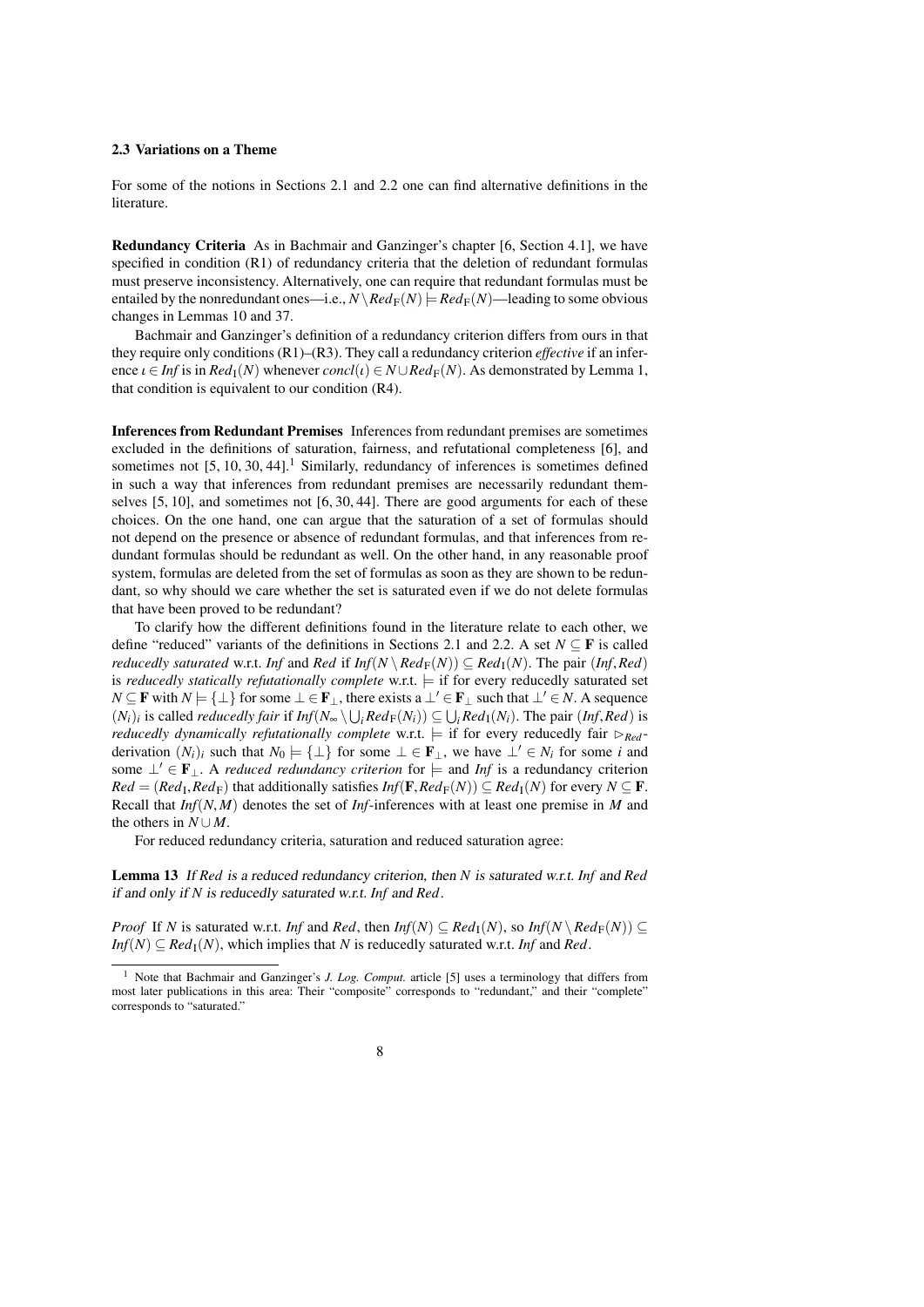# <span id="page-7-0"></span>2.3 Variations on a Theme

For some of the notions in Sections [2.1](#page-2-1) and [2.2](#page-4-0) one can find alternative definitions in the literature.

Redundancy Criteria As in Bachmair and Ganzinger's chapter [\[6,](#page-38-0) Section 4.1], we have specified in condition (R1) of redundancy criteria that the deletion of redundant formulas must preserve inconsistency. Alternatively, one can require that redundant formulas must be entailed by the nonredundant ones—i.e.,  $N\backslash Red_F(N)$  =  $Red_F(N)$ —leading to some obvious changes in Lemmas [10](#page-6-0) and [37.](#page-16-0)

Bachmair and Ganzinger's definition of a redundancy criterion differs from ours in that they require only conditions (R1)–(R3). They call a redundancy criterion *effective* if an inference  $\iota \in Inf$  is in  $Red_{\mathbb{I}}(N)$  whenever  $concl(\iota) \in N \cup Red_{\mathbb{F}}(N)$ . As demonstrated by Lemma [1,](#page-3-0) that condition is equivalent to our condition (R4).

<span id="page-7-2"></span>Inferences from Redundant Premises Inferences from redundant premises are sometimes excluded in the definitions of saturation, fairness, and refutational completeness [\[6\]](#page-38-0), and sometimes not  $[5, 10, 30, 44]$  $[5, 10, 30, 44]$  $[5, 10, 30, 44]$  $[5, 10, 30, 44]$ .<sup>[1](#page-7-1)</sup> Similarly, redundancy of inferences is sometimes defined in such a way that inferences from redundant premises are necessarily redundant themselves [\[5,](#page-38-6) [10\]](#page-38-14), and sometimes not [\[6,](#page-38-0) [30,](#page-39-10) [44\]](#page-39-3). There are good arguments for each of these choices. On the one hand, one can argue that the saturation of a set of formulas should not depend on the presence or absence of redundant formulas, and that inferences from redundant formulas should be redundant as well. On the other hand, in any reasonable proof system, formulas are deleted from the set of formulas as soon as they are shown to be redundant, so why should we care whether the set is saturated even if we do not delete formulas that have been proved to be redundant?

To clarify how the different definitions found in the literature relate to each other, we define "reduced" variants of the definitions in Sections [2.1](#page-2-1) and [2.2.](#page-4-0) A set  $N \subseteq F$  is called *reducedly saturated* w.r.t. *Inf* and *Red* if  $Inf(N \setminus Red_F(N)) \subseteq Red_I(N)$ . The pair  $(Inf, Red)$ is *reducedly statically refutationally complete* w.r.t.  $=$  if for every reducedly saturated set *N* ⊆ **F** with *N*  $\models$  {⊥} for some ⊥ ∈ **F**<sub>⊥</sub>, there exists a ⊥' ∈ **F**<sub>⊥</sub> such that ⊥' ∈ *N*. A sequence  $(N_i)_i$  is called *reducedly fair* if  $Inf(N_\infty \setminus \bigcup_i Red_F(N_i)) \subseteq \bigcup_i Red_I(N_i)$ . The pair  $(Inf, Red)$  is *reducedly dynamically refutationally complete*  $w \rightharpoonup f$  is for every reducedly fair  $\bigcap_i$ . *reducedly dynamically refutationally complete* w.r.t.  $=$  if for every reducedly fair  $\triangleright_{Red}$ derivation  $(N_i)_i$  such that  $N_0 \models {\perp}$  for some  $\perp \in \mathbf{F}_\perp$ , we have  $\perp' \in N_i$  for some *i* and some  $\perp' \in \mathbf{F}_{\perp}$ . A *reduced redundancy criterion* for  $\models$  and *Inf* is a redundancy criterion  $Red = (Red<sub>I</sub>, Red<sub>F</sub>)$  that additionally satisfies  $Inf(F, Red<sub>F</sub>(N)) \subseteq Red<sub>I</sub>(N)$  for every  $N \subseteq F$ .<br>Recall that *Inf*(*N\_M*) denotes the set of *Inf*-inferences with at least one premise in *M* and Recall that *Inf*(*N*, *<sup>M</sup>*) denotes the set of *Inf*-inferences with at least one premise in *<sup>M</sup>* and the others in  $N \cup M$ .

For reduced redundancy criteria, saturation and reduced saturation agree:

Lemma 13 If *Red* is a reduced redundancy criterion, then *N* is saturated w.r.t. *Inf* and *Red* if and only if *N* is reducedly saturated w.r.t. *Inf* and *Red*.

*Proof* If *N* is saturated w.r.t. *Inf* and *Red*, then  $Inf(N) \subseteq Red_1(N)$ , so  $Inf(N \setminus Red_F(N)) \subseteq$  $Inf(N) \subseteq Red_1(N)$ , which implies that *N* is reducedly saturated w.r.t. *Inf* and *Red*.

<span id="page-7-1"></span><sup>1</sup> Note that Bachmair and Ganzinger's *J. Log. Comput.* article [\[5\]](#page-38-6) uses a terminology that differs from most later publications in this area: Their "composite" corresponds to "redundant," and their "complete" corresponds to "saturated."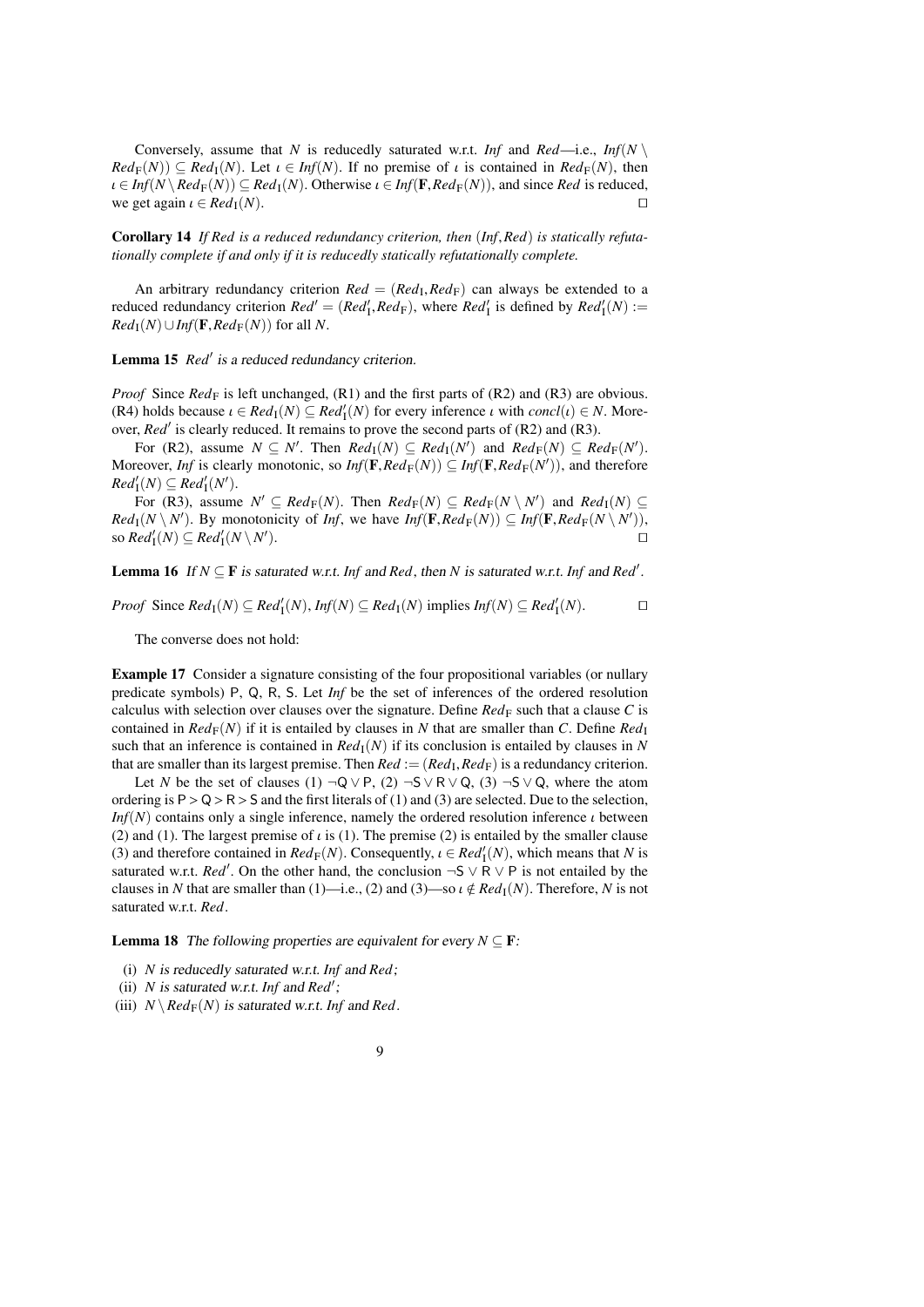Conversely, assume that *N* is reducedly saturated w.r.t. *Inf* and *Red*—i.e., *Inf*(*N*)  $Red_{\mathbb{F}}(N) \subseteq Red_{\mathbb{I}}(N)$ . Let  $\iota \in Inf(N)$ . If no premise of  $\iota$  is contained in  $Red_{\mathbb{F}}(N)$ , then  $\iota \in Inf(N \setminus Red_F(N)) \subseteq Red_1(N)$ . Otherwise  $\iota \in Inf(F, Red_F(N))$ , and since *Red* is reduced, we get again  $\iota \in Red_1(N)$ we get again  $\iota \in Red_{\mathcal{I}}(N)$ .

<span id="page-8-3"></span>Corollary 14 *If Red is a reduced redundancy criterion, then* (*Inf*,*Red*) *is statically refutationally complete if and only if it is reducedly statically refutationally complete.*

An arbitrary redundancy criterion  $Red = (Red_I, Red_F)$  can always be extended to a<br>local redundancy criterion  $Red' = (Red_I, Red_F)$  where  $Red'_I$  is defined by  $Red'_I(N)$ . reduced redundancy criterion  $Red' = (Red'_1, Red_F)$ , where  $Red'_1$  is defined by  $Red'_1(N) :=$ <br> $Red_1(N) \cup Inf(F, Red_F(N))$  for all N  $Red_{\rm I}(N) \cup Inf(\mathbf{F}, Red_{\rm F}(N))$  for all *N*.

<span id="page-8-2"></span>Lemma 15 *Red'* is a reduced redundancy criterion.

*Proof* Since  $Red_F$  is left unchanged,  $(R1)$  and the first parts of  $(R2)$  and  $(R3)$  are obvious. (R4) holds because  $\iota \in Red_1(N) \subseteq Red'_1(N)$  for every inference  $\iota$  with *concl*( $\iota$ )  $\in N$ . More-<br>over *Red'* is clearly reduced. It remains to prove the second parts of (R2) and (R3). over, *Red'* is clearly reduced. It remains to prove the second parts of (R2) and (R3).

For (R2), assume  $N \subseteq N'$ . Then  $Red_{I}(N) \subseteq Red_{I}(N')$  and  $Red_{F}(N) \subseteq Red_{F}(N')$ . Moreover, *Inf* is clearly monotonic, so *Inf*( $\mathbf{F}$ , $Red_{\mathbf{F}}(N)$ )  $\subseteq$  *Inf*( $\mathbf{F}$ , $Red_{\mathbf{F}}(N')$ ), and therefore  $Red(N) \subseteq Red^{\prime}(N')$  $Red'_{\rm I}(N) \subseteq Red'_{\rm I}(N').$ 

For (R3), assume  $N' \subseteq Red_F(N)$ . Then  $Red_F(N) \subseteq Red_F(N \setminus N')$  and  $Red_I(N) \subseteq$  $Red_{\mathbb{I}}(N \setminus N')$ . By monotonicity of *Inf*, we have  $Inf(\mathbf{F}, Red_{\mathbb{F}}(N)) \subseteq Inf(\mathbf{F}, Red_{\mathbb{F}}(N \setminus N'))$ , so  $Red_{\mathbb{I}}(N) \subseteq Rad'_{\mathbb{I}}(N \setminus N')$ .  $\operatorname{Mod}_{\mathrm I}^{\prime}(N) \subseteq \operatorname{Red}_{\mathrm I}^{\prime}(N \setminus N^{\prime})$ ).  $\Box$ 

<span id="page-8-0"></span>**Lemma 16** If  $N \subseteq F$  is saturated w.r.t. *Inf* and *Red*, then *N* is saturated w.r.t. *Inf* and *Red'*.

*Proof* Since  $Red_1(N) \subseteq Red'_1(N)$ ,  $Inf(N) \subseteq Red_1(N)$  implies  $Inf(N) \subseteq Red'_1(N)$ . □

The converse does not hold:

<span id="page-8-4"></span>Example 17 Consider a signature consisting of the four propositional variables (or nullary predicate symbols) P, Q, R, S. Let *Inf* be the set of inferences of the ordered resolution calculus with selection over clauses over the signature. Define  $Red_F$  such that a clause C is contained in  $Red_{\rm F}(N)$  if it is entailed by clauses in N that are smaller than C. Define  $Red_{\rm I}$ such that an inference is contained in  $Red<sub>I</sub>(N)$  if its conclusion is entailed by clauses in *N* that are smaller than its largest premise. Then  $Red := (Red_I, Red_F)$  is a redundancy criterion.<br>Let N be the set of clauses (1)  $\neg$  O  $\vee$  B  $(2)$   $\neg$  S  $\vee$  B  $\vee$  O  $(3)$   $\neg$  S  $\vee$  O where the atom

Let *N* be the set of clauses (1)  $\neg Q \lor P$ , (2)  $\neg S \lor R \lor Q$ , (3)  $\neg S \lor Q$ , where the atom ordering is  $P > Q > R > S$  and the first literals of (1) and (3) are selected. Due to the selection, *Inf*(*N*) contains only a single inference, namely the ordered resolution inference *ι* between (2) and (1). The largest premise of  $\iota$  is (1). The premise (2) is entailed by the smaller clause (3) and therefore contained in  $Red_F(N)$ . Consequently,  $\iota \in Red'_1(N)$ , which means that *N* is<br>saturated w.r.t.  $Red'$ . On the other hand, the conclusion  $-5 \vee R \vee R$  is not entailed by the saturated w.r.t. *Red'*. On the other hand, the conclusion  $\neg S \lor R \lor P$  is not entailed by the clauses in *N* that are smaller than (1)—i.e., (2) and (3)—so  $\iota \notin Red_T(N)$ . Therefore, *N* is not saturated w.r.t. *Red*.

<span id="page-8-1"></span>**Lemma 18** The following properties are equivalent for every  $N \subseteq \mathbf{F}$ :

- (i) *N* is reducedly saturated w.r.t. *Inf* and *Red*;
- (ii) *N* is saturated w.r.t. Inf and  $Red'$ ;
- (iii)  $N \setminus Red_F(N)$  is saturated w.r.t. *Inf* and *Red*.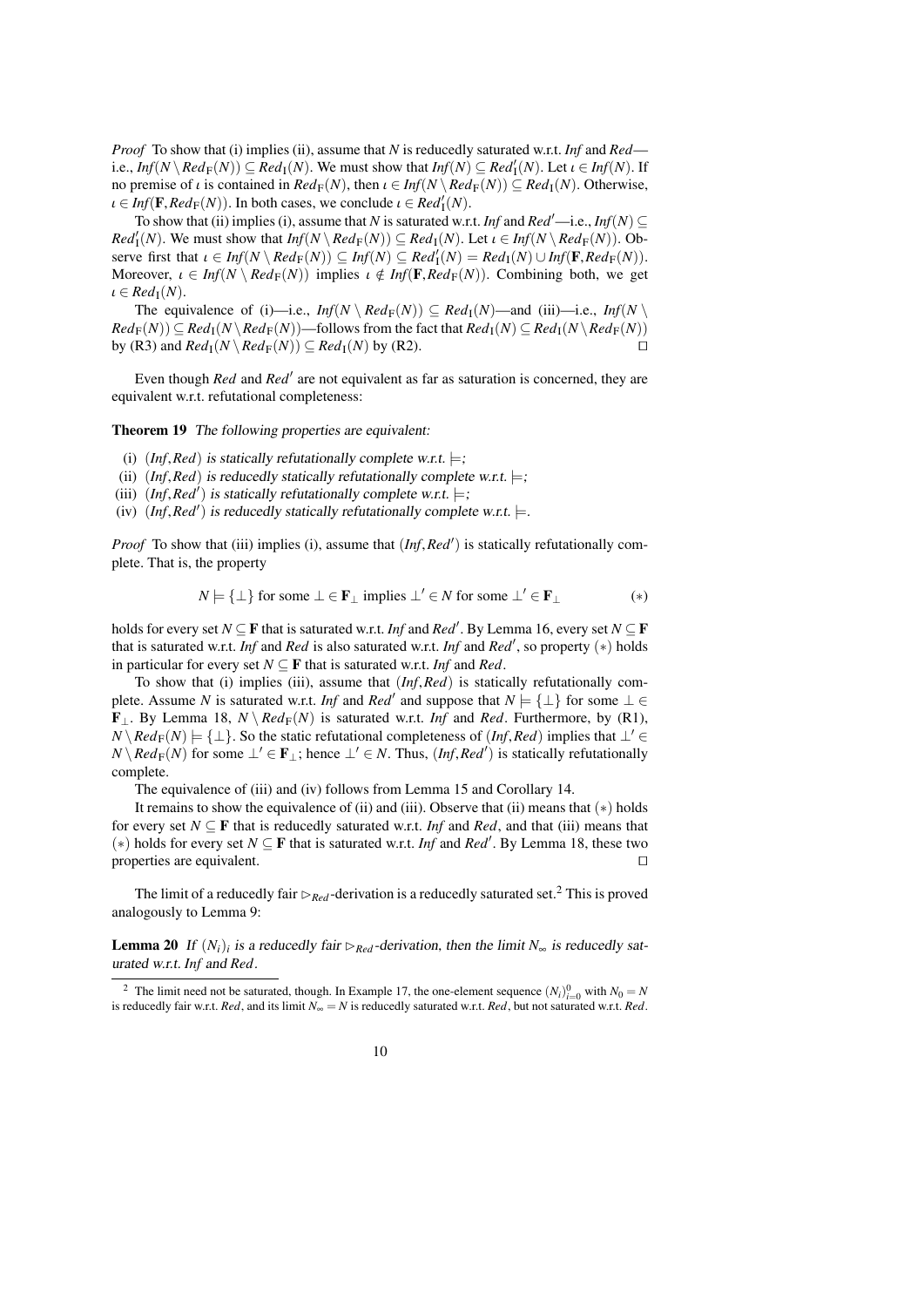*Proof* To show that (i) implies (ii), assume that *N* is reducedly saturated w.r.t. *Inf* and *Red* i.e.,  $Inf(N \setminus Red_F(N)) \subseteq Red_1(N)$ . We must show that  $Inf(N) \subseteq Red_1'(N)$ . Let  $\iota \in Inf(N)$ . If  $p$  are proposent is contained in  $Red_F(N)$ , then  $\iota \in Inf(N \setminus Red_F(N)) \subseteq Red_1(N)$ . Otherwise no premise of  $\iota$  is contained in  $Red_{\mathbb{F}}(N)$ , then  $\iota \in Inf(N \setminus Red_{\mathbb{F}}(N)) \subseteq Red_{\mathbb{I}}(N)$ . Otherwise,  $\iota \in \text{Inf}(\mathbf{F}, \text{Red}_{\mathbf{F}}(N))$ . In both cases, we conclude  $\iota \in \text{Red}_{\mathbf{I}}^{I}(N)$ .<br>To show that (ii) implies (i) assume that N is saturated w.r.

To show that (ii) implies (i), assume that *N* is saturated w.r.t. *Inf* and *Red'*—i.e., *Inf*(*N*)  $\subseteq$  $Red'_{\mathcal{I}}(N)$ . We must show that  $Inf(N \setminus Red_F(N)) \subseteq Red_{\mathcal{I}}(N)$ . Let  $\iota \in Inf(N \setminus Red_F(N))$ . Observe first that  $\iota \in Inf(N \setminus Red_F(N)) \subset Inf(N) \subset Red'_{\mathcal{I}}(N) = Red_{\mathcal{I}}(N) \cup Inf(\mathbb{R} Red_F(N))$ . serve first that  $\iota \in Inf(N \setminus Red_F(N)) \subseteq Inf(N) \subseteq Red'_1(N) = Red_1(N) \cup Inf(F, Red_F(N))$ .<br>Moreover  $\iota \in Inf(N \setminus Red_T(N))$  implies  $\iota \notin Inf(F, Red_T(N))$ . Combining both we get Moreover,  $\iota \in Inf(N \setminus Red_F(N))$  implies  $\iota \notin Inf(F, Red_F(N))$ . Combining both, we get  $\iota \in Red_{\mathcal{I}}(N)$ .

The equivalence of (i)—i.e.,  $Inf(N \setminus Red_F(N)) \subseteq Red_I(N)$ —and (iii)—i.e.,  $Inf(N \setminus$  $Red_{\mathbb{F}}(N) \subseteq Red_{\mathbb{F}}(N \setminus Red_{\mathbb{F}}(N))$ —follows from the fact that  $Red_{\mathbb{F}}(N) \subseteq Red_{\mathbb{F}}(N)$  by (R3) and  $Red_{\mathbb{F}}(N \setminus Red_{\mathbb{F}}(N)) \subseteq Red_{\mathbb{F}}(N)$  by (R3) by (R3) and  $Red_{\mathbb{I}}(N \setminus Red_{\mathbb{F}}(N)) \subseteq Red_{\mathbb{I}}(N)$  by (R2).

Even though *Red* and *Red'* are not equivalent as far as saturation is concerned, they are equivalent w.r.t. refutational completeness:

<span id="page-9-1"></span>Theorem 19 The following properties are equivalent:

- (i)  $(Inf, Red)$  is statically refutationally complete w.r.t.  $\models$ ;
- (ii)  $(Inf, Red)$  is reducedly statically refutationally complete w.r.t.  $\models$ ;
- (iii)  $(Inf, Red')$  is statically refutationally complete w.r.t.  $\models$ ;<br>(iv)  $(Inf, Red')$  is reducedly statically refutationally complete
- (iv)  $(Inf, Red')$  is reducedly statically refutationally complete w.r.t.  $\models$ .

*Proof* To show that (iii) implies (i), assume that  $(Inf, Red')$  is statically refutationally complete. That is, the property

$$
N \models {\perp} \text{ for some } \perp \in \mathbf{F}_\perp \text{ implies } \perp' \in N \text{ for some } \perp' \in \mathbf{F}_\perp \tag{*}
$$

holds for every set *N*  $\subseteq$  **F** that is saturated w.r.t. *Inf* and *Red'*. By Lemma [16,](#page-8-0) every set *N*  $\subseteq$  **F** that is saturated w.r.t. *Inf* and *Red* is also saturated w.r.t. *Inf* and *Red'*, so property  $(*)$  holds in particular for every set  $N \subseteq F$  that is saturated w.r.t. *Inf* and *Red*.

To show that (i) implies (iii), assume that (*Inf*,*Red*) is statically refutationally complete. Assume *N* is saturated w.r.t. *Inf* and *Red'* and suppose that  $N \models \{\perp\}$  for some  $\perp \in$ **F**<sub>⊥</sub>. By Lemma [18,](#page-8-1)  $N \ Red_F(N)$  is saturated w.r.t. *Inf* and *Red*. Furthermore, by (R1),  $N \setminus Red_F(N)$   $\models$  {⊥}. So the static refutational completeness of (*Inf*,*Red*) implies that ⊥' ∈ *N* \ *Red*<sub>F</sub>(*N*) for some ⊥' ∈ **F**<sub>⊥</sub>; hence ⊥' ∈ *N*. Thus, (*Inf, Red*<sup>'</sup>) is statically refutationally complete.

The equivalence of (iii) and (iv) follows from Lemma [15](#page-8-2) and Corollary [14.](#page-8-3)

It remains to show the equivalence of (ii) and (iii). Observe that (ii) means that  $(*)$  holds for every set  $N \subseteq \mathbf{F}$  that is reducedly saturated w.r.t. *Inf* and *Red*, and that (iii) means that (\*) holds for every set *N* ⊆ **F** that is saturated w.r.t. *Inf* and *Red'*. By Lemma [18,](#page-8-1) these two properties are equivalent.  $\Box$ 

The limit of a reducedly fair  $\triangleright_{Red}$ -derivation is a reducedly saturated set.<sup>[2](#page-9-0)</sup> This is proved analogously to Lemma [9:](#page-6-1)

**Lemma 20** If  $(N_i)_i$  is a reducedly fair  $\triangleright_{Red}$ -derivation, then the limit  $N_{\infty}$  is reducedly saturated w.r.t. *Inf* and *Red*.

<span id="page-9-0"></span><sup>&</sup>lt;sup>2</sup> The limit need not be saturated, though. In Example [17,](#page-8-4) the one-element sequence  $(N_i)_{i=0}^0$  with  $N_0 = N$ is reducedly fair w.r.t. *Red*, and its limit  $N_\infty = N$  is reducedly saturated w.r.t. *Red*, but not saturated w.r.t. *Red*.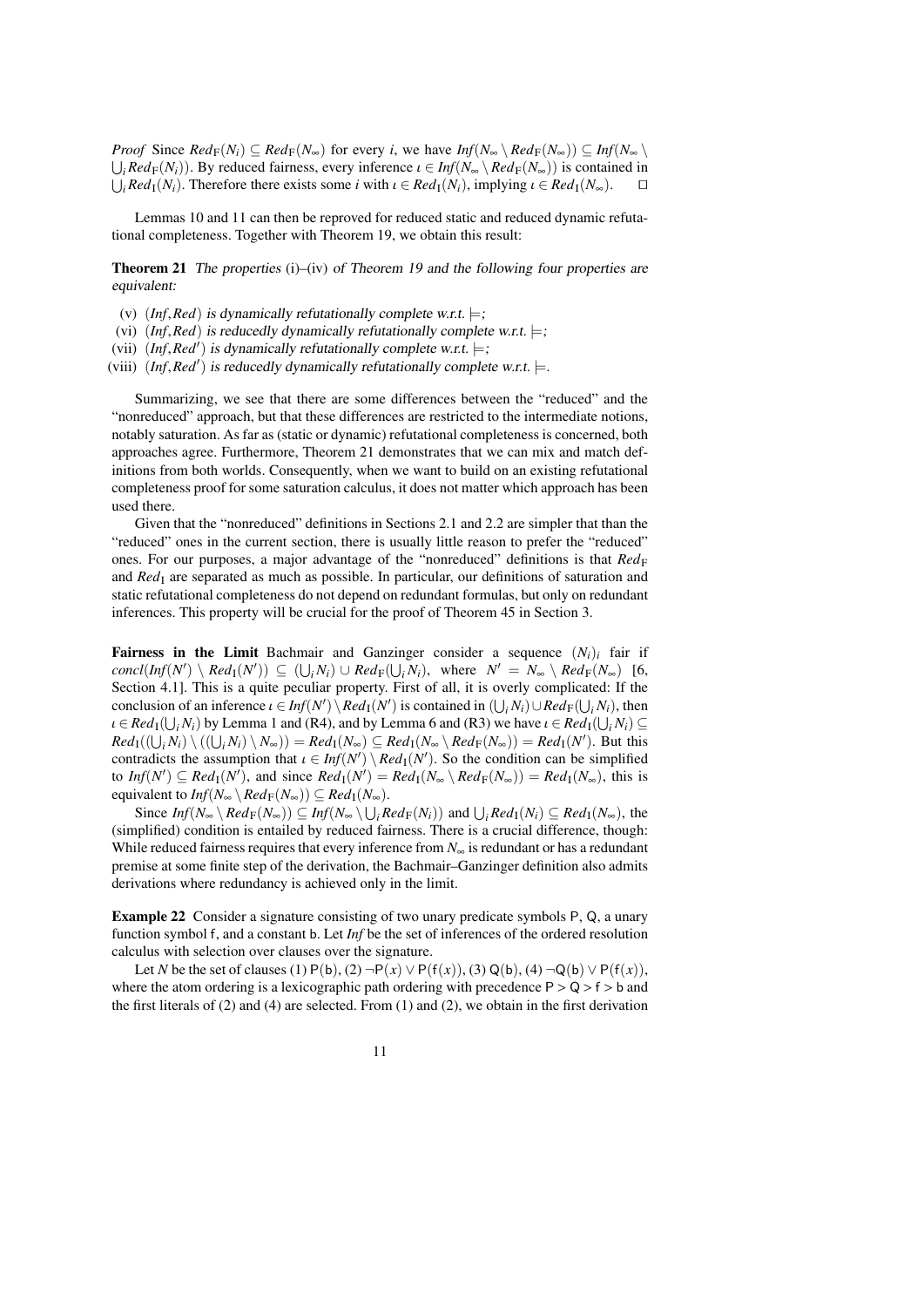*Proof* Since  $Red_{\mathbb{F}}(N_i) \subseteq Red_{\mathbb{F}}(N_{\infty})$  for every *i*, we have  $Inf(N_{\infty} \setminus Red_{\mathbb{F}}(N_{\infty}) \subseteq Inf(N_{\infty} \setminus \mathbb{F})$  $\bigcup_i Red_F(N_i))$ . By reduced fairness, every inference  $\iota \in Inf(N_{\infty} \setminus Red_F(N_{\infty}))$  is contained in  $\iota \in Red_{\iota}(N_{\infty})$ . Therefore there exists some *i* with  $\iota \in Red_{\iota}(N_{\infty})$  implying  $\iota \in Red_{\iota}(N_{\infty})$ .  $\bigcup_i Red_1(N_i)$ . Therefore there exists some *i* with  $\iota \in Red_1(N_i)$ , implying  $\iota \in Red_1(N_{\infty})$ . utilized.

Lemmas [10](#page-6-0) and [11](#page-6-2) can then be reproved for reduced static and reduced dynamic refutational completeness. Together with Theorem [19,](#page-9-1) we obtain this result:

<span id="page-10-0"></span>Theorem 21 The properties (i)–(iv) of Theorem [19](#page-9-1) and the following four properties are equivalent:

- (v)  $(Inf, Red)$  is dynamically refutationally complete w.r.t.  $\models$ ;
- (vi)  $(Inf, Red)$  is reducedly dynamically refutationally complete w.r.t.  $\models$ ;
- (vii)  $(Inf, Red')$  is dynamically refutationally complete w.r.t.  $\models$ ;<br>viii)  $(Inf, Red')$  is reducedly dynamically refutationally complete

(viii)  $(Inf, Red')$  is reducedly dynamically refutationally complete w.r.t.  $\models$ .

Summarizing, we see that there are some differences between the "reduced" and the "nonreduced" approach, but that these differences are restricted to the intermediate notions, notably saturation. As far as (static or dynamic) refutational completeness is concerned, both approaches agree. Furthermore, Theorem [21](#page-10-0) demonstrates that we can mix and match definitions from both worlds. Consequently, when we want to build on an existing refutational completeness proof for some saturation calculus, it does not matter which approach has been used there.

Given that the "nonreduced" definitions in Sections [2.1](#page-2-1) and [2.2](#page-4-0) are simpler that than the "reduced" ones in the current section, there is usually little reason to prefer the "reduced" ones. For our purposes, a major advantage of the "nonreduced" definitions is that *Red*F and *Red*<sub>I</sub> are separated as much as possible. In particular, our definitions of saturation and static refutational completeness do not depend on redundant formulas, but only on redundant inferences. This property will be crucial for the proof of Theorem [45](#page-18-0) in Section [3.](#page-12-0)

**Fairness in the Limit Bachmair and Ganzinger consider a sequence**  $(N_i)_i$  **fair if**  $\text{concl}(\text{Inf}(N') \setminus \text{Red}_I(N')) \subseteq (\bigcup_i N_i) \cup \text{Red}_F(\bigcup_i N_i)$ , where  $N' = N_{\infty} \setminus \text{Red}_F(N_{\infty})$  [\[6,](#page-38-0) Section 4.1]. This is a quite peculiar property. First of all, it is overly complicated: If the conclusion of an inference  $\iota \in Inf(N') \setminus Red_1(N')$  is contained in  $(\bigcup_i N_i) \cup Red_F(\bigcup_i N_i)$ , then  $\iota \in Red_1(1, N_i)$  by Lemma 1 and (R4) and by Lemma 6 and (R3) we have  $\iota \in Red_1(1, N_i) \subset$  $\iota \in Red_1(\bigcup_i N_i)$  by Lemma [1](#page-3-0) and (R4), and by Lemma [6](#page-5-0) and (R3) we have  $\iota \in Red_1(\bigcup_i N_i) \subseteq$ <br>*Red*<sub>I</sub>((| | N<sub>i</sub>) \ (| | N<sub>i</sub>) \ N )) = *Red*<sub>I</sub>(N) \ C *Red*<sub>I</sub>(N) \ *Red*<sub>I</sub>(N) \) = *Red*<sub>I</sub>(N'). But this  $Red_{\mathcal{I}}((\bigcup_i N_i) \setminus ((\bigcup_i N_i) \setminus N_{\infty})) = Red_{\mathcal{I}}(N_{\infty}) \subseteq Red_{\mathcal{I}}(N_{\infty} \setminus Red_{\mathcal{F}}(N_{\infty})) = Red_{\mathcal{I}}(N')$ . But this contradicts the assumption that  $\iota \in Inf(N') \setminus Red_1(N')$ . So the condition can be simplified<br>to  $Inf(N') \subseteq Rad_1(N')$  and since  $Red_2(N) = Rad_1(N \setminus Red_2(N)) = Red_2(N \setminus \text{this is})$ to  $Inf(N') \subseteq Red_1(N')$ , and since  $Red_1(N') = Red_1(N_{\infty} \setminus Red_F(N_{\infty})) = Red_1(N_{\infty})$ , this is equivalent to  $Inf(N_{\infty} \setminus Red_F(N_{\infty})) \subseteq Red_I(N_{\infty}).$ 

Since  $Inf(N_{\infty} \setminus Red_F(N_{\infty})) \subseteq Inf(N_{\infty} \setminus \bigcup_i Red_F(N_i))$  and  $\bigcup_i Red_I(N_i) \subseteq Red_I(N_{\infty})$ , the (simplified) condition is entailed by reduced fairness. There is a crucial difference, though: While reduced fairness requires that every inference from *N*<sup>∞</sup> is redundant or has a redundant premise at some finite step of the derivation, the Bachmair–Ganzinger definition also admits derivations where redundancy is achieved only in the limit.

Example 22 Consider a signature consisting of two unary predicate symbols P, Q, a unary function symbol f, and a constant b. Let *Inf* be the set of inferences of the ordered resolution calculus with selection over clauses over the signature.

Let *N* be the set of clauses (1)  $P(b)$ , (2)  $\neg P(x) \lor P(f(x))$ , (3)  $Q(b)$ , (4)  $\neg Q(b) \lor P(f(x))$ , where the atom ordering is a lexicographic path ordering with precedence  $P > Q > f > b$  and the first literals of (2) and (4) are selected. From (1) and (2), we obtain in the first derivation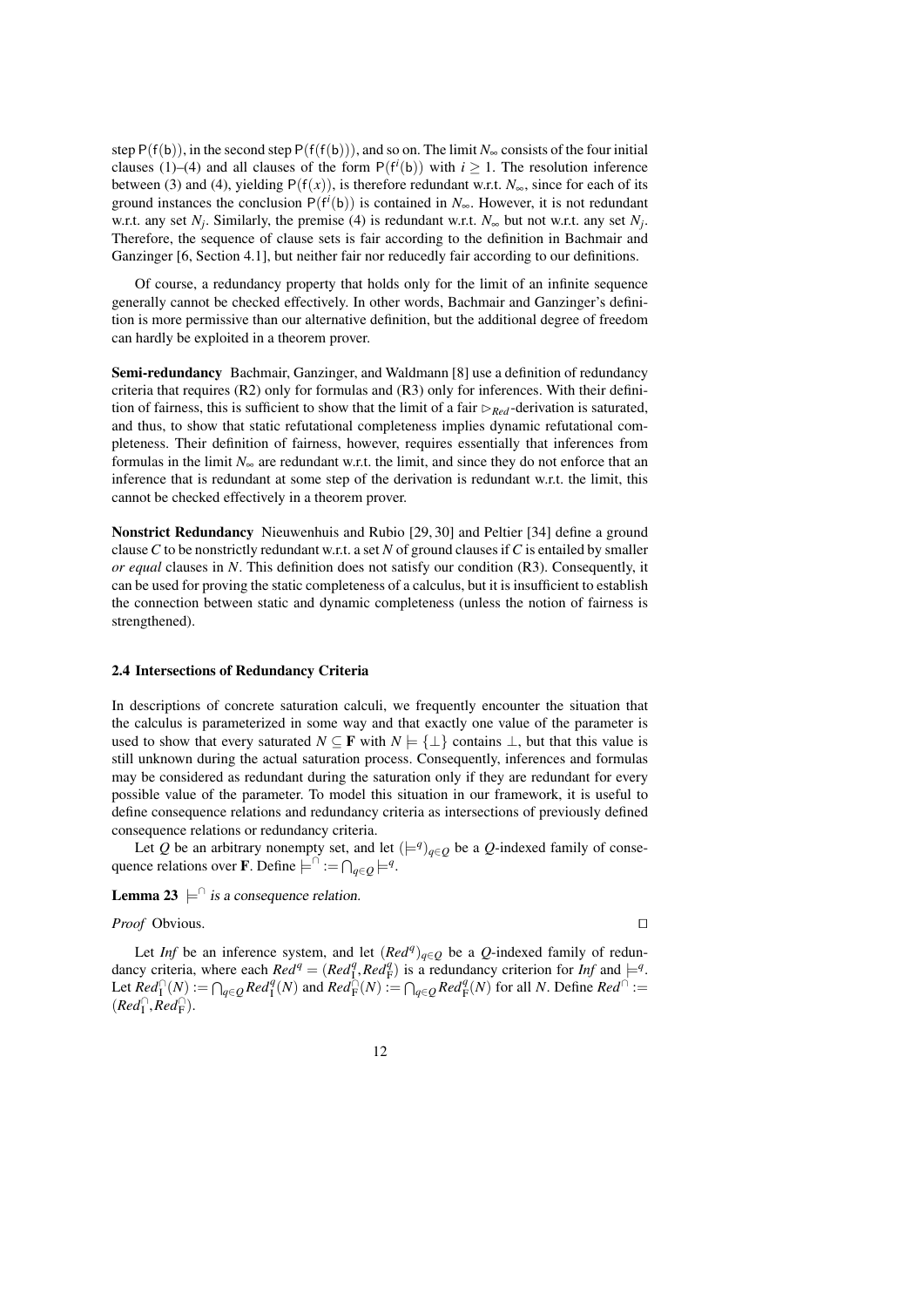step  $P(f(b))$ , in the second step  $P(f(f(b)))$ , and so on. The limit *N*<sub>∞</sub> consists of the four initial clauses (1)–(4) and all clauses of the form  $P(f^{i}(b))$  with  $i \ge 1$ . The resolution inference between (3) and (4), yielding  $P(f(x))$ , is therefore redundant w.r.t.  $N_{\infty}$ , since for each of its ground instances the conclusion  $P(f^{i}(b))$  is contained in *N*<sub>∞</sub>. However, it is not redundant w.r.t. any set  $N_j$ . Similarly, the premise (4) is redundant w.r.t.  $N_{\infty}$  but not w.r.t. any set  $N_j$ . Therefore, the sequence of clause sets is fair according to the definition in Bachmair and Ganzinger [\[6,](#page-38-0) Section 4.1], but neither fair nor reducedly fair according to our definitions.

Of course, a redundancy property that holds only for the limit of an infinite sequence generally cannot be checked effectively. In other words, Bachmair and Ganzinger's definition is more permissive than our alternative definition, but the additional degree of freedom can hardly be exploited in a theorem prover.

Semi-redundancy Bachmair, Ganzinger, and Waldmann [\[8\]](#page-38-7) use a definition of redundancy criteria that requires (R2) only for formulas and (R3) only for inferences. With their definition of fairness, this is sufficient to show that the limit of a fair  $\triangleright_{Red}$ -derivation is saturated, and thus, to show that static refutational completeness implies dynamic refutational completeness. Their definition of fairness, however, requires essentially that inferences from formulas in the limit  $N_{\infty}$  are redundant w.r.t. the limit, and since they do not enforce that an inference that is redundant at some step of the derivation is redundant w.r.t. the limit, this cannot be checked effectively in a theorem prover.

Nonstrict Redundancy Nieuwenhuis and Rubio [\[29,](#page-39-2) [30\]](#page-39-10) and Peltier [\[34\]](#page-39-11) define a ground clause*C* to be nonstrictly redundant w.r.t. a set *N* of ground clauses if*C* is entailed by smaller *or equal* clauses in *N*. This definition does not satisfy our condition (R3). Consequently, it can be used for proving the static completeness of a calculus, but it is insufficient to establish the connection between static and dynamic completeness (unless the notion of fairness is strengthened).

### <span id="page-11-1"></span>2.4 Intersections of Redundancy Criteria

In descriptions of concrete saturation calculi, we frequently encounter the situation that the calculus is parameterized in some way and that exactly one value of the parameter is used to show that every saturated  $N \subseteq \mathbf{F}$  with  $N \models \{\perp\}$  contains  $\perp$ , but that this value is still unknown during the actual saturation process. Consequently, inferences and formulas may be considered as redundant during the saturation only if they are redundant for every possible value of the parameter. To model this situation in our framework, it is useful to define consequence relations and redundancy criteria as intersections of previously defined consequence relations or redundancy criteria.

Let *Q* be an arbitrary nonempty set, and let  $(\models^q)_{q \in Q}$  be a *Q*-indexed family of consequence relations over **F**. Define  $\vdash^{\cap} := \bigcap_{q \in Q} \models^q$ .

<span id="page-11-2"></span>**Lemma 23**  $\models$  is a consequence relation.

# *Proof* Obvious.

<span id="page-11-0"></span>Let *Inf* be an inference system, and let  $(Red^q)_{q \in Q}$  be a *Q*-indexed family of redundancy criteria, where each  $Red^q = (Red_1^q, Red_1^q)$  is a redundancy criterion for *Inf* and  $\models^q$ .<br>Let  $Red^{\square}(N) := \bigcap_{A} Red^q(N)$  and  $Red^{\square}(N) := \bigcap_{A} Red^q(N)$  for all N. Define  $Red^{\square} :=$ Let  $\text{Red}_{\Gamma}^{\cap}(N) := \bigcap_{q \in Q} \text{Red}_{\Gamma}^q(N)$  and  $\text{Red}_{\Gamma}^{\cap}(N) := \bigcap_{q \in Q} \text{Red}_{\Gamma}^q(N)$  for all *N*. Define  $\text{Red}^{\cap} :=$  $(\text{Red}_{\Gamma}^{\cap}, \text{Red}_{\Gamma}^{\cap}).$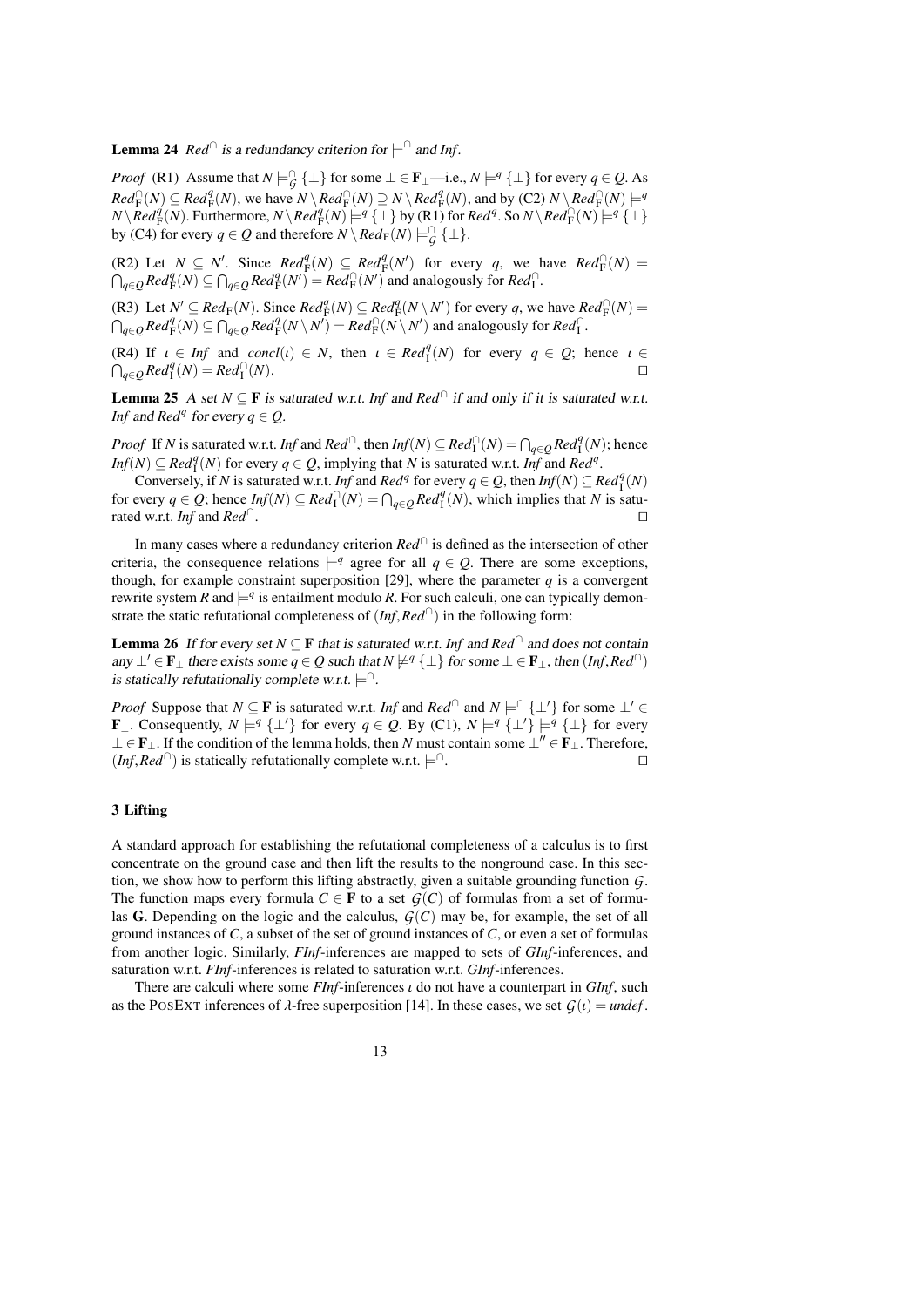**Lemma 24**  $\text{Red}^{\cap}$  is a redundancy criterion for  $\models^{\cap}$  and Inf.

*Proof* (R1) Assume that  $N \models^{\cap}_{\mathcal{G}} \{\bot\}$  for some  $\bot \in \mathbf{F}_{\bot}$ —i.e.,  $N \models^q \{\bot\}$  for every  $q \in \mathcal{Q}$ . As  $Red_{\mathcal{F}}^{\cap}(N) \subseteq Red_{\mathcal{F}}^{\{q\}}(N)$ , we have  $N \setminus Red_{\mathcal{F}}^{\cap}(N) \supseteq N \setminus Red_{\mathcal{F}}^{\{q\}}(N)$ , and by (C2)  $N \setminus Red_{\mathcal{F}}^{\cap}(N) \models q$  $N\setminus Red^q_F(N)$ . Furthermore,  $N\setminus Red^q_F(N)$   $\models^q {\perp}$  by (R1) for  $Red^q$ . So  $N\setminus Red^{\cap}_F(N)$   $\models^q {\perp}$ by (C4) for every  $q \in Q$  and therefore  $N \setminus Red_F(N) \models^{\cap}_G {\{\perp\}}.$ 

 $(R2)$  Let  $N \subseteq N'$ . Since  $Red^q_F(N) \subseteq Red^q_F(N')$  for every *q*, we have  $Red^q_F(N) =$  $\bigcap_{q \in \mathcal{Q}} \text{Red}_{\mathcal{F}}^q(N) \subseteq \bigcap_{q \in \mathcal{Q}} \text{Red}_{\mathcal{F}}^q(N') = \text{Red}_{\mathcal{F}}^{\bigcap}(N')$  and analogously for  $\text{Red}_{\mathcal{I}}^{\bigcap}$ .

(R3) Let  $N' \subseteq Red_F(N)$ . Since  $Red_F^q(N) \subseteq Red_F^q(N \setminus N')$  for every *q*, we have  $Red_F^{\cap}(N)$  =  $\bigcap_{q \in \mathcal{Q}} \text{Red}_{\mathcal{F}}^q(N) \subseteq \bigcap_{q \in \mathcal{Q}} \text{Red}_{\mathcal{F}}^q(N \setminus N') = \text{Red}_{\mathcal{F}}^{\cap}(N \setminus N')$  and analogously for  $\text{Red}_{\mathcal{I}}^{\cap}$ .

 $(R4)$  If  $\iota \in Inf$  and  $concl(\iota) \in N$ , then  $\iota \in Red_1^q(N)$  for every  $q \in Q$ ; hence  $\iota \in \bigcap_{n \in \mathbb{N}} Red_1^q(N) - Rad_1^q(N)$  $\bigcap_{q \in \mathcal{Q}} \mathit{Red}_{\mathrm{I}}^q(N) = \mathit{Red}_{\mathrm{I}}^{\cap}$  $(N)$ .

<span id="page-12-1"></span>**Lemma 25** A set  $N \subseteq \mathbf{F}$  is saturated w.r.t. *Inf* and *Red*<sup> $\cap$ </sup> if and only if it is saturated w.r.t. *Inf* and *Red<sup>q</sup>* for every  $q \in Q$ .

*Proof* If *N* is saturated w.r.t. *Inf* and *Red*<sup>∩</sup>, then *Inf*(*N*) ⊆ *Red*<sub>1</sub><sup>∩</sup>(*N*) =  $\bigcap_{q \in Q}$ *Red*<sub>1</sub><sup>*q*</sup>(*N*); hence  $Inf(N) \subseteq Red_1^q(N)$  for every  $q \in Q$ , implying that *N* is saturated w.r.t. *Inf* and *Red<sup>q</sup>*.

Conversely, if *N* is saturated w.r.t. *Inf* and *Red<sup>q</sup>* for every  $q \in Q$ , then *Inf*(*N*)  $\subseteq$  *Red*<sup>*q*</sup><sub>1</sub>(*N*) for every  $q \in Q$ ; hence  $Inf(N) \subseteq Red_1^{\cap}(N) = \bigcap_{q \in Q} Red_1^q(N)$ , which implies that *N* is saturated w.r.t. *Inf* and  $Red^{\dagger}$ . . The contract of the contract of the contract of the contract of the contract of the contract of the contract of the contract of the contract of the contract of the contract of the contract of the contract of the contract

In many cases where a redundancy criterion *Red*<sup>∩</sup> is defined as the intersection of other criteria, the consequence relations  $\models^q$  agree for all  $q \in \mathcal{Q}$ . There are some exceptions, though, for example constraint superposition [\[29\]](#page-39-2), where the parameter  $q$  is a convergent rewrite system *R* and  $\models q$  is entailment modulo *R*. For such calculi, one can typically demonstrate the static refutational completeness of (*Inf*,*Red*<sup>∩</sup> ) in the following form:

**Lemma 26** If for every set  $N \subseteq \mathbf{F}$  that is saturated w.r.t. Inf and Red<sup>∩</sup> and does not contain any  $\perp' \in \mathbf{F}_{\perp}$  there exists some *q* ∈ *Q* such that  $N \neq q$  { $\perp$ } for some  $\perp \in \mathbf{F}_{\perp}$ , then (*Inf*, *Red*<sup>∩</sup>) is statically refutationally complete w.r.t. is statically refutationally complete w.r.t.  $\models$ <sup> $\cap$ </sup>.

*Proof* Suppose that  $N \subseteq \mathbf{F}$  is saturated w.r.t. *Inf* and  $Red^{\cap}$  and  $N \models^{\cap} {\perp' \}$  for some  $\perp' \in$ **F**<sub>⊥</sub>. Consequently,  $N \models q \{\perp\}$  for every  $q \in Q$ . By (C1),  $N \models q \{\perp\} \models q \{\perp\}$  for every ⊥ ∈ **F**<sub>⊥</sub>. If the condition of the lemma holds, then *N* must contain some  $\bot'' \in$  **F**<sub>⊥</sub>. Therefore,  $(Inf, Red<sup>∩</sup>)$  is statically refutationally complete w.r.t.  $\models<sup>∩</sup>$ .

# <span id="page-12-0"></span>3 Lifting

A standard approach for establishing the refutational completeness of a calculus is to first concentrate on the ground case and then lift the results to the nonground case. In this section, we show how to perform this lifting abstractly, given a suitable grounding function *G*. The function maps every formula  $C \in \mathbf{F}$  to a set  $G(C)$  of formulas from a set of formulas G. Depending on the logic and the calculus,  $G(C)$  may be, for example, the set of all ground instances of *C*, a subset of the set of ground instances of *C*, or even a set of formulas from another logic. Similarly, *FInf*-inferences are mapped to sets of *GInf*-inferences, and saturation w.r.t. *FInf*-inferences is related to saturation w.r.t. *GInf*-inferences.

There are calculi where some *FInf*-inferences ι do not have a counterpart in *GInf*, such as the POSEXT inferences of  $\lambda$ -free superposition [\[14\]](#page-38-9). In these cases, we set  $G(t) =$  *undef*.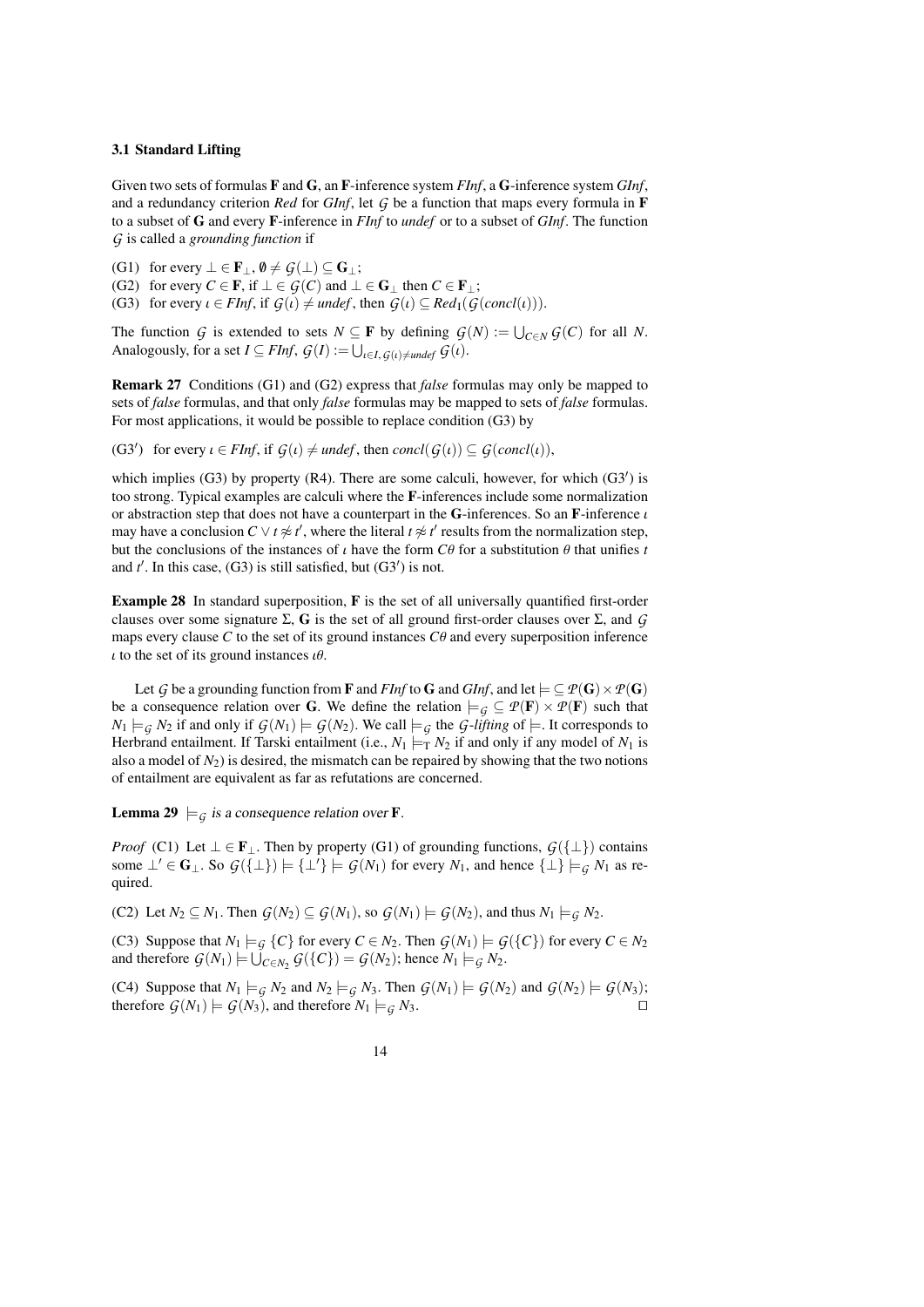### <span id="page-13-0"></span>3.1 Standard Lifting

Given two sets of formulas F and G, an F-inference system *FInf*, a G-inference system *GInf*, and a redundancy criterion *Red* for *GInf*, let *G* be a function that maps every formula in F to a subset of G and every F-inference in *FInf* to *undef* or to a subset of *GInf*. The function *G* is called a *grounding function* if

<span id="page-13-2"></span>(G1) for every  $\bot \in \mathbf{F}_{\bot}$ ,  $\emptyset \neq \mathcal{G}(\bot) \subseteq \mathbf{G}_{\bot}$ ;

(G2) for every  $C \in \mathbf{F}$ , if  $\bot \in \mathcal{G}(C)$  and  $\bot \in \mathbf{G}_{\bot}$  then  $C \in \mathbf{F}_{\bot}$ ;

(G3) for every  $\iota \in FInf$ , if  $G(\iota) \neq \text{underf}$ , then  $G(\iota) \subseteq \text{Red}_{I}(G(\text{concl}(\iota))).$ 

The function *G* is extended to sets  $N \subseteq \mathbf{F}$  by defining  $G(N) := \bigcup_{C \in N} G(C)$  for all *N*. Analogously, for a set  $I \subseteq FInf$ ,  $G(I) := \bigcup_{\iota \in I, G(\iota) \neq \text{under}} G(\iota)$ .

Remark 27 Conditions (G1) and (G2) express that *false* formulas may only be mapped to sets of *false* formulas, and that only *false* formulas may be mapped to sets of *false* formulas. For most applications, it would be possible to replace condition (G3) by

(G3') for every  $\iota \in FInf$ , if  $G(\iota) \neq under$ , then  $concl(G(\iota)) \subseteq G(concl(\iota)),$ 

which implies  $(G3)$  by property  $(R4)$ . There are some calculi, however, for which  $(G3')$  is too strong. Typical examples are calculi where the F-inferences include some normalization or abstraction step that does not have a counterpart in the G-inferences. So an F-inference  $\iota$ may have a conclusion  $C \vee t \not\approx t'$ , where the literal  $t \not\approx t'$  results from the normalization step, but the conclusions of the instances of  $\iota$  have the form *C* $\theta$  for a substitution  $\theta$  that unifies *t* and  $t'$ . In this case, (G3) is still satisfied, but (G3<sup>'</sup>) is not.

<span id="page-13-1"></span>Example 28 In standard superposition, F is the set of all universally quantified first-order clauses over some signature Σ, G is the set of all ground first-order clauses over Σ, and *G* maps every clause  $C$  to the set of its ground instances  $C\theta$  and every superposition inference  $\iota$  to the set of its ground instances  $\iota \theta$ .

Let *G* be a grounding function from **F** and *FInf* to **G** and *GInf*, and let  $\models \subseteq P(G) \times P(G)$ be a consequence relation over G. We define the relation  $\models$   $\mathcal{G} \subseteq \mathcal{P}(\mathbf{F}) \times \mathcal{P}(\mathbf{F})$  such that  $N_1 \models_G N_2$  if and only if  $G(N_1) \models G(N_2)$ . We call  $\models_G$  the *G*-*lifting* of  $\models$ . It corresponds to Herbrand entailment. If Tarski entailment (i.e.,  $N_1 \models_{\text{T}} N_2$  if and only if any model of  $N_1$  is also a model of  $N_2$ ) is desired, the mismatch can be repaired by showing that the two notions of entailment are equivalent as far as refutations are concerned.

<span id="page-13-3"></span>**Lemma 29**  $\models$  *G* is a consequence relation over **F**.

*Proof* (C1) Let  $\bot \in \mathbf{F}_{\bot}$ . Then by property (G1) of grounding functions,  $G({\bot})$  contains some  $\perp' \in \mathbf{G}_{\perp}$ . So  $G({\perp}) = {\perp'} \models G(N_1)$  for every  $N_1$ , and hence  ${\perp} \models G(N_1)$  as required.

(C2) Let  $N_2 \subseteq N_1$ . Then  $G(N_2) \subseteq G(N_1)$ , so  $G(N_1) \models G(N_2)$ , and thus  $N_1 \models_G N_2$ .

(C3) Suppose that  $N_1 \models_G \{C\}$  for every  $C \in N_2$ . Then  $G(N_1) \models G(\{C\})$  for every  $C \in N_2$ and therefore  $G(N_1) \models \bigcup_{C \in N_2} G(\lbrace C \rbrace) = G(N_2)$ ; hence  $N_1 \models_G N_2$ .

(C4) Suppose that  $N_1 \models_{\mathcal{G}} N_2$  and  $N_2 \models_{\mathcal{G}} N_3$ . Then  $\mathcal{G}(N_1) \models \mathcal{G}(N_2)$  and  $\mathcal{G}(N_2) \models \mathcal{G}(N_3)$ ; therefore  $G(N_1) \models G(N_3)$ , and therefore  $N_1 \models_G N_3$ .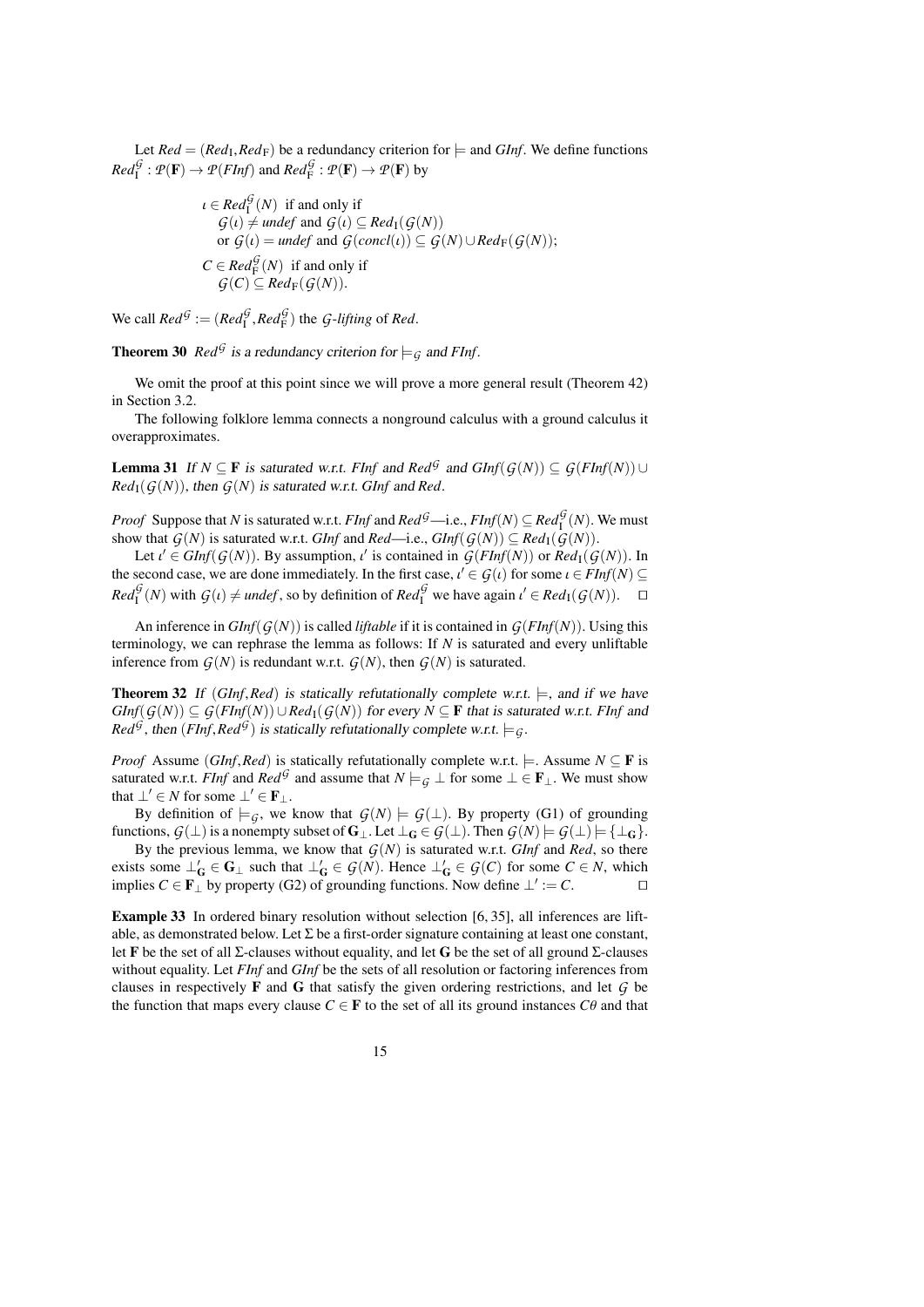Let *Red* =  $(Red_{\rm F})$ , *Red*<sub>F</sub>) be a redundancy criterion for  $\models$  and *GInf*. We define functions  $Red_{\rm I}^{\mathcal G}: \mathcal P({\bf F})\to \mathcal P(FInf)$  and  $Red_{\rm F}^{\mathcal G}: \mathcal P({\bf F})\to \mathcal P({\bf F})$  by

$$
\iota \in Red_1^{\mathcal{G}}(N) \text{ if and only if}
$$
  
\n
$$
\mathcal{G}(\iota) \neq under \text{ and } \mathcal{G}(\iota) \subseteq Red_1(\mathcal{G}(N))
$$
  
\nor 
$$
\mathcal{G}(\iota) = under \text{ and } \mathcal{G}(concl(\iota)) \subseteq \mathcal{G}(N) \cup Red_F(\mathcal{G}(N));
$$
  
\n
$$
C \in Red_F^{\mathcal{G}}(N) \text{ if and only if}
$$
  
\n
$$
\mathcal{G}(C) \subseteq Red_F(\mathcal{G}(N)).
$$

We call  $Red^{\mathcal{G}} := (Red^{\mathcal{G}}_I, Red^{\mathcal{G}}_F)$  the *G*-*lifting* of *Red*.

<span id="page-14-1"></span>**Theorem 30** *Red*<sup>G</sup> is a redundancy criterion for  $\models$   $\mathcal{G}$  and *FInf*.

We omit the proof at this point since we will prove a more general result (Theorem [42\)](#page-17-0) in Section [3.2.](#page-15-0)

The following folklore lemma connects a nonground calculus with a ground calculus it overapproximates.

<span id="page-14-2"></span>**Lemma 31** If *N* ⊆ **F** is saturated w.r.t. *FInf* and  $\text{Red}^{\mathcal{G}}$  and  $\text{GInf}(\mathcal{G}(N)) \subseteq \mathcal{G}(\text{FInf}(N)) \cup$  $Red_{I}(G(N))$ , then  $G(N)$  is saturated w.r.t. *GInf* and *Red*.

*Proof* Suppose that *N* is saturated w.r.t. *FInf* and  $Red^{\mathcal{G}}$ —i.e.,  $FInf(N) \subseteq Red^{\mathcal{G}}_1(N)$ . We must show that  $G(N)$  is saturated w.r.t. *GInf* and *Red*—i.e.,  $GInf(G(N)) \subseteq Red_1(G(N))$ .

Let  $\iota' \in \text{GInf}(\mathcal{G}(N))$ . By assumption,  $\iota'$  is contained in  $\mathcal{G}(\text{FInf}(N))$  or  $\text{Red}_1(\mathcal{G}(N))$ . In second case, we are done immediately. In the first case,  $\iota' \in \mathcal{G}(\iota)$  for some  $\iota \in \text{EInf}(N) \subset$ the second case, we are done immediately. In the first case,  $\iota' \in \mathcal{G}(\iota)$  for some  $\iota \in \mathit{FInf}(N) \subseteq \mathbb{R}$ ,  $\iota^{\mathcal{G}}(N)$  with  $\mathcal{G}(\iota)$   $\iota' = \iota^{\mathcal{G}}(N)$  is the definition of  $\mathbb{R}$ ,  $\iota^{\mathcal{G}}(N)$  and  $Red_{\mathcal{I}}^{\mathcal{G}}(N)$  with  $\mathcal{G}(i) \neq \text{under}f$ , so by definition of  $Red_{\mathcal{I}}^{\mathcal{G}}$  we have again  $\iota' \in Red_{\mathcal{I}}(\mathcal{G}(N))$ .  $\square$ 

An inference in *GInf*( $G(N)$ ) is called *liftable* if it is contained in  $G(FInf(N))$ . Using this terminology, we can rephrase the lemma as follows: If *N* is saturated and every unliftable inference from  $G(N)$  is redundant w.r.t.  $G(N)$ , then  $G(N)$  is saturated.

<span id="page-14-0"></span>**Theorem 32** If (*GInf,Red*) is statically refutationally complete w.r.t.  $\models$ , and if we have *GInf*( $G(N)$ ) ⊆  $G(FInf(N)) \cup Red_1(G(N))$  for every  $N ⊆ F$  that is saturated w.r.t. *FInf* and *Red*<sup>*G*</sup>, then (*FInf*,*Red*<sup>*G*</sup>) is statically refutationally complete w.r.t.  $\models$  *G*.

*Proof* Assume (*GInf*,*Red*) is statically refutationally complete w.r.t.  $\models$ . Assume *N* ⊆ **F** is saturated w.r.t. *FInf* and *Red*<sup>*G*</sup> and assume that  $N \models_G \bot$  for some  $\bot \in \mathbf{F}_\bot$ . We must show that  $\perp' \in N$  for some  $\perp' \in \mathbf{F}_{\perp}$ .

By definition of  $\models$  *G*, we know that  $G(N) \models G(\bot)$ . By property (G1) of grounding functions,  $G(\perp)$  is a nonempty subset of  $G_{\perp}$ . Let  $\perp_G \in G(\perp)$ . Then  $G(N) \models G(\perp) \models {\perp_G}$ .

By the previous lemma, we know that  $G(N)$  is saturated w.r.t. *GInf* and *Red*, so there exists some  $\perp'_G \in G_\perp$  such that  $\perp'_G \in \mathcal{G}(N)$ . Hence  $\perp'_G \in \mathcal{G}(C)$  for some  $C \in N$ , which implies  $C \in \mathbf{F}$  by property (G2) of grounding functions. Now define  $\bot' := C$ . □

Example 33 In ordered binary resolution without selection [\[6,](#page-38-0) [35\]](#page-39-12), all inferences are liftable, as demonstrated below. Let  $\Sigma$  be a first-order signature containing at least one constant, let F be the set of all Σ-clauses without equality, and let G be the set of all ground Σ-clauses without equality. Let *FInf* and *GInf* be the sets of all resolution or factoring inferences from clauses in respectively F and G that satisfy the given ordering restrictions, and let *G* be the function that maps every clause  $C \in \mathbf{F}$  to the set of all its ground instances  $C\theta$  and that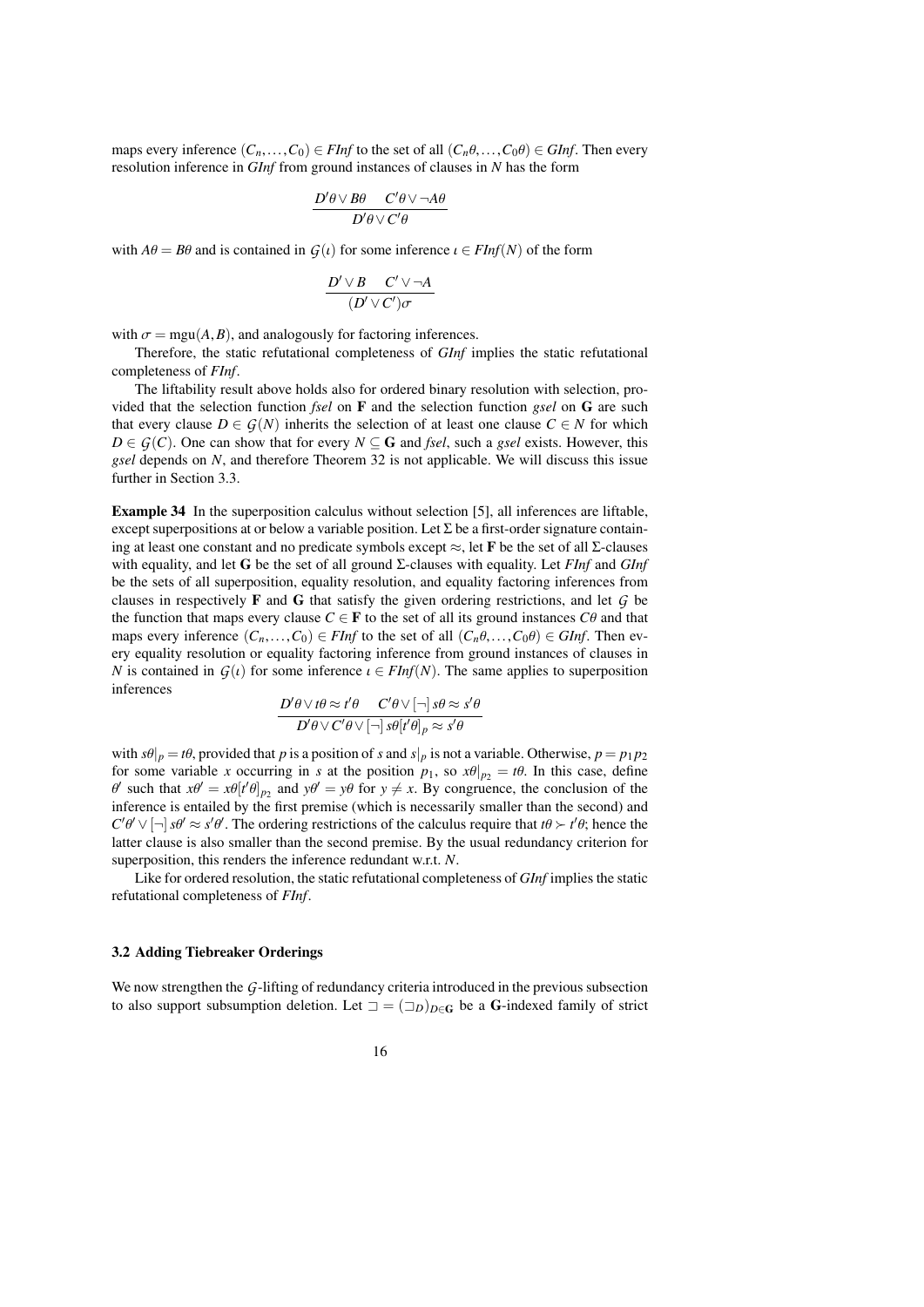maps every inference  $(C_n, \ldots, C_0) \in FInf$  to the set of all  $(C_n \theta, \ldots, C_0 \theta) \in GInf$ . Then every resolution inference in *GInf* from ground instances of clauses in *N* has the form

$$
\frac{D'\theta \vee B\theta \quad C'\theta \vee \neg A\theta}{D'\theta \vee C'\theta}
$$

with  $A\theta = B\theta$  and is contained in  $G(\iota)$  for some inference  $\iota \in FInf(N)$  of the form

$$
\frac{D'\vee B \quad C'\vee\neg A}{(D'\vee C')\sigma}
$$

with  $\sigma = \text{mgu}(A, B)$ , and analogously for factoring inferences.

Therefore, the static refutational completeness of *GInf* implies the static refutational completeness of *FInf*.

The liftability result above holds also for ordered binary resolution with selection, provided that the selection function *fsel* on F and the selection function *gsel* on G are such that every clause  $D \in \mathcal{G}(N)$  inherits the selection of at least one clause  $C \in N$  for which *D* ∈ *G*(*C*). One can show that for every *N* ⊆ **G** and *fsel*, such a *gsel* exists. However, this *gsel* depends on *N*, and therefore Theorem [32](#page-14-0) is not applicable. We will discuss this issue further in Section [3.3.](#page-19-0)

Example 34 In the superposition calculus without selection [\[5\]](#page-38-6), all inferences are liftable, except superpositions at or below a variable position. Let  $\Sigma$  be a first-order signature containing at least one constant and no predicate symbols except  $\approx$ , let **F** be the set of all  $\Sigma$ -clauses with equality, and let G be the set of all ground Σ-clauses with equality. Let *FInf* and *GInf* be the sets of all superposition, equality resolution, and equality factoring inferences from clauses in respectively F and G that satisfy the given ordering restrictions, and let *G* be the function that maps every clause  $C \in \mathbf{F}$  to the set of all its ground instances  $C\theta$  and that maps every inference  $(C_n, \ldots, C_0) \in FInf$  to the set of all  $(C_n \theta, \ldots, C_0 \theta) \in GInf$ . Then every equality resolution or equality factoring inference from ground instances of clauses in *N* is contained in  $G(t)$  for some inference  $t \in FInf(N)$ . The same applies to superposition inferences

$$
\frac{D'\theta \vee t\theta \approx t'\theta \quad C'\theta \vee [\neg] s\theta \approx s'\theta}{D'\theta \vee C'\theta \vee [\neg] s\theta[t'\theta]_p \approx s'\theta}
$$

with  $s\theta|_p = t\theta$ , provided that *p* is a position of *s* and  $s|_p$  is not a variable. Otherwise,  $p = p_1 p_2$ for some variable *x* occurring in *s* at the position  $p_1$ , so  $x\theta|_{p_2} = t\theta$ . In this case, define inference is entailed by the first premise (which is necessarily smaller than the second) and such that  $x\theta' = x\theta[t'\theta]_{p_2}$  and  $y\theta' = y\theta$  for  $y \neq x$ . By congruence, the conclusion of the precessorily smaller than the second) and  $C'\theta' \vee [\neg] s\theta' \approx s'\theta'.$  The ordering restrictions of the calculus require that  $t\theta \succ t'\theta$ ; hence the latter clause is also smaller than the second premise. By the usual redundancy criterion for latter clause is also smaller than the second premise. By the usual redundancy criterion for superposition, this renders the inference redundant w.r.t. *N*.

Like for ordered resolution, the static refutational completeness of *GInf* implies the static refutational completeness of *FInf*.

### <span id="page-15-0"></span>3.2 Adding Tiebreaker Orderings

We now strengthen the *G*-lifting of redundancy criteria introduced in the previous subsection to also support subsumption deletion. Let  $\Box = (\Box_D)_{D \in \mathbb{G}}$  be a G-indexed family of strict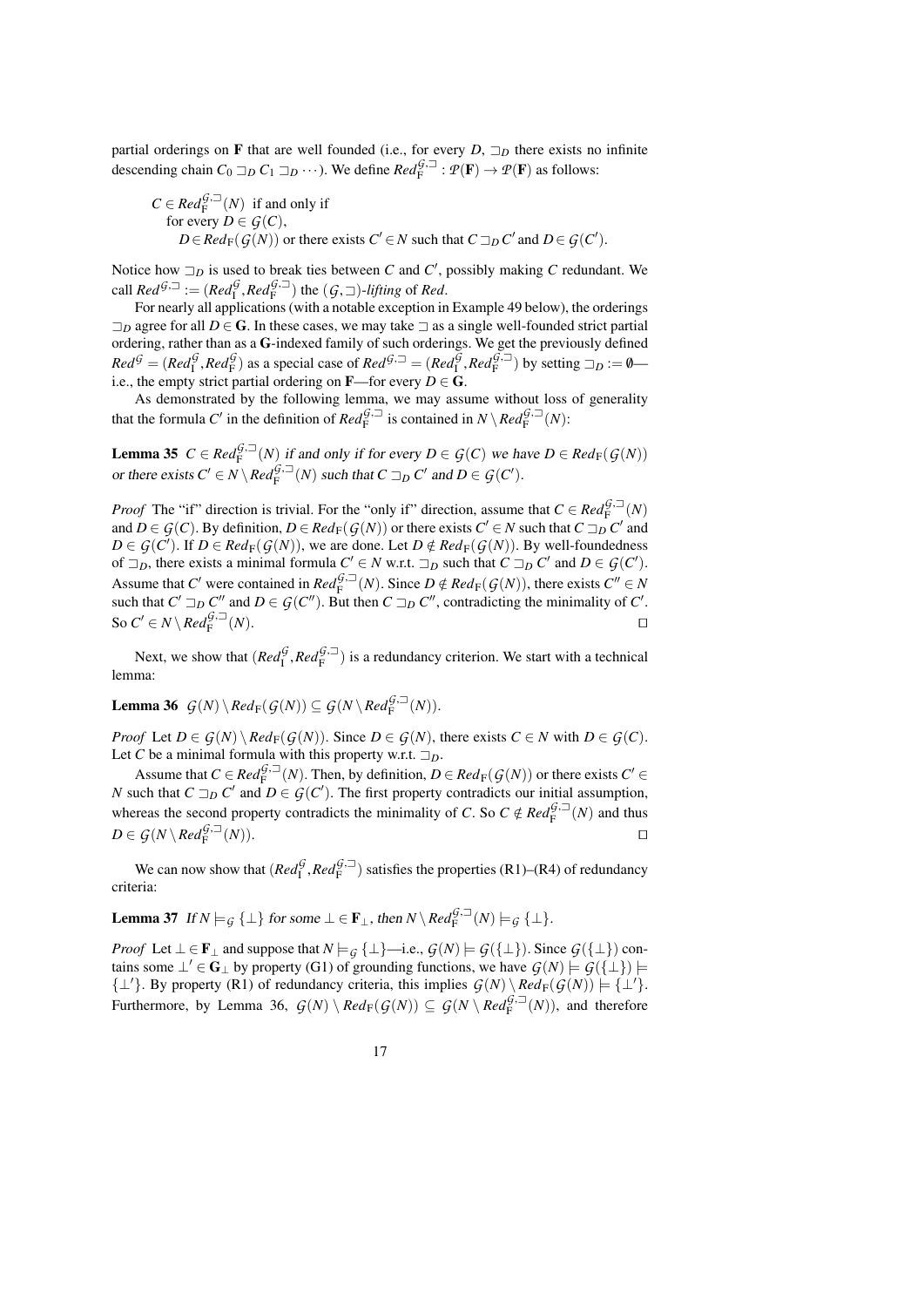partial orderings on F that are well founded (i.e., for every  $D$ ,  $\Box_D$  there exists no infinite descending chain  $C_0 \Box_D C_1 \Box_D \cdots$ ). We define  $Red_F^{\mathcal{G},\Box} : \mathcal{P}(\mathbf{F}) \to \mathcal{P}(\mathbf{F})$  as follows:

$$
C \in Red_F^{G,\square}(N) \text{ if and only if}
$$
  
for every  $D \in \mathcal{G}(C)$ ,  
 $D \in Red_F(\mathcal{G}(N))$  or there exists  $C' \in N$  such that  $C \sqsupseteq_D C'$  and  $D \in \mathcal{G}(C')$ .

Notice how  $\Box_D$  is used to break ties between *C* and *C'*, possibly making *C* redundant. We call  $Red^{G,\square} := (Red^{G}_{F}, Red^{G,\square}_{F})$  the  $(G,\square)$ -lifting of *Red*.<br>For nearly all applications (with a notable exception in

For nearly all applications (with a notable exception in Example [49](#page-19-1) below), the orderings  $\Box_D$  agree for all  $D \in \mathbb{G}$ . In these cases, we may take  $\Box$  as a single well-founded strict partial ordering, rather than as a G-indexed family of such orderings. We get the previously defined  $Red^{\mathcal{G}} = (Red^{\mathcal{G}}_I, Red^{\mathcal{G}}_F)$  as a special case of  $Red^{\mathcal{G},\supseteq} = (Red^{\mathcal{G}}_I, Red^{\mathcal{G},\supseteq}$  by setting  $\supseteq_D := \emptyset$ —<br>i.e., the empty strict partial ordering on **E**—for every  $D \in \mathbb{C}$ i.e., the empty strict partial ordering on **F**—for every  $D \in \mathbf{G}$ .

As demonstrated by the following lemma, we may assume without loss of generality that the formula *C'* in the definition of  $\text{Red}_{F}^{\mathcal{G},\square}$  is contained in  $N \setminus \text{Red}_{F}^{\mathcal{G},\square}(N)$ :

<span id="page-16-2"></span>**Lemma 35**  $C \in \text{Red}_{\text{F}}^{\mathcal{G},\square}(N)$  if and only if for every  $D \in \mathcal{G}(C)$  we have  $D \in \text{Red}_{\text{F}}(\mathcal{G}(N))$ or there exists  $C' \in N \setminus Red_F^{\mathcal{G},\square}(N)$  such that  $C \sqsupset_D C'$  and  $D \in \mathcal{G}(C')$ .

*Proof* The "if" direction is trivial. For the "only if" direction, assume that  $C \in Red_F^{G,\square}(N)$ and  $D \in \mathcal{G}(C)$ . By definition,  $D \in \mathbb{R}ed_F(\mathcal{G}(N))$  or there exists  $C' \in N$  such that  $C \sqsupseteq_D C'$  and *D* ∈ *G*(*C*<sup>'</sup>). If *D* ∈ *Red*<sub>F</sub>(*G*(*N*)), we are done. Let *D* ∉ *Red*<sub>F</sub>(*G*(*N*)). By well-foundedness of  $\exists$  a there exists a minimal formula *C*' ∈ *N* wrt.  $\exists$  a such that *C*  $\exists$  a *C*' and *D* ∈ *G*(*C*' of  $\exists_D$ , there exists a minimal formula  $C' \in N$  w.r.t.  $\exists_D$  such that  $C \sqsupseteq_D C'$  and  $D \in \mathcal{G}(C')$ . Assume that *C'* were contained in  $Red_f^{\hat{G},\square}(N)$ . Since  $D \notin Red_f(\mathcal{G}(N))$ , there exists  $C'' \in N$ <br>such that  $C' \supseteq_{\mathcal{G}} C''$  and  $D \in \mathcal{G}(C'')$ . But then  $C \supseteq_{\mathcal{G}} C''$  contradicting the minimality of  $C'$ such that  $C' \sqsupseteq_D C''$  and  $D \in \mathcal{G}(C'')$ . But then  $C \sqsupseteq_D C''$ , contradicting the minimality of  $C'$ . So  $C' \in N \setminus Red_F^{\hat{G},\square}$  $(N)$ .

Next, we show that  $(Red_{\mathbb{F}}^{\mathcal{G}},Red_{\mathbb{F}}^{\mathcal{G},\square})$  is a redundancy criterion. We start with a technical matrices lemma:

# <span id="page-16-1"></span>Lemma 36  $\mathcal{G}(N) \setminus Red_F(\mathcal{G}(N)) \subseteq \mathcal{G}(N \setminus Red_F^{\mathcal{G},\square}(N)).$

*Proof* Let  $D \in \mathcal{G}(N) \setminus \mathcal{R}ed_F(\mathcal{G}(N))$ . Since  $D \in \mathcal{G}(N)$ , there exists  $C \in N$  with  $D \in \mathcal{G}(C)$ . Let *C* be a minimal formula with this property w.r.t.  $\Box_D$ .

Assume that  $C \in \text{Red}_{F}^{\{G, \square\}}(N)$ . Then, by definition,  $D \in \text{Red}_{F}(\mathcal{G}(N))$  or there exists  $C' \in$ *N* such that  $C \sqsupseteq_D C'$  and  $D \in \mathcal{G}(C')$ . The first property contradicts our initial assumption, whereas the second property contradicts the minimality of *C*. So  $C \notin Red_F^{G,\square}(N)$  and thus  $D \subseteq C(N)$ ,  $P^{-G(\square)}(N)$  $D \in \mathcal{G}(N \setminus Red_F^{\mathcal{G},\square})$  $(N)$ ).

We can now show that  $(Red_f^{\mathcal{G}},Red_F^{\mathcal{G},\square})$  satisfies the properties (R1)–(R4) of redundancy criteria:

<span id="page-16-0"></span>**Lemma 37** If 
$$
N \models_G {\bot}
$$
 for some  $\bot \in \mathbf{F}_{\bot}$ , then  $N \setminus Red_F^{G,\square}(N) \models_G {\bot}$ .

*Proof* Let  $\bot \in \mathbf{F}_{\bot}$  and suppose that  $N \models \mathcal{G} \{\bot\}$ —i.e.,  $\mathcal{G}(N) \models \mathcal{G}(\{\bot\})$ . Since  $\mathcal{G}(\{\bot\})$  contains some  $\perp' \in G_\perp$  by property (G1) of grounding functions, we have  $G(N) \models G(\{\perp\}) \models$  $\{\perp\}'\$ . By property (R1) of redundancy criteria, this implies  $G(N) \setminus Red_F(G(N)) \models \{\perp'\}.$ Furthermore, by Lemma [36,](#page-16-1)  $G(N) \setminus Red_F(G(N)) \subseteq G(N \setminus Red_F^{G,\square}(N))$ , and therefore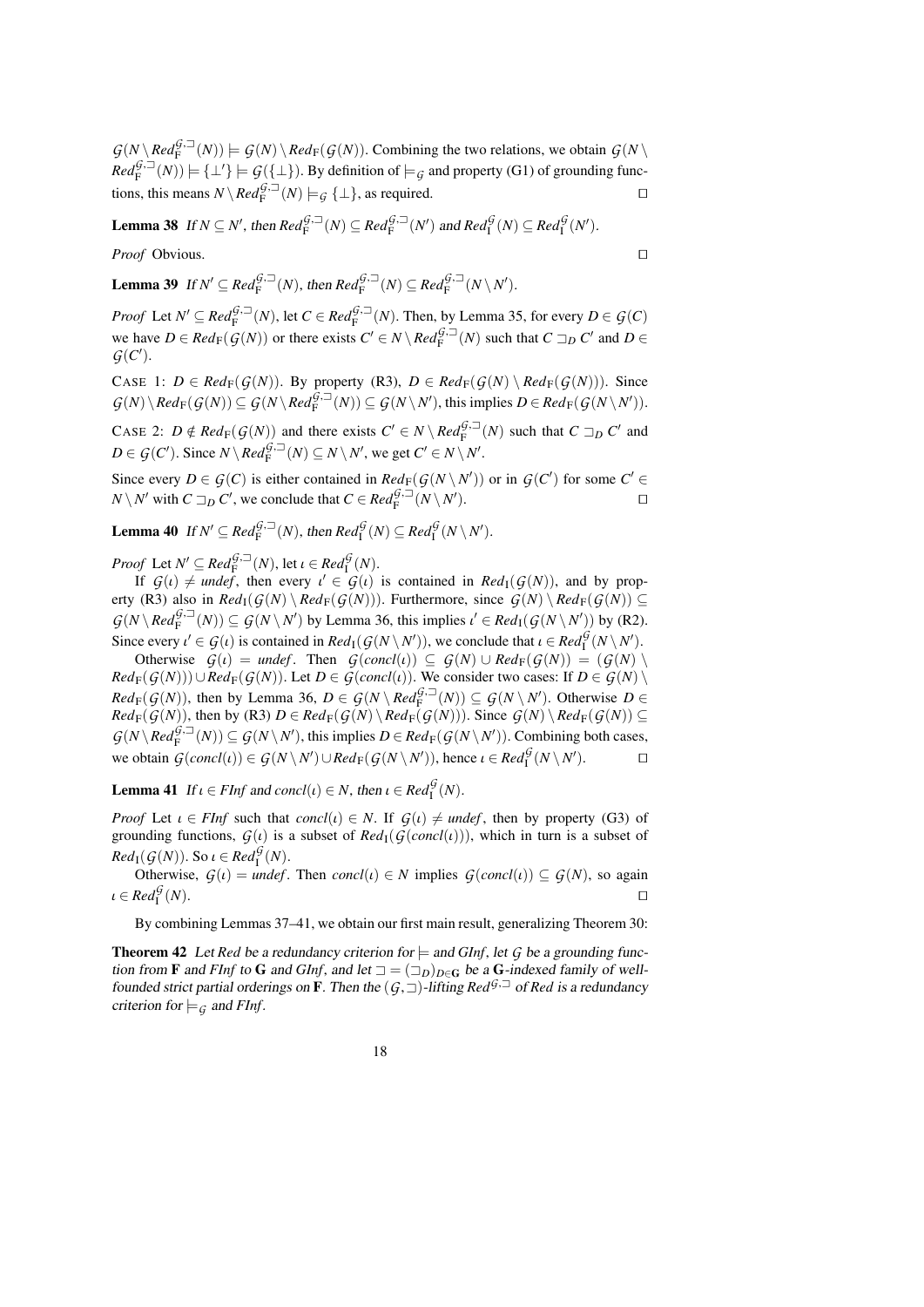$G(N \setminus Red_F^{G,\square}(N)) \models G(N) \setminus Red_F(G(N))$ . Combining the two relations, we obtain  $G(N \setminus$  $Red_{\mathrm{F}}^{G,\square}(N)$   $\models \{\bot'\}\models \mathcal{G}(\{\bot\})$ . By definition of  $\models_{\mathcal{G}}$  and property (G1) of grounding functions, this means  $N \setminus Red_F^{\mathcal{G},\square}(N) \models_{\mathcal{G}} \{\bot\}$ , as required.

Lemma 38 If  $N \subseteq N'$ , then  $Red_F^{G,\square}(N) \subseteq Red_F^{G,\square}(N')$  and  $Red_I^G(N) \subseteq Red_I^G(N')$ .

*Proof* Obvious.

Lemma 39 If  $N' \subseteq Red_F^{G,\square}(N)$ , then  $Red_F^{G,\square}(N) \subseteq Red_F^{G,\square}(N \setminus N')$ .

*Proof* Let  $N' \subseteq Red_F^{G,\square}(N)$ , let  $C \in Red_F^{G,\square}(N)$ . Then, by Lemma [35,](#page-16-2) for every  $D \in \mathcal{G}(C)$ we have  $D \in Red_F(\mathcal{G}(N))$  or there exists  $C' \in N \setminus Red_F^{\mathcal{G},\supseteq}(N)$  such that  $C \supseteq_D C'$  and  $D \in \mathcal{G}(S')$  $G(C')$ .

CASE 1:  $D \in Red_F(G(N))$ . By property (R3),  $D \in Red_F(G(N) \setminus Red_F(G(N)))$ . Since  $G(N) \setminus Red_F(G(N)) \subseteq G(N \setminus Red_F^{\mathcal{G},\square}(N)) \subseteq G(N \setminus N')$ , this implies  $D \in Red_F(G(N \setminus N'))$ .

CASE 2:  $D \notin Red_F(G(N))$  and there exists  $C' \in N \setminus Red_F^{G, \square}(N)$  such that  $C \sqsupseteq_D C'$  and  $D \in C(G)$ . Since  $N \setminus R \cup R \cup T \subseteq N \setminus N'$  $D \in \mathcal{G}(C')$ . Since  $N \setminus \text{Red}_{F}^{\mathcal{G},\square}(N) \subseteq N \setminus N'$ , we get  $C' \in N \setminus N'$ .

Since every  $D \in \mathcal{G}(C)$  is either contained in  $Red_F(\mathcal{G}(N \setminus N'))$  or in  $\mathcal{G}(C')$  for some  $C' \in$  $N \setminus N'$  with  $C \sqsupseteq_D C'$ , we conclude that  $C \in Red_F^{\mathcal{G},\square}(N \setminus N')$ ).  $\qquad \qquad \Box$ 

Lemma 40 If  $N' \subseteq Red_F^{G, \square}(N)$ , then  $Red_I^G(N) \subseteq Red_I^G(N \setminus N')$ .

*Proof* Let  $N' \subseteq Red_F^{\mathcal{G},\square}(N)$ , let  $\iota \in Red_I^{\mathcal{G}}(N)$ .<br>
If  $G(\iota) \neq \text{under}$  then every  $\iota' \in G(\iota)$ 

If  $G(t) \neq \textit{underf}$ , then every  $t' \in G(t)$  is contained in  $\textit{Red}_I(G(N))$ , and by prop-<br>(R3) also in  $\textit{Red}_I(G(N)) \setminus \textit{Red}_I(G(N))$ ). Furthermore, since  $G(N) \setminus \textit{Red}_I(G(N)) \subset$ erty (R3) also in  $Red_{\mathbb{I}}(G(N) \setminus Red_{\mathbb{F}}(G(N)))$ . Furthermore, since  $G(N) \setminus Red_{\mathbb{F}}(G(N)) \subseteq$  $G(N \setminus Red_F^{G, \square}(N)) \subseteq G(N \setminus N')$  by Lemma [36,](#page-16-1) this implies  $\iota' \in Red_I(G(N \setminus N'))$  by (R2). Since every  $\iota' \in \mathcal{G}(\iota)$  is contained in  $Red_1(\mathcal{G}(N \setminus N'))$ , we conclude that  $\iota \in Red_1^{\mathcal{G}}(N \setminus N')$ .<br>Otherwise  $\mathcal{G}(\iota) = \text{under}$  Then  $\mathcal{G}(conc(\iota)) \subset \mathcal{G}(N) \cup Red_1(\mathcal{G}(N)) = (\mathcal{G}(N))$ 

Otherwise  $G(t) =$  *undef*. Then  $G(concl(t)) \subseteq G(N) \cup Red_F(G(N)) = (G(N) \setminus$  $Red_F(G(N))\cup Red_F(G(N))$ . Let  $D \in G(concl(\iota))$ . We consider two cases: If  $D \in G(N) \setminus$  $Red_F(G(N))$ , then by Lemma [36,](#page-16-1)  $D \in G(N \setminus Red_F^{\hat{G},\square}(N)) \subseteq G(N \setminus N')$ . Otherwise  $D \in$ *Red*<sub>F</sub>(*G*(*N*)), then by (R3) *D* ∈ *Red*<sub>F</sub>(*G*(*N*) \*Red*<sub>F</sub>(*G*(*N*))). Since *G*(*N*) \*Red*<sub>F</sub>(*G*(*N*)) ⊆  $G(N \setminus Red_F^{G,\square}(N)) \subseteq G(N \setminus N')$ , this implies  $D \in Red_F(G(N \setminus N'))$ . Combining both cases, we obtain  $G(concl(\iota)) \in G(N \setminus N') \cup Red_F(G(N \setminus N'))$ , hence  $\iota \in Red_f^G(N \setminus N')$ .

<span id="page-17-1"></span>**Lemma 41** If  $\iota \in \text{FInf}$  and  $\text{concl}(\iota) \in N$ , then  $\iota \in \text{Red}_{\mathfrak{l}}^{\mathcal{G}}(N)$ .

*Proof* Let  $\iota \in F\iint$  such that  $concl(\iota) \in N$ . If  $G(\iota) \neq \iota$  *undef*, then by property (G3) of grounding functions,  $G(t)$  is a subset of  $Red_{I}(G(concl(t)))$ , which in turn is a subset of *Red*<sub>I</sub>(*G*(*N*)). So  $\iota \in \text{Red}_{\text{I}}^{\mathcal{G}}(N)$ .<br>Otherwise  $G(\iota) = \text{under}$ 

Otherwise,  $G(t) = \text{indef}$ . Then  $\text{concl}(t) \in N$  implies  $G(\text{concl}(t)) \subseteq G(N)$ , so again  $\text{Red}_{\mathcal{F}}^{\mathcal{G}}(N)$ .  $\iota \in Red_{\rm I}^{\mathcal{G}}$  $(N)$ .

By combining Lemmas [37](#page-16-0)[–41,](#page-17-1) we obtain our first main result, generalizing Theorem [30:](#page-14-1)

<span id="page-17-0"></span>**Theorem 42** Let *Red* be a redundancy criterion for  $\models$  and *GInf*, let *G* be a grounding function from **F** and *FInf* to **G** and *GInf*, and let  $\Box = (\Box_D)_{D \in \mathbf{G}}$  be a **G**-indexed family of wellfounded strict partial orderings on **F**. Then the  $(G, \Box)$ -lifting *Red*<sup> $G, \Box$ </sup> of *Red* is a redundancy criterion for  $\models_G$  and *FInf*.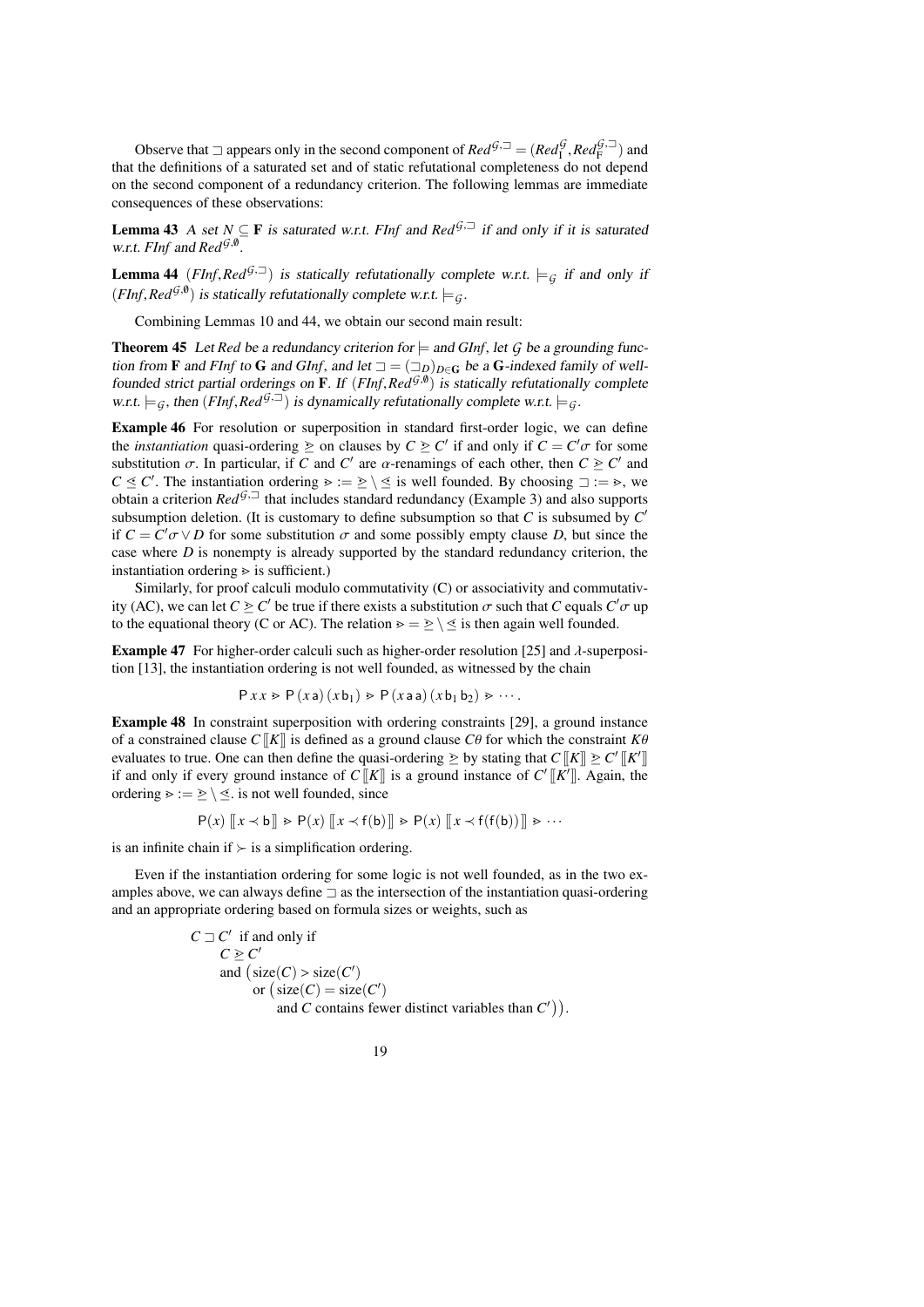Observe that  $\Box$  appears only in the second component of  $Red_5^{\tilde{G},\Box} = (Red_1^{\tilde{G}}, Red_1^{\tilde{G},\Box})$  and the definitions of a saturated set and of static refutational completeness do not depend that the definitions of a saturated set and of static refutational completeness do not depend on the second component of a redundancy criterion. The following lemmas are immediate consequences of these observations:

<span id="page-18-2"></span>**Lemma 43** A set  $N \subseteq \mathbf{F}$  is saturated w.r.t. *FInf* and  $\text{Red}^{\mathcal{G},\supseteq}$  if and only if it is saturated w.r.t. *FInf* and *Red*<sup>G,0</sup>.

<span id="page-18-1"></span>**Lemma 44** (*FInf,Red*<sup>G<sub>j</sub>, $\Box$ </sup>) is statically refutationally complete w.r.t.  $\models$ <sub>G</sub> if and only if  $(FInf, Red^{\mathcal{G}, \emptyset})$  is statically refutationally complete w.r.t.  $\models_{\mathcal{G}}$ .

Combining Lemmas [10](#page-6-0) and [44,](#page-18-1) we obtain our second main result:

<span id="page-18-0"></span>**Theorem 45** Let *Red* be a redundancy criterion for  $\models$  and *GInf*, let *G* be a grounding function from **F** and *FInf* to **G** and *GInf*, and let  $\Box = (\Box_D)_{D \in \mathbb{G}}$  be a **G**-indexed family of wellfounded strict partial orderings on **F**. If  $(FInf, Red^{G,\emptyset})$  is statically refutationally complete<br>w.r.t  $\models$  a then  $(FInf, Red^{G,\square})$  is dynamically refutationally complete w.r.t  $\models$  a w.r.t.  $\models$  *G*, then (*FInf*, *Red*<sup>G<sub>j</sub>,  $\exists$ ) is dynamically refutationally complete w.r.t.  $\models$  *G*.</sup>

<span id="page-18-3"></span>Example 46 For resolution or superposition in standard first-order logic, we can define the *instantiation* quasi-ordering  $\geq$  on clauses by  $C \geq C'$  if and only if  $C = C' \sigma$  for some substitution  $\sigma$ . In particular, if  $C$  and  $C'$  are  $\alpha$ -reparings of each other then  $C \geq C'$  and substitution  $\sigma$ . In particular, if *C* and *C'* are  $\alpha$ -renamings of each other, then  $C \geq C'$  and  $C \leq C'$ . The instantiation ordering  $\alpha \in \mathbb{R} \setminus \mathbb{R}$  is well founded. By choosing  $\alpha \in \mathbb{R} \setminus \mathbb{R}$  $C \leq C'$ . The instantiation ordering  $\geq := \geq \setminus \leq$  is well founded. By choosing  $\Box := \geq$ , we obtain a criterion  $Red^{G_1\Box}$  that includes standard redundancy (Example 3) and also supports obtain a criterion  $Red^{G,\square}$  that includes standard redundancy (Example [3\)](#page-4-2) and also supports subsumption deletion. (It is customary to define subsumption so that  $C$  is subsumed by  $C'$ if  $C = C' \sigma \vee D$  for some substitution  $\sigma$  and some possibly empty clause *D*, but since the case where *D* is nonempty is already supported by the standard redundancy criterion, the case where *D* is nonempty is already supported by the standard redundancy criterion, the instantiation ordering  $\geq$  is sufficient.)

Similarly, for proof calculi modulo commutativity (C) or associativity and commutativity (AC), we can let  $C \geq C'$  be true if there exists a substitution  $\sigma$  such that *C* equals  $C' \sigma$  up to the equational theory (C or AC). The relation  $\delta \to \delta'$  is then again well founded to the equational theory (C or AC). The relation  $\rho = \geq \langle \leq \rangle$  is then again well founded.

**Example 47** For higher-order calculi such as higher-order resolution [\[25\]](#page-38-15) and  $\lambda$ -superposition [\[13\]](#page-38-4), the instantiation ordering is not well founded, as witnessed by the chain

$$
P x x \ge P (x a) (x b1) \ge P (x a a) (x b1 b2) \ge \cdots
$$

Example 48 In constraint superposition with ordering constraints [\[29\]](#page-39-2), a ground instance of a constrained clause  $C[[K]]$  is defined as a ground clause  $C\theta$  for which the constraint  $K\theta$ evaluates to true. One can then define the quasi-ordering  $\geq$  by stating that  $C[[K]] \geq C'[[K']]$ if and only if every ground instance of  $C[[K]]$  is a ground instance of  $C'[[K']]$ . Again, the ordering  $\geq$  :=  $\geq$  \  $\leq$ . is not well founded, since

$$
P(x) \left[ \left[ x \prec b \right] \right] \ge P(x) \left[ \left[ x \prec f(b) \right] \right] \ge P(x) \left[ \left[ x \prec f(f(b)) \right] \right] \ge \cdots
$$

is an infinite chain if  $\succ$  is a simplification ordering.

Even if the instantiation ordering for some logic is not well founded, as in the two examples above, we can always define  $\exists$  as the intersection of the instantiation quasi-ordering and an appropriate ordering based on formula sizes or weights, such as

> $C \sqsupset C'$  if and only if<br> $C \geq C'$ and  $\left( \text{size}(C) > \text{size}(C') \right)$ <br>or  $\left( \text{size}(C) = \text{size}(C') \right)$ or  $(\text{size}(C) = \text{size}(C')$ and *C* contains fewer distinct variables than  $C'$ ).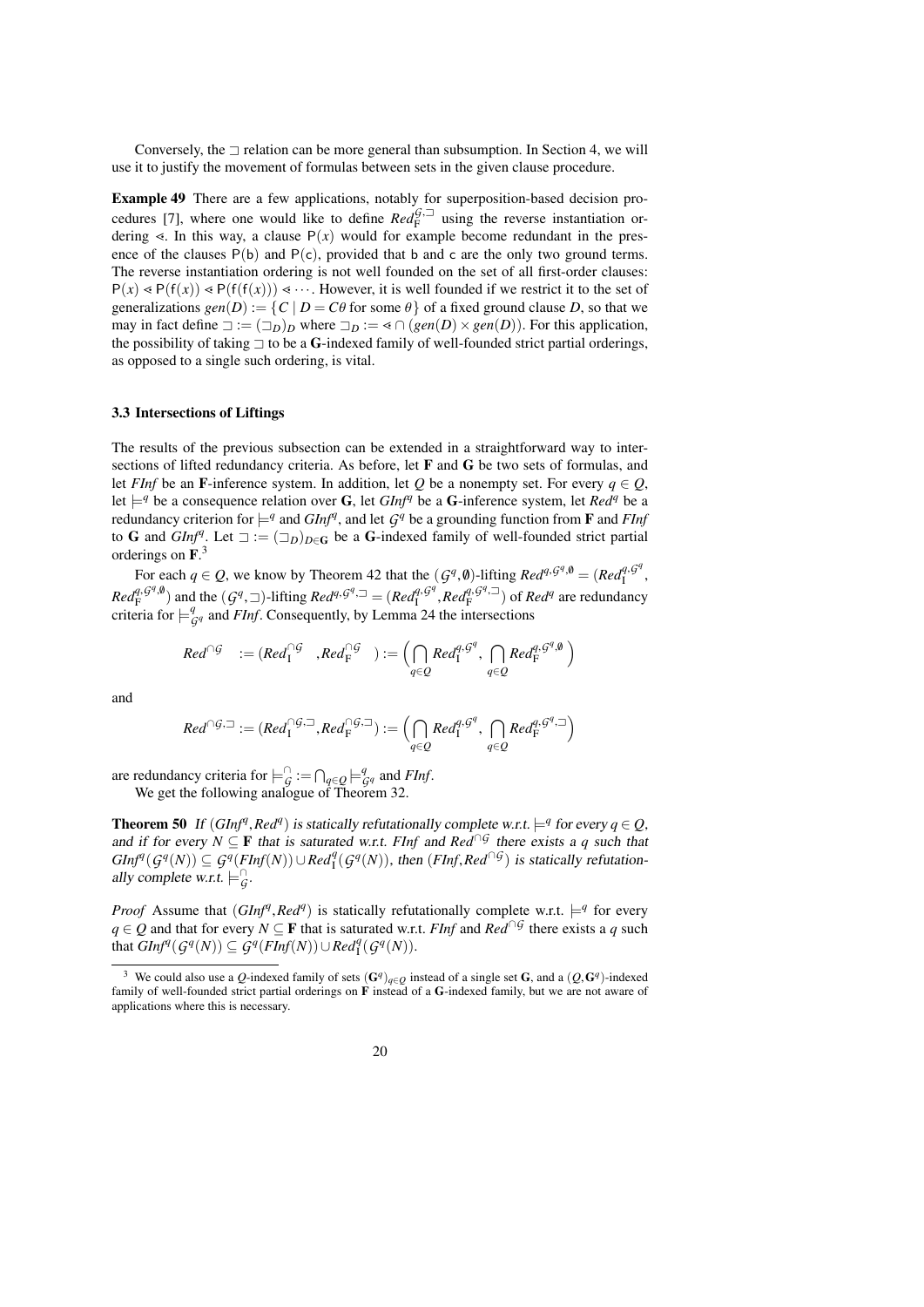Conversely, the  $\exists$  relation can be more general than subsumption. In Section [4,](#page-23-0) we will use it to justify the movement of formulas between sets in the given clause procedure.

<span id="page-19-1"></span>Example 49 There are a few applications, notably for superposition-based decision pro-cedures [\[7\]](#page-38-16), where one would like to define  $Red_F^{G, \square}$  using the reverse instantiation ordering  $\le$ . In this way, a clause  $P(x)$  would for example become redundant in the presence of the clauses  $P(b)$  and  $P(c)$ , provided that b and c are the only two ground terms. The reverse instantiation ordering is not well founded on the set of all first-order clauses:  $P(x) \le P(f(x)) \le P(f(f(x))) \le \cdots$ . However, it is well founded if we restrict it to the set of generalizations  $gen(D) := \{ C \mid D = C\theta \text{ for some } \theta \}$  of a fixed ground clause *D*, so that we may in fact define  $\Box := (\Box_D)_D$  where  $\Box_D := \triangleleft \cap (gen(D) \times gen(D)).$  For this application, the possibility of taking  $\exists$  to be a G-indexed family of well-founded strict partial orderings, as opposed to a single such ordering, is vital.

#### <span id="page-19-0"></span>3.3 Intersections of Liftings

The results of the previous subsection can be extended in a straightforward way to intersections of lifted redundancy criteria. As before, let F and G be two sets of formulas, and let *FInf* be an F-inference system. In addition, let *Q* be a nonempty set. For every  $q \in Q$ , let  $\models^q$  be a consequence relation over G, let  $GInf^q$  be a G-inference system, let  $Red^q$  be a redundancy criterion for  $\models^q$  and  $GInf^q$ , and let  $G^q$  be a grounding function from **F** and *FInf* to G and  $GInf^q$ . Let  $\Box := (\Box_D)_{D \in \mathbb{G}}$  be a G-indexed family of well-founded strict partial orderings on  $\mathbf{F}^3$  $\mathbf{F}^3$ .

For each  $q \in Q$ , we know by Theorem [42](#page-17-0) that the  $(G^q, \emptyset)$ -lifting  $Red^{q, G^q, \emptyset} = (Red^{q, G^q}_{\emptyset})$ <br> $q, G^q, \emptyset$ I  $Red_f^{q, G^q, \emptyset}$  and the  $(G^q, \square)$ -lifting  $Red_f^{q, G^q, \square} = (Red_f^{q, G^q}, Red_f^{q, G^q, \square})$  of  $Red_f^{q}$  are redundancy criteria for  $\sqcup^q$  and *Eluf* Consequently, by Lemma 24 the intersections  $\frac{q_1 q^q}{I}$ ,  $Red_f^{q_1 q}$ ,  $\Box$ ) of *Red<sup>q</sup>* are redundancy criteria for  $\models^q_{\mathcal{G}^q}$  and *FInf*. Consequently, by Lemma [24](#page-11-0) the intersections

$$
Red^{\cap G} \quad := (Red_1^{\cap G} \quad , Red_F^{\cap G}) := \Bigl(\bigcap_{q \in Q} Red_1^{q, G^q}, \bigcap_{q \in Q} Red_F^{q, G^q, \emptyset}\Bigr)
$$

and

$$
Red^{\cap G, \square}:=(Red_{\mathrm{I}}^{\cap G, \square}, Red_{\mathrm{F}}^{\cap G, \square}):=\left(\bigcap_{q\in Q}Red_{\mathrm{I}}^{q, G^q}, \bigcap_{q\in Q}Red_{\mathrm{F}}^{q, G^q, \square}\right)
$$

are redundancy criteria for  $\models_{\mathcal{G}}^{\cap} := \bigcap_{q \in \mathcal{Q}} \models_{\mathcal{G}}^q$  and *FInf*.

We get the following analogue of Theorem [32.](#page-14-0)

<span id="page-19-3"></span>**Theorem 50** If  $(GInf^q, Red^q)$  is statically refutationally complete w.r.t.  $\models^q$  for every  $q \in Q$ , and if for every  $N \subseteq \mathbf{F}$  that is saturated w.r.t. *El*uf and  $Red^{\cap q}$  there exists a *a* such that and if for every  $N \subseteq \mathbf{F}$  that is saturated w.r.t. *FInf* and  $\text{Re} d^{\cap G}$  there exists a *q* such that  $GInf^{q}(G^{q}(N)) \subseteq \mathcal{G}^{q}(FInf(N)) \cup Red^{q}_{1}(G^{q}(N))$ , then  $(FInf, Red^{\cap G})$  is statically refutation-<br>ally complete w.r.t  $\vdash^{\cap}$ ally complete w.r.t.  $\models^{\cap}_\mathcal{G}$ .

*Proof* Assume that  $(GInf^q, Red^q)$  is statically refutationally complete w.r.t.  $\models^q$  for every  $q \in Q$  and that for every  $N \subseteq \mathbf{F}$  that is saturated w.r.t. *Eluf* and  $Red^{\cap}G$  there exists a q such *q* ∈ *Q* and that for every *N* ⊆ **F** that is saturated w.r.t. *FInf* and *Red*<sup>∩*G*</sup> there exists a *q* such that  $\overline{GInf}^q(G^q(N)) \subseteq \overline{\mathcal{G}}^q(FInf(N)) \cup \overline{Red^q_1}(G^q(N)).$ 

<span id="page-19-2"></span><sup>&</sup>lt;sup>3</sup> We could also use a *Q*-indexed family of sets  $(G<sup>q</sup>)<sub>q</sub>∈Q$  instead of a single set G, and a  $(Q,G<sup>q</sup>)$ -indexed mily of well-founded strict partial orderings on **F** instead of a G-indexed family but we are not family of well-founded strict partial orderings on F instead of a G-indexed family, but we are not aware of applications where this is necessary.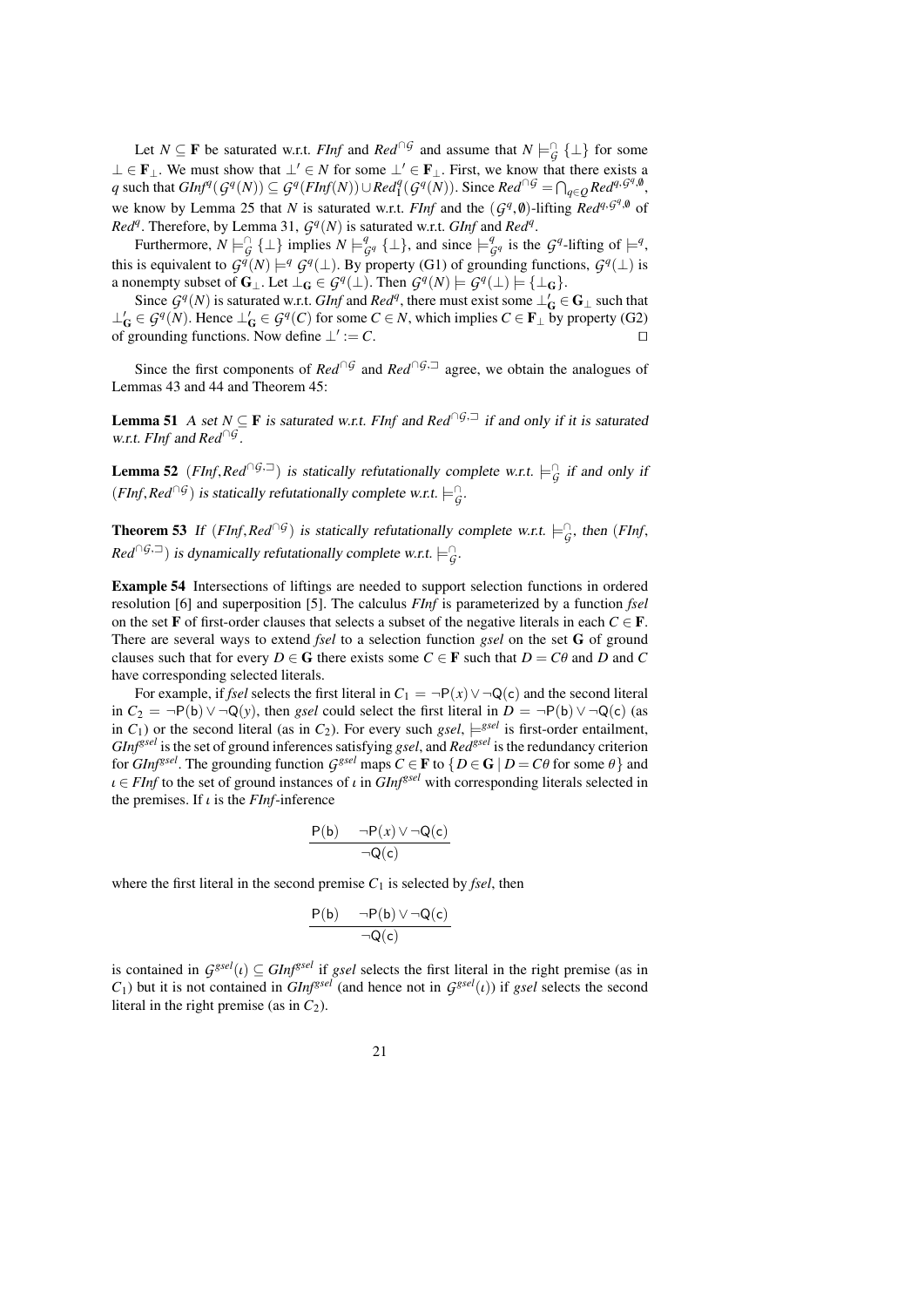Let *N*  $\subseteq$  **F** be saturated w.r.t. *FInf* and *Red*<sup>∩*G*</sup> and assume that *N*  $\models$ <sup> $\cap$ </sup><sub>*G*</sub> { $\perp$ } for some ⊥ ∈ **F**<sub>⊥</sub>. We must show that  $\bot' \in N$  for some  $\bot' \in \mathbf{F}_{\bot}$ . First, we know that there exists a q such that  $GInf^q(G^q(N)) \subseteq G^q(FInf(N)) \cup Red_1^q(G^q(N))$ . Since  $Red^{\cap G} = \bigcap_{q \in Q} Red^{q, G^q, \emptyset}$ , we know by Lemma [25](#page-12-1) that *N* is saturated w.r.t. *FInf* and the  $(G^q, \emptyset)$ -lifting  $Red^{q, \mathcal{G}^q, \emptyset}$  of  $Red^q$ . Therefore, by Lemma 31,  $G^q(N)$  is saturated w.r.t. *GInf* and  $Red^q$ . *Red<sup>q</sup>*. Therefore, by Lemma [31,](#page-14-2)  $G<sup>q</sup>(N)$  is saturated w.r.t. *GInf* and *Red<sup>q</sup>*.

Furthermore,  $N \models_G^{\cap} \{\bot\}$  implies  $N \models_{G^q}^q \{\bot\}$ , and since  $\models_{G^q}^q$  is the  $G^q$ -lifting of  $\models^q$ , this is equivalent to  $G^{\tilde{q}}(N) \models^q G^q(\perp)$ . By property (G1) of grounding functions,  $G^q(\perp)$  is a nonempty subset of  $\mathbf{G}_{\perp}$ . Let  $\perp_{\mathbf{G}} \in \mathcal{G}^q(\perp)$ . Then  $\mathcal{G}^q(N) \models \mathcal{G}^q(\perp) \models {\perp_{\mathbf{G}}}.$ 

Since  $G^q(N)$  is saturated w.r.t. *GInf* and *Red<sup>q</sup>*, there must exist some  $\perp'_G \in G_\perp$  such that  $\perp'_{\mathbf{G}}$  ∈  $\mathcal{G}^q(N)$ . Hence  $\perp'_{\mathbf{G}}$  ∈  $\mathcal{G}^q(C)$  for some *C* ∈ *N*, which implies *C* ∈ **F**<sub>⊥</sub> by property (G2) of grounding functions. Now define  $\bot' := C$ .  $:= C.$ 

Since the first components of  $Red \cap G$  and  $Red \cap G$ , agree, we obtain the analogues of Lemmas [43](#page-18-2) and [44](#page-18-1) and Theorem [45:](#page-18-0)

**Lemma 51** A set  $N \subseteq F$  is saturated w.r.t. *FInf* and *Red*<sup>∩*G*, $\exists$ </sup> if and only if it is saturated w.r.t. *FInf* and *Red*∩*<sup>G</sup>* .

<span id="page-20-1"></span>**Lemma 52** (*FInf,Red*<sup>∩*G*, $\sup$ </sup>) is statically refutationally complete w.r.t.  $\models$ <sub>*G*</sub> if and only if  $(FInf, Red^{\cap G})$  is statically refutationally complete w.r.t.  $\models^{\cap}_G$ .

<span id="page-20-0"></span>**Theorem 53** If  $(FInf, Red^{\cap G})$  is statically refutationally complete w.r.t.  $\models^{\cap}_G$ , then  $(FInf,$  $Red^{\cap G,\square}$ ) is dynamically refutationally complete w.r.t.  $\models^{\cap}_G$ .

<span id="page-20-2"></span>Example 54 Intersections of liftings are needed to support selection functions in ordered resolution [\[6\]](#page-38-0) and superposition [\[5\]](#page-38-6). The calculus *FInf* is parameterized by a function *fsel* on the set **F** of first-order clauses that selects a subset of the negative literals in each  $C \in \mathbf{F}$ . There are several ways to extend *fsel* to a selection function *gsel* on the set G of ground clauses such that for every  $D \in G$  there exists some  $C \in F$  such that  $D = C\theta$  and *D* and *C* have corresponding selected literals.

For example, if *fsel* selects the first literal in  $C_1 = \neg P(x) \vee \neg Q(c)$  and the second literal in *C*<sup>2</sup> = ¬P(b)∨ ¬Q(*y*), then *gsel* could select the first literal in *D* = ¬P(b)∨ ¬Q(c) (as in  $C_1$ ) or the second literal (as in  $C_2$ ). For every such *gsel*,  $\models^{gsel}$  is first-order entailment, *GInfgsel* is the set of ground inferences satisfying *gsel*, and *Redgsel* is the redundancy criterion for *GInf*<sup>gsel</sup>. The grounding function  $G^{gsel}$  maps  $C \in \mathbf{F}$  to  $\{D \in \mathbf{G} \mid D = C\theta \text{ for some } \theta\}$  and  $\{C \in \mathbf{F} \text{ for the set of ground instances of } \iota \text{ in } Glnfg^{gel} \text{ with corresponding literals selected in } \mathbf{F}$  $\iota \in FInf$  to the set of ground instances of  $\iota$  in  $GInf<sup>gsel</sup>$  with corresponding literals selected in the premises. If  $\iota$  is the *FInf*-inference

$$
\frac{P(b) - \neg P(x) \vee \neg Q(c)}{\neg Q(c)}
$$

where the first literal in the second premise  $C_1$  is selected by *fsel*, then

$$
\frac{P(b) \quad \neg P(b) \lor \neg Q(c)}{\neg Q(c)}
$$

is contained in  $G^{gsel}(t) \subseteq GInf^{gsel}$  if *gsel* selects the first literal in the right premise (as in  $G_t$ ) but it is not contained in  $GInf^{gsel}$  (and hence not in  $G_g^{gsel}(t)$ ) if *asel* selects the second *C*<sub>1</sub>) but it is not contained in *GInf<sup>gsel</sup>* (and hence not in  $G^{gsel}(t)$ ) if *gsel* selects the second literal in the right premise (as in *C*<sub>0</sub>) literal in the right premise (as in  $C_2$ ).

21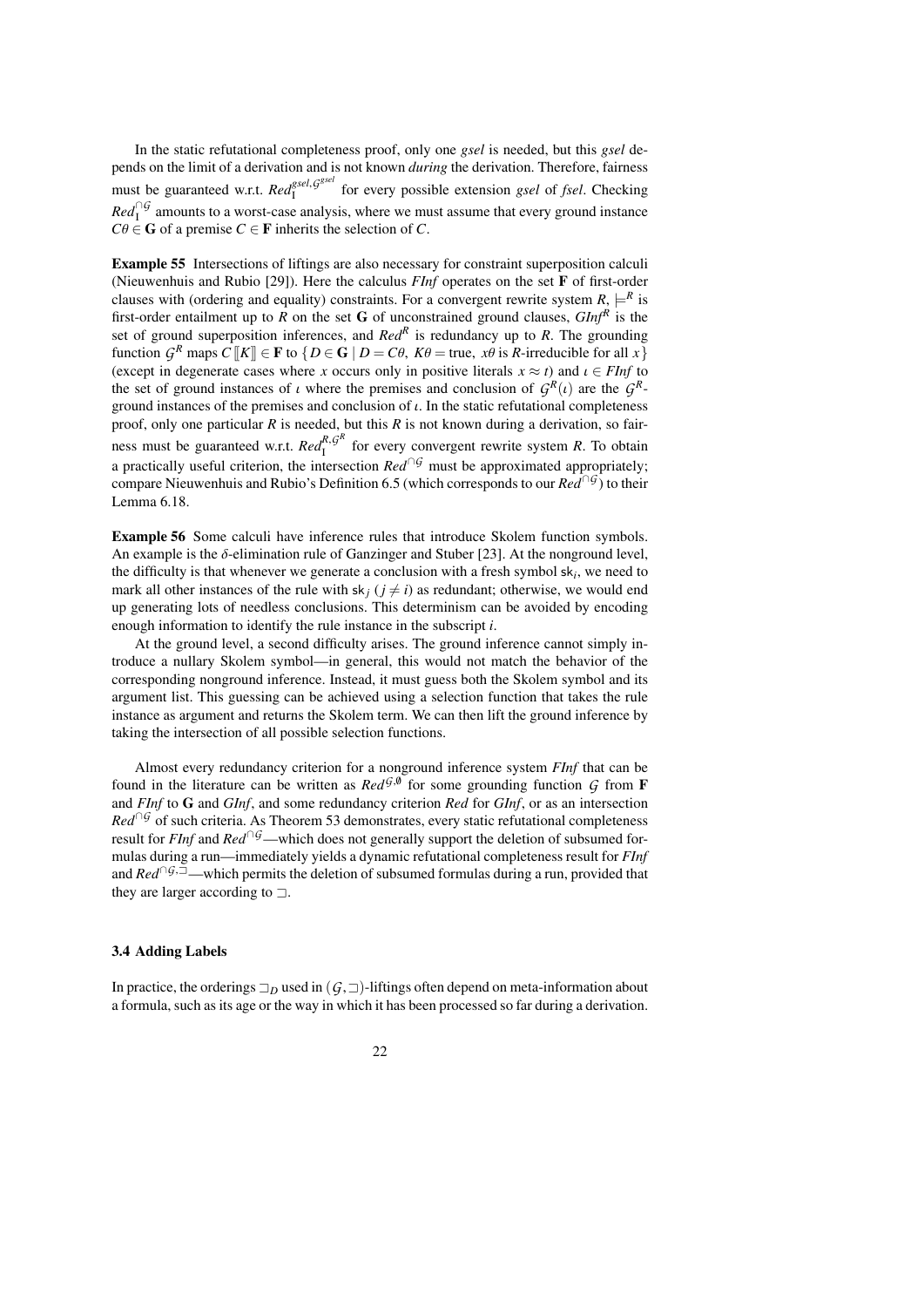In the static refutational completeness proof, only one *gsel* is needed, but this *gsel* depends on the limit of a derivation and is not known *during* the derivation. Therefore, fairness must be guaranteed w.r.t. *Red*<sup>*gsel*, *G<sup>gsel</sup>*</sup> I for every possible extension *gsel* of *fsel*. Checking  $Red<sup>\\\bigcirc</sup>$  amounts to a worst-case analysis, where we must assume that every ground instance  $C\theta \in \mathbf{G}$  of a premise  $C \in \mathbf{F}$  inherits the selection of *C*.

<span id="page-21-0"></span>Example 55 Intersections of liftings are also necessary for constraint superposition calculi (Nieuwenhuis and Rubio [\[29\]](#page-39-2)). Here the calculus *FInf* operates on the set F of first-order clauses with (ordering and equality) constraints. For a convergent rewrite system  $R$ ,  $\models^R$  is first-order entailment up to  $R$  on the set  $G$  of unconstrained ground clauses,  $GInf^R$  is the set of ground superposition inferences, and *Red<sup>R</sup>* is redundancy up to *R*. The grounding function  $G^R$  maps  $C[[K]] \in \mathbf{F}$  to  $\{D \in \mathbf{G} \mid D = C\theta, K\theta = \text{true}, \mathbf{x}\theta \text{ is } R\text{-irreducible for all } x\}$ <br>(except in degenerate cases where x occurs only in positive literals  $x \approx t$ ) and  $t \in EInf$  to (except in degenerate cases where *x* occurs only in positive literals  $x \approx t$ ) and  $\iota \in FInf$  to the set of ground instances of *ι* where the premises and conclusion of  $G^R(t)$  are the  $G^R$ <br>ground instances of the premises and conclusion of *ι* In the static refutational completeness ground instances of the premises and conclusion of  $\iota$ . In the static refutational completeness proof, only one particular *R* is needed, but this *R* is not known during a derivation, so fairness must be guaranteed w.r.t.  $Red^{R,G^R}_I$  $I_I^{R, g}$  for every convergent rewrite system *R*. To obtain a practically useful criterion, the intersection *Red*∩*<sup>G</sup>* must be approximated appropriately; compare Nieuwenhuis and Rubio's Definition 6.5 (which corresponds to our *Red*∩*<sup>G</sup>* ) to their Lemma 6.18.

Example 56 Some calculi have inference rules that introduce Skolem function symbols. An example is the  $\delta$ -elimination rule of Ganzinger and Stuber [\[23\]](#page-38-17). At the nonground level, the difficulty is that whenever we generate a conclusion with a fresh symbol sk*<sup>i</sup>* , we need to mark all other instances of the rule with  $sk_j$  ( $j \neq i$ ) as redundant; otherwise, we would end up generating lots of needless conclusions. This determinism can be avoided by encoding enough information to identify the rule instance in the subscript *i*.

At the ground level, a second difficulty arises. The ground inference cannot simply introduce a nullary Skolem symbol—in general, this would not match the behavior of the corresponding nonground inference. Instead, it must guess both the Skolem symbol and its argument list. This guessing can be achieved using a selection function that takes the rule instance as argument and returns the Skolem term. We can then lift the ground inference by taking the intersection of all possible selection functions.

Almost every redundancy criterion for a nonground inference system *FInf* that can be found in the literature can be written as  $Red^{G,\emptyset}$  for some grounding function G from **F** and *FInf* to G and *GInf*, and some redundancy criterion *Red* for *GInf*, or as an intersection *Red*<sup>∩G</sup> of such criteria. As Theorem [53](#page-20-0) demonstrates, every static refutational completeness result for *FInf* and *Red*<sup>∩*G*</sup>—which does not generally support the deletion of subsumed formulas during a run—immediately yields a dynamic refutational completeness result for *FInf* and *Red*<sup>∩*G*, $\bar{=}$ </sup>—which permits the deletion of subsumed formulas during a run, provided that they are larger according to  $\Box$ .

### <span id="page-21-1"></span>3.4 Adding Labels

In practice, the orderings  $\Box_D$  used in  $(G,\Box)$ -liftings often depend on meta-information about a formula, such as its age or the way in which it has been processed so far during a derivation.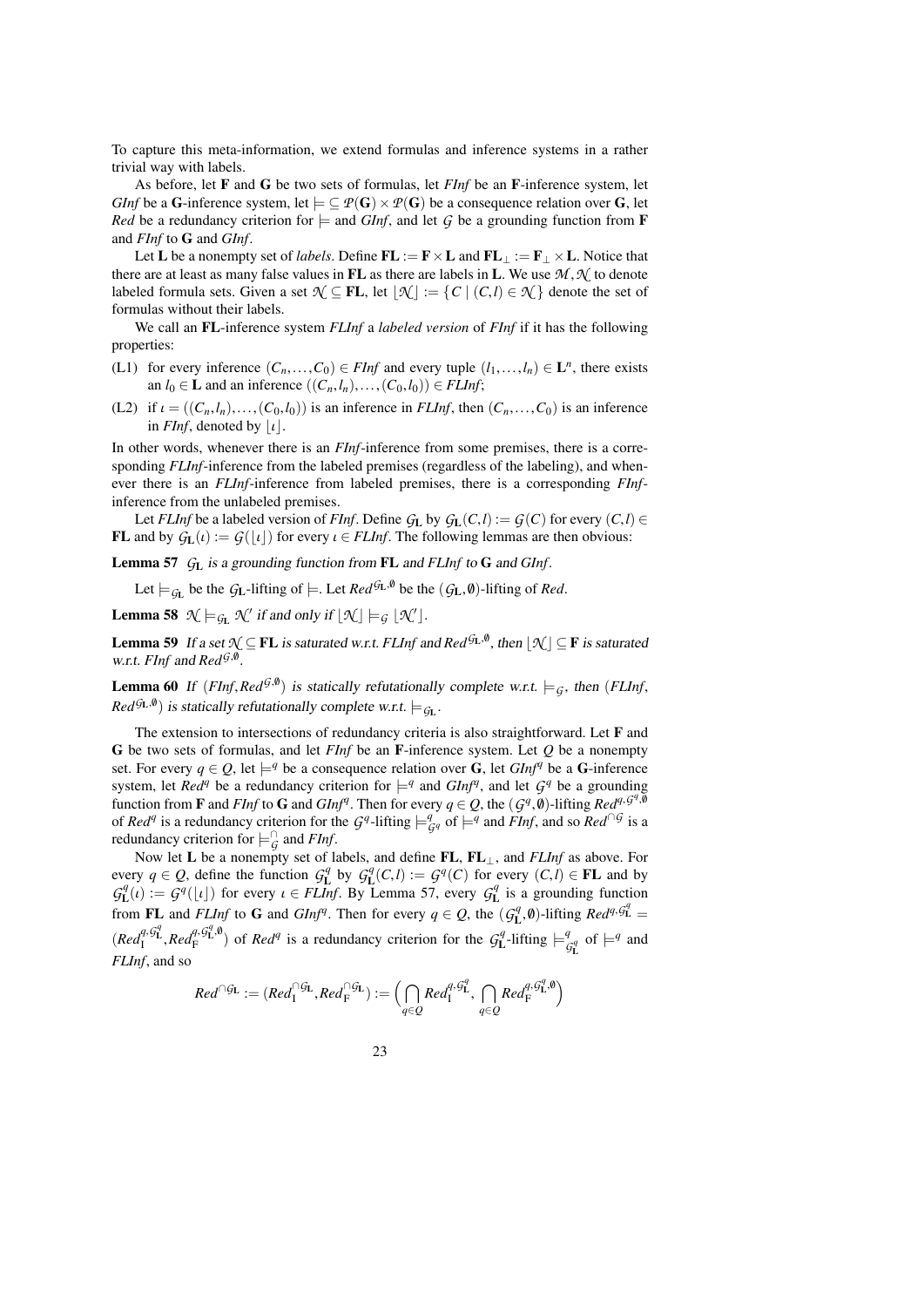To capture this meta-information, we extend formulas and inference systems in a rather trivial way with labels.

As before, let F and G be two sets of formulas, let *FInf* be an F-inference system, let *GInf* be a G-inference system, let  $\models \subseteq P(G) \times P(G)$  be a consequence relation over G, let *Red* be a redundancy criterion for  $\models$  and *GInf*, and let *G* be a grounding function from **F** and *FInf* to G and *GInf*.

Let L be a nonempty set of *labels*. Define  $FL := F \times L$  and  $FL_\perp := F_\perp \times L$ . Notice that there are at least as many false values in FL as there are labels in L. We use  $M, \mathcal{N}$  to denote labeled formula sets. Given a set  $\mathcal{N} \subseteq FL$ , let  $|\mathcal{N}| := {C | (C, l) \in \mathcal{N}}$  denote the set of formulas without their labels.

We call an FL-inference system *FLInf* a *labeled version* of *FInf* if it has the following properties:

- <span id="page-22-3"></span>(L1) for every inference  $(C_n, \ldots, C_0) \in FInf$  and every tuple  $(l_1, \ldots, l_n) \in L^n$ , there exists an  $l_0 \in I$  and an inference  $((C \cup l) \cup (C_0 \cup l_0)) \in FInf$  infer an  $l_0 \in \mathbf{L}$  and an inference  $((C_n, l_n), \ldots, (C_0, l_0)) \in \text{FLInf};$
- <span id="page-22-4"></span>(L2) if  $\iota = ((C_n, l_n), \ldots, (C_0, l_0))$  is an inference in *FLInf*, then  $(C_n, \ldots, C_0)$  is an inference in *FInf*, denoted by  $\vert \iota \vert$ .

In other words, whenever there is an *FInf*-inference from some premises, there is a corresponding *FLInf*-inference from the labeled premises (regardless of the labeling), and whenever there is an *FLInf*-inference from labeled premises, there is a corresponding *FInf*inference from the unlabeled premises.

Let *FLInf* be a labeled version of *FInf*. Define  $G_L$  by  $G_L(C, l) := G(C)$  for every  $(C, l) \in$ **FL** and by  $G_L(i) := G(|i|)$  for every  $i \in FLInf$ . The following lemmas are then obvious:

<span id="page-22-0"></span>Lemma 57 *G*<sup>L</sup> is a grounding function from FL and *FLInf* to G and *GInf*.

Let  $\models$   $g_L$  be the  $g_L$ -lifting of  $\models$ . Let  $Red^{g_L, \emptyset}$  be the  $(g_L, \emptyset)$ -lifting of *Red*.

<span id="page-22-1"></span>**Lemma 58**  $\mathcal{N} \models_{\mathcal{G}_{\mathbf{L}}} \mathcal{N}'$  if and only if  $\lfloor \mathcal{N} \rfloor \models_{\mathcal{G}} \lfloor \mathcal{N}' \rfloor$ .

**Lemma 59** If a set  $\mathcal{N} \subseteq \mathbf{FL}$  is saturated w.r.t. *FLInf* and  $Red^{G_{\mathbf{L}},\emptyset}$ , then  $\lfloor \mathcal{N} \rfloor \subseteq \mathbf{F}$  is saturated w.r.t. *FInf* and *Red*<sup>G,0</sup>.

<span id="page-22-2"></span>**Lemma 60** If  $(FInf, Red^{G,\emptyset})$  is statically refutationally complete w.r.t.  $\models_G$ , then  $(FLInf, Red^{G,\emptyset})$  is atotically refutationally complete w.r.t.  $\models_G$ , then  $(FLInf, Red^{G,\emptyset})$  $Red^{G_{\text{L}},\emptyset}$  is statically refutationally complete w.r.t.  $\models_{G_{\text{L}}}$ .

The extension to intersections of redundancy criteria is also straightforward. Let F and G be two sets of formulas, and let *FInf* be an F-inference system. Let *Q* be a nonempty set. For every  $q \in Q$ , let  $\models^q$  be a consequence relation over G, let  $GInf^q$  be a G-inference system, let *Red<sup>q</sup>* be a redundancy criterion for  $\models q$  and *GInf<sup>q</sup>*, and let  $G^q$  be a grounding function from **F** and *FInf* to **G** and *GInf<sup><i>q*</sup>. Then for every  $q \in Q$ , the  $(q^q, \emptyset)$ -lifting  $Red^{q, q^q, \emptyset}$  of  $Red^{q}$  is a redundancy criterion for the *G*<sup>q</sup>-lifting  $\vdash q$  of  $\vdash q$  and *FInf* and so  $Red^{[0]}$  is a of *Red<sup>q</sup>* is a redundancy criterion for the  $G^q$ -lifting  $\models^q_{G^q}$  of  $\models^q$  and *FInf*, and so *Red*<sup>∩*G*</sup> is a redundancy criterion for  $\models_G^{\cap}$  and *FInf*.

Now let L be a nonempty set of labels, and define FL, FL⊥, and *FLInf* as above. For every  $q \in Q$ , define the function  $G_{\mathbf{L}}^q$  by  $G_{\mathbf{L}}^q(C, l) := G^q(C)$  for every  $(C, l) \in \mathbf{FL}$  and by  $G^q(\iota) := G^q(\iota)$  for every  $\iota \in \mathbf{FL}$  left By Lemma 57 every  $G^q$  is a grounding function  $G_L^q(i) := G^q(\lfloor \iota \rfloor)$  for every  $\iota \in FLInf$ . By Lemma [57,](#page-22-0) every  $G_L^q$  is a grounding function from FL and *FLInf* to G and *GInf<sup>q</sup>*. Then for every  $q \in Q$ , the  $(G_{\mathbf{I}}^q, \emptyset)$ -lifting  $Red^{q, G_{\mathbf{L}}^q} =$  $(\text{Red}_{\text{F}}^{q}, \text{G}_{\text{L}}^{q}, \text{Red}_{\text{F}}^{q})$  of *Red<sup>q</sup>* is a redundancy criterion for the  $\text{G}_{\text{L}}^{q}$ -lifting  $\models \frac{q}{q}$  $\frac{q}{\mathcal{G}_{\mathbf{L}}^q}$  of  $\models^q$  and *FLInf*, and so

$$
\textit{Red}^{\cap\mathcal{G}_\mathbf{L}}:=(\textit{Red}_{\mathbf{I}}^{\cap\mathcal{G}_\mathbf{L}},\textit{Red}_{\mathbf{F}}^{\cap\mathcal{G}_\mathbf{L}}):=\Big(\bigcap_{q\in Q}\textit{Red}_{\mathbf{I}}^{q,\mathcal{G}_\mathbf{L}^q},\ \bigcap_{q\in Q}\textit{Red}_{\mathbf{F}}^{q,\mathcal{G}_\mathbf{L}^q,\emptyset}\Big)
$$

23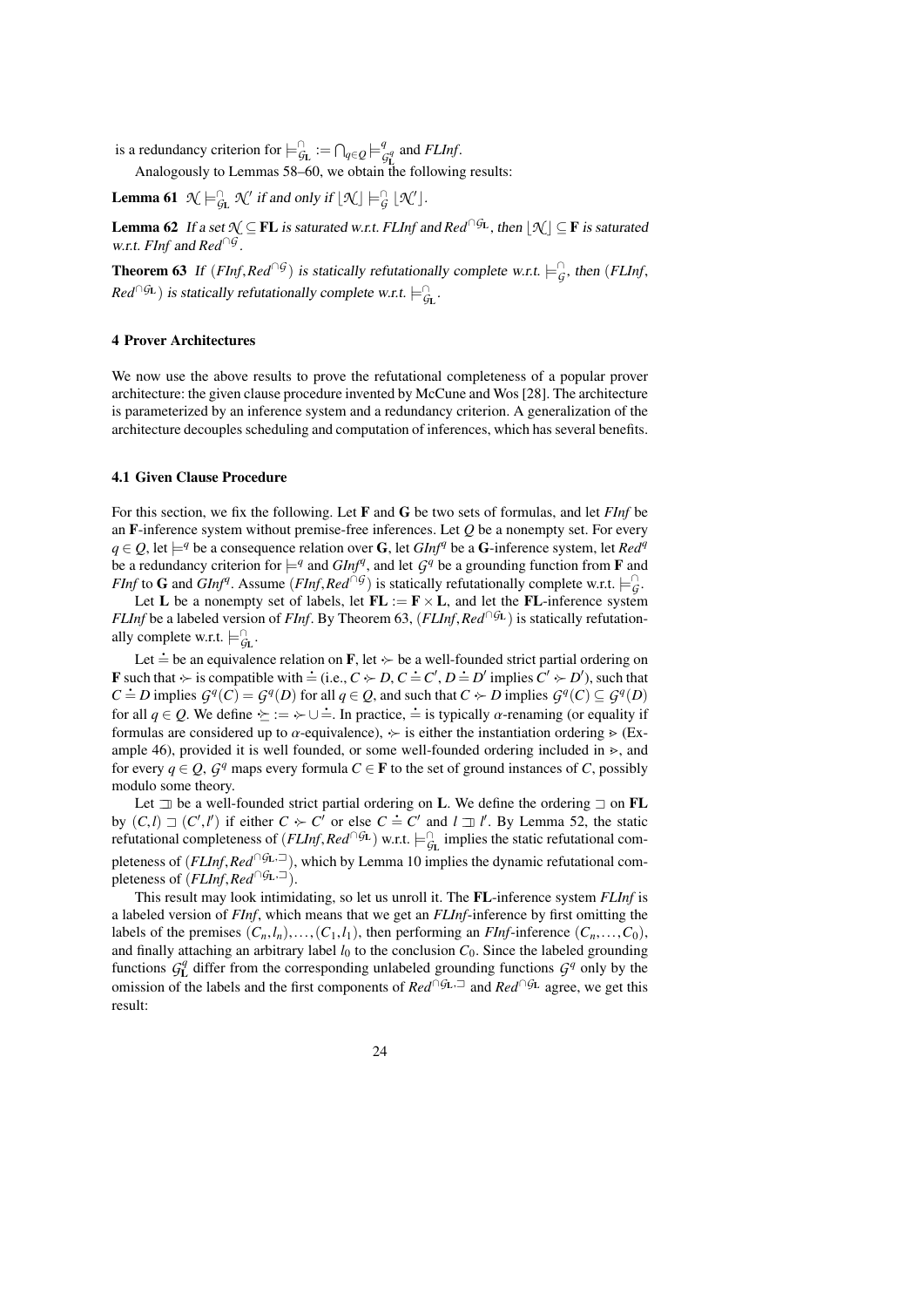is a redundancy criterion for  $\models^{\cap}_{\mathcal{G}_{\mathbf{L}}} := \bigcap_{q \in \mathcal{Q}} \models^q_{\mathcal{C}}$  $\frac{q}{\mathcal{G}_{\mathbf{L}}^q}$  and *FLInf*.

Analogously to Lemmas [58–](#page-22-1)[60,](#page-22-2) we obtain the following results:

<span id="page-23-3"></span>**Lemma 61**  $\mathcal{N} \models_{\mathcal{G}_{\mathbf{L}}}^{\cap} \mathcal{N}'$  if and only if  $\lfloor \mathcal{N} \rfloor \models_{\mathcal{G}}^{\cap} \lfloor \mathcal{N}' \rfloor$ .

**Lemma 62** If a set  $\mathcal{N} \subseteq FL$  is saturated w.r.t. *FLInf* and  $Red^{\cap GL}$ , then  $\mathcal{N} \subseteq F$  is saturated w.r.t. *FInf* and *Red*∩*<sup>G</sup>* .

<span id="page-23-1"></span>**Theorem 63** If  $(FInf, Red^{\cap}G)$  is statically refutationally complete w.r.t.  $\models^{\cap}_G$ , then  $(FLInf,$  $Red^{\cap G_{\mathbf{L}}})$  is statically refutationally complete w.r.t.  $\models_{G_{\mathbf{L}}}^{\cap}$ .

### <span id="page-23-0"></span>4 Prover Architectures

We now use the above results to prove the refutational completeness of a popular prover architecture: the given clause procedure invented by McCune and Wos [\[28\]](#page-39-0). The architecture is parameterized by an inference system and a redundancy criterion. A generalization of the architecture decouples scheduling and computation of inferences, which has several benefits.

### <span id="page-23-4"></span>4.1 Given Clause Procedure

For this section, we fix the following. Let F and G be two sets of formulas, and let *FInf* be an F-inference system without premise-free inferences. Let *Q* be a nonempty set. For every *q* ∈ *Q*, let  $\models$ <sup>*q*</sup> be a consequence relation over **G**, let *GInf<sup>q</sup>* be a **G**-inference system, let *Red<sup>q</sup>* be a redundancy criterion for  $\models^q$  and *GInf<sup>q</sup>*, and let  $G^q$  be a grounding function from **F** and *FInf* to **G** and *GInf<sup>q</sup>*. Assume (*FInf*, *Red*<sup>∩*G*</sup>) is statically refutationally complete w.r.t.  $\models^G_G$ .<br> *Let* **L**, be a nonempty set of labels, let **FL**  $:=$  **F**  $\times$  **L**, and let the **FL** inference system

Let **L** be a nonempty set of labels, let  $FL := F \times L$ , and let the FL-inference system *FLInf* be a labeled version of *FInf*. By Theorem [63,](#page-23-1) (*FLInf*, *Red*<sup>∩*G*L</sup>) is statically refutationally complete w.r.t.  $\models_{\mathcal{G}_{\mathbf{L}}}^{\cap}$ .

Let  $\dot{=}$  be an equivalence relation on **F**, let  $\sim$  be a well-founded strict partial ordering on F such that  $\div$  is compatible with  $\dot{=}$  (i.e.,  $C \div D$ ,  $C \dot{=} C'$ ,  $D \dot{=} D'$  implies  $C' \div D'$ ), such that *C* = *D* implies  $G^q(C) = G^q(D)$  for all  $q \in Q$ , and such that  $C \sim D$  implies  $G^q(C) \subseteq G^q(D)$ for all  $q \in Q$ . We define  $\geq := \rightarrow \cup \doteq$ . In practice,  $\doteq$  is typically  $\alpha$ -renaming (or equality if formulas are considered up to  $\alpha$ -equivalence),  $\succ$  is either the instantiation ordering  $\triangleright$  (Ex-ample [46\)](#page-18-3), provided it is well founded, or some well-founded ordering included in  $\ge$ , and for every  $q \in Q$ ,  $\mathcal{G}^q$  maps every formula  $C \in \mathbf{F}$  to the set of ground instances of *C*, possibly modulo some theory.

Let  $\exists$  be a well-founded strict partial ordering on L. We define the ordering  $\exists$  on FL by  $(C, l) \sqsupset (C', l)$ <br>refutational comp  $(v', l')$  if either  $C \succ C'$  or else  $C = C'$  and  $l = l'$ . By Lemma [52,](#page-20-1) the static refutational completeness of  $(FLInf, Red \cap GL)$  w.r.t.  $\models^{\cap}_{GL}$  implies the static refutational completeness of (*FLInf*,*Red*<sup>∩*G*L,<sup> $□$ </sup>), which by Lemma [10](#page-6-0) implies the dynamic refutational com-</sup> pleteness of  $(FLInf, Red^{\cap}G_{L}, \exists)$ .

<span id="page-23-2"></span>This result may look intimidating, so let us unroll it. The FL-inference system *FLInf* is a labeled version of *FInf*, which means that we get an *FLInf*-inference by first omitting the labels of the premises  $(C_n, l_n), \ldots, (C_1, l_1)$ , then performing an *FInf*-inference  $(C_n, \ldots, C_0)$ , and finally attaching an arbitrary label  $l_0$  to the conclusion  $C_0$ . Since the labeled grounding functions  $G_{\mathbf{L}}^q$  differ from the corresponding unlabeled grounding functions  $G^q$  only by the omission of the labels and the first components of *Red*∩*G*L,<sup>=</sup> and *Red*∩*G*<sup>L</sup> agree, we get this result: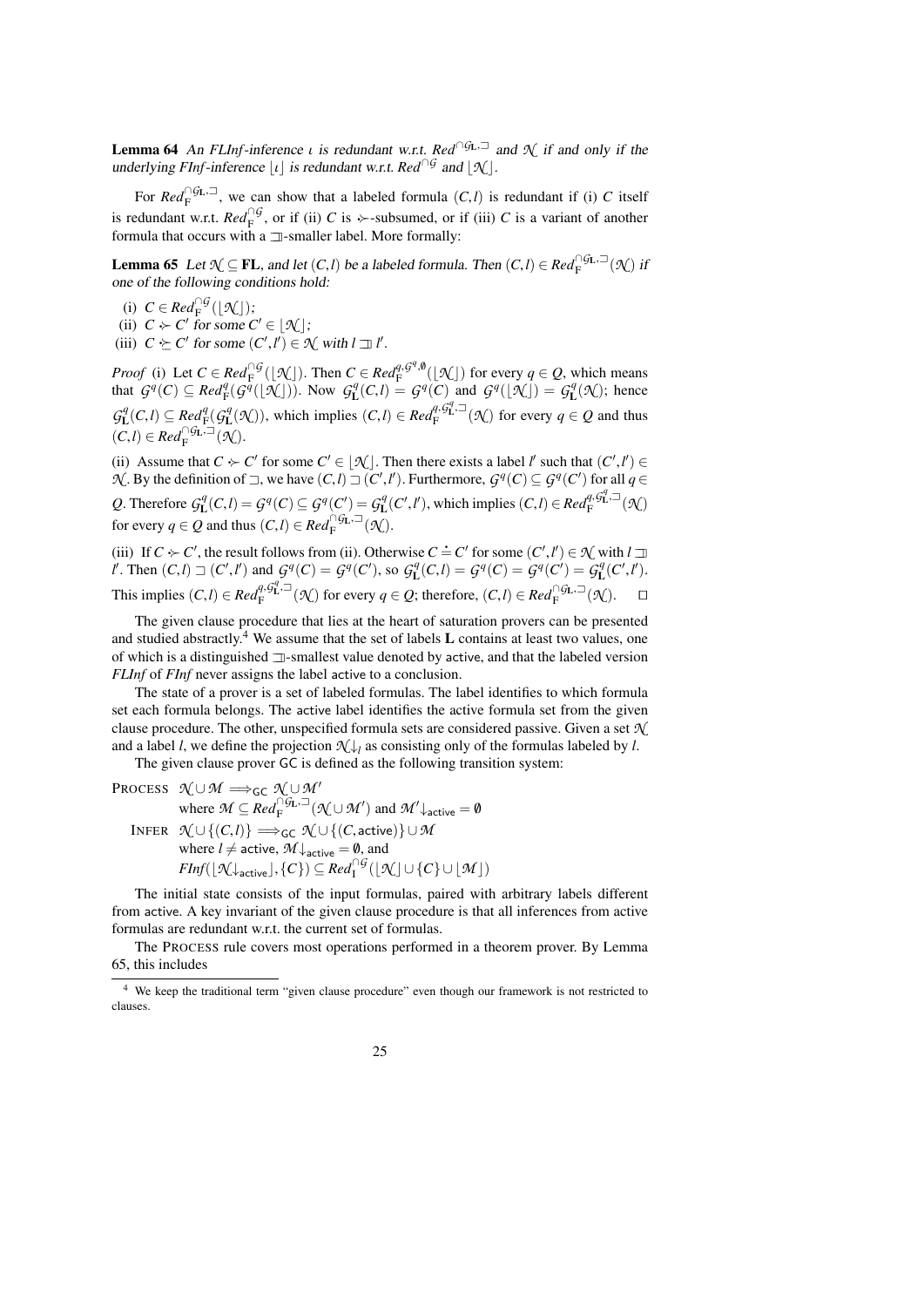**Lemma 64** An *FLInf*-inference *ι* is redundant w.r.t. *Red*<sup>∩*G*L, $\exists$ </sup> and  $\mathcal{N}$  if and only if the underlying *FInf*-inference  $\lfloor \iota \rfloor$  is redundant w.r.t. *Red*<sup>∩*G*</sup> and  $\lfloor \mathcal{H} \rfloor$ .

For  $Red_F^{\cap G_L}$ , we can show that a labeled formula  $(C, l)$  is redundant if (i) *C* itself is redundant w.r.t.  $Red_{\mathbf{F}}^{\cap G}$ , or if (ii) *C* is  $\rightarrow$ -subsumed, or if (iii) *C* is a variant of another formula that occurs with a  $\Box$ -smaller label. More formally:

<span id="page-24-1"></span>**Lemma 65** Let  $\mathcal{N} \subseteq \mathbf{FL}$ , and let  $(C, l)$  be a labeled formula. Then  $(C, l) \in \mathbb{Re} d_{\mathbb{F}}^{\cap G_L, \square}(\mathcal{N})$  if one of the following conditions hold:

- (i)  $C \in Red_{\mathbb{F}}^{\cap G}(\lfloor \mathcal{N} \rfloor);$
- (ii)  $C \succ C'$  for some  $C' \in [\mathcal{K}]$ ;
- <span id="page-24-2"></span>(iii)  $C \succeq C'$  for some  $(C', l') \in \mathcal{N}$  with  $l \sqsupseteq l'$ .

*Proof* (i) Let  $C \in \text{Red}_{F}^{\cap G}(\mathcal{X})$ . Then  $C \in \text{Red}_{F}^{q, G^q, \emptyset}(\mathcal{X})$  for every  $q \in \mathcal{Q}$ , which means that  $G^q(C) \subseteq Red^q(\mathcal{G}^q([\mathcal{N}]))$ . Now  $G^q(\mathcal{C},l) = G^q(C)$  and  $G^q([\mathcal{N}]) = G^q(\mathcal{N})$ ; hence  $G_{\mathbf{L}}^q(C,l) \subseteq \text{Red}_{\mathbf{F}}^q(G_{\mathbf{L}}^q(\mathcal{K}))$ , which implies  $(C,l) \in \text{Red}_{\mathbf{F}}^{q, \mathcal{G}_{\mathbf{L}}^q, \mathcal{I}}(\mathcal{K})$  for every  $q \in \mathcal{Q}$  and thus  $(C, l) \in Red_{\mathcal{F}}^{\cap \mathcal{G}_{\mathbf{L}}, \square}(\mathcal{K}).$ 

(ii) Assume that  $C \succ C'$  for some  $C' \in [\mathcal{N}]$ . Then there exists a label *l'* such that  $(C', l') \in$ Then there exists a label *l'* such that  $(C', l') \in \ell', l'$ . Furthermore,  $G^q(C) \subseteq G^q(C')$  for all  $q \in \ell'$  $\mathcal{N}$ . By the definition of  $\Box$ , we have  $(C, l) \Box (C', l)$ Q. Therefore  $G_{\mathbf{L}}^q(C,l) = G^q(C) \subseteq G^q(C') = G_{\mathbf{L}}^q(C',l')$ , which implies  $(C,l) \in Red_{\mathbf{F}}^{q,q}(\mathcal{F}_{\mathbf{L}}^q, \mathcal{F}_{\mathbf{L}}^q(\mathcal{F}_{\mathbf{L}}))$ for every  $q \in Q$  and thus  $(C, l) \in Red_{\mathcal{F}}^{\cap \mathcal{G}_{\mathbf{L}}, \square}(\mathcal{H})$ .

(iii) If  $C \succ C'$ , the result follows from (ii). Otherwise  $C = C'$  for some  $(C', l') \in \mathcal{N}$  with  $l \exists l'$ <br>  $l'$  Then  $(C, l) \supseteq (C' \ l')$  and  $G^q(C) = G^q(C')$  so  $G^q(C, l) = G^q(C) = G^q(C') = G^q(C' \ l')$ *l'*. Then  $(C, l) \sqsupset (C', l')$  and  $G^q(C) = G^q(C')$ , so  $G^q(L) = G^q(C) = G^q(C') = G^q(C', l')$ . This implies  $(C, l) \in Red_F^{q, G_L^q} \to (\mathcal{N})$  for every  $q \in Q$ ; therefore,  $(C, l) \in Red_F^{\cap G_L, \to}(\mathcal{N})$ .

The given clause procedure that lies at the heart of saturation provers can be presented and studied abstractly.<sup>[4](#page-24-0)</sup> We assume that the set of labels  $L$  contains at least two values, one of which is a distinguished  $\exists$ -smallest value denoted by active, and that the labeled version *FLInf* of *FInf* never assigns the label active to a conclusion.

The state of a prover is a set of labeled formulas. The label identifies to which formula set each formula belongs. The active label identifies the active formula set from the given clause procedure. The other, unspecified formula sets are considered passive. Given a set *N* and a label *l*, we define the projection  $\mathcal{N}\downarrow_l$  as consisting only of the formulas labeled by *l*.

The given clause prover GC is defined as the following transition system:

PROCESS 
$$
\mathcal{N} \cup \mathcal{M} \implies_{\mathsf{GC}} \mathcal{N} \cup \mathcal{M}'
$$
  
\nwhere  $\mathcal{M} \subseteq Red_F^{\cap \mathcal{G}_L, \supseteq} (\mathcal{N} \cup \mathcal{M}')$  and  $\mathcal{M}'_{\text{active}} = \emptyset$   
\nINFER  $\mathcal{N} \cup \{ (C, l) \} \implies_{\mathsf{GC}} \mathcal{N} \cup \{ (C, \text{active}) \} \cup \mathcal{M}$   
\nwhere  $l \neq \text{active}, \mathcal{M}_{\text{active}} = \emptyset$ , and  
\n
$$
FInf([\mathcal{N}_{\text{active}}], \{C\}) \subseteq Red_I^{\cap \mathcal{G}}([\mathcal{N}] \cup \{C\} \cup [\mathcal{M}])
$$

The initial state consists of the input formulas, paired with arbitrary labels different from active. A key invariant of the given clause procedure is that all inferences from active formulas are redundant w.r.t. the current set of formulas.

The PROCESS rule covers most operations performed in a theorem prover. By Lemma [65,](#page-24-1) this includes

<span id="page-24-0"></span><sup>4</sup> We keep the traditional term "given clause procedure" even though our framework is not restricted to clauses.

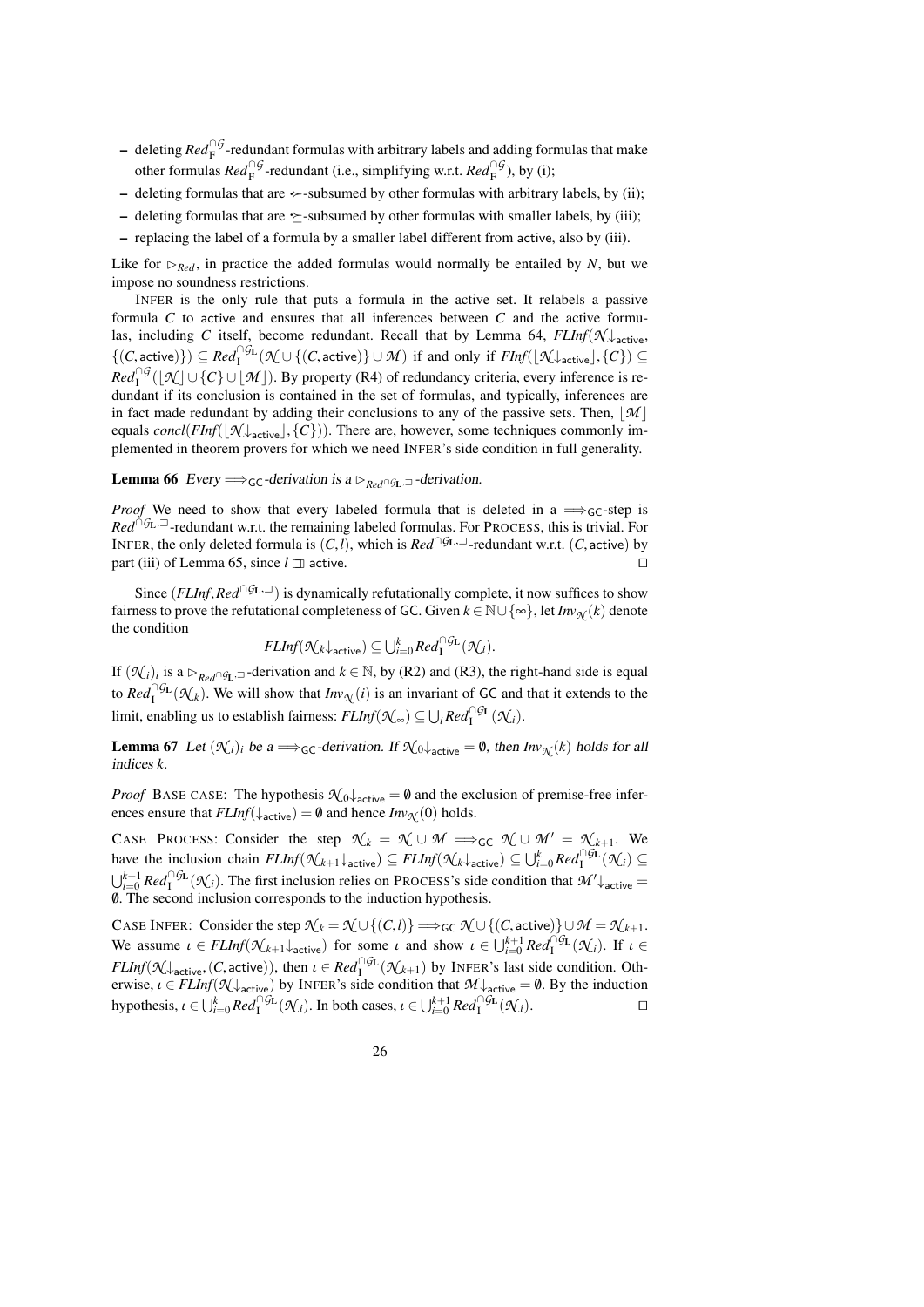- deleting *Red*<sup>∩G</sup>-redundant formulas with arbitrary labels and adding formulas that make other formulas  $Red_{\rm F}^{\cap G}$ -redundant (i.e., simplifying w.r.t.  $Red_{\rm F}^{\cap G}$ ), by (i);
- deleting formulas that are  $\rightarrow$ -subsumed by other formulas with arbitrary labels, by (ii);
- deleting formulas that are  $\rightarrow$ -subsumed by other formulas with smaller labels, by (iii);
- replacing the label of a formula by a smaller label different from active, also by (iii).

Like for  $R_{\text{red}}$ , in practice the added formulas would normally be entailed by *N*, but we impose no soundness restrictions.

INFER is the only rule that puts a formula in the active set. It relabels a passive formula *C* to active and ensures that all inferences between *C* and the active formulas, including *C* itself, become redundant. Recall that by Lemma [64,](#page-23-2)  $FLInf(\mathcal{N} \downarrow)$ <sub>active</sub>,  $\{(C, \text{active})\}$  ⊆  $\text{Red}_{1}^{\cap G_{L}}(\mathcal{N} \cup \{(C, \text{active})\} \cup \mathcal{M})$  if and only if *FInf*( $[\mathcal{N} \downarrow_{\text{active}}], \{C\})$  ⊆  $Red_1^{\cap G}(\lfloor \mathcal{N} \rfloor \cup \{C\} \cup \lfloor \mathcal{M} \rfloor)$ . By property (R4) of redundancy criteria, every inference is redundant if its conclusion is contained in the set of formulas, and typically, inferences are in fact made redundant by adding their conclusions to any of the passive sets. Then,  $\mathcal{M}$ equals  $concl(FInf(\lfloor \mathcal{N} \rfloor_{\text{active}}], \{C\})$ ). There are, however, some techniques commonly implemented in theorem provers for which we need INFER's side condition in full generality.

<span id="page-25-2"></span>**Lemma 66** Every  $\Longrightarrow$ <sub>GC</sub>-derivation is a  $\triangleright_{Red} \cap G$ <sub>L</sub>,  $\supset$ -derivation.

*Proof* We need to show that every labeled formula that is deleted in a  $\Rightarrow$ <sub>GC</sub>-step is *Red*<sup>∩*G*L,<sup> $\Box$ </sup>-redundant w.r.t. the remaining labeled formulas. For PROCESS, this is trivial. For</sup> INFER, the only deleted formula is  $(C, l)$ , which is  $Red^{\cap GL, \square}$ -redundant w.r.t.  $(C, \text{active})$  by part (iii) of Lemma 65, since  $l \square$  active. part (iii) of Lemma [65,](#page-24-1) since  $l \Box$  active.

Since  $(FLInf, Red \cap GL)$  is dynamically refutationally complete, it now suffices to show fairness to prove the refutational completeness of GC. Given  $k \in \mathbb{N} \cup \{\infty\}$ , let  $Inv_{\mathcal{N}}(k)$  denote the condition

$$
\mathit{FLInf}(\mathcal{N}_k\downarrow_{\mathsf{active}})\subseteq \bigcup_{i=0}^k \mathit{Red}^{\cap \mathcal{G}_L}_{\mathsf{I}}(\mathcal{N}_i).
$$

If  $(\mathcal{N}_i)_i$  is a  $\triangleright_{\text{Red}\cap\mathcal{G}_L}$  -derivation and  $k \in \mathbb{N}$ , by (R2) and (R3), the right-hand side is equal to  $Red_{\mathcal{I}}^{\cap\mathcal{G}_{\mathcal{L}}}(\mathcal{N}_k)$ . We will show that  $Inv_{\mathcal{N}}(i)$  is an invariant of GC and that it extends to the  $\text{limit, enabling us to establish fairness: } \text{FLInf}(\mathcal{K}_{\infty}) \subseteq \bigcup_i \text{Red}_1^{\cap \mathcal{G}_L}(\mathcal{K}_i).$ 

<span id="page-25-0"></span>**Lemma 67** Let  $(\mathcal{N}_i)_i$  be a  $\Longrightarrow$  GC-derivation. If  $\mathcal{N}_0 \downarrow$  active  $= \emptyset$ , then  $Inv_{\mathcal{N}}(k)$  holds for all indices *k*.

*Proof* BASE CASE: The hypothesis  $\mathcal{N}_0$   $\downarrow$ <sub>active</sub> = 0 and the exclusion of premise-free inferences ensure that  $FLInf(\downarrow_{\text{active}}) = \emptyset$  and hence  $Inv_{\mathcal{N}}(0)$  holds.

CASE PROCESS: Consider the step  $\mathcal{N}_k = \mathcal{N} \cup \mathcal{M} \implies_{\mathsf{GC}} \mathcal{N} \cup \mathcal{M}' = \mathcal{N}_{k+1}$ . We have the inclusion chain  $FLInf(\mathcal{N}_{k+1} \downarrow_{\text{active}}) \subseteq FLInf(\mathcal{N}_{k} \downarrow_{\text{active}}) \subseteq \bigcup_{i=0}^{k} Red_{1}^{\cap GL}(\mathcal{N}_{i}) \subseteq$  $\bigcup_{i=0}^{k+1} Red_i^{\cap} \mathcal{G}_L(\mathcal{N}_i)$ . The first inclusion relies on PROCESS's side condition that  $\mathcal{M}'\downarrow$  active  $=$ /0. The second inclusion corresponds to the induction hypothesis.

<span id="page-25-1"></span>CASE INFER: Consider the step  $\mathcal{N}_k = \mathcal{N} \cup \{(C, l)\} \Longrightarrow_{\mathsf{GC}} \mathcal{N} \cup \{(C, \mathsf{active})\} \cup \mathcal{M} = \mathcal{N}_{k+1}.$ We assume  $\iota \in \text{FLInf}(\mathcal{K}_{k+1} \downarrow_{\text{active}})$  for some  $\iota$  and show  $\iota \in \bigcup_{i=0}^{k+1} \text{Red}_{I}^{\cap \text{GL}}(\mathcal{K}_{i})$ . If  $\iota \in \text{FLI}(\mathcal{K}_{i})$ . *FLInf*( $\mathcal{N}$  ↓ active, (*C*, active)), then  $\iota \in Red_1^{O_1^{\times}(\mathcal{N}_{k+1})}$  by INFER's last side condition. Oth-<br>erwise  $\iota \in EI$  Inf( $\mathcal{N}$ ) by INFER's side condition that  $\mathcal{M}$  |  $\iota = \emptyset$ . By the induction erwise,  $\iota \in FLInf(\mathcal{N}_\text{active})$  by INFER's side condition that  $\mathcal{M}_\text{active} = \emptyset$ . By the induction hypothesis,  $\iota \in \bigcup_{i=0}^{k} Red_{1}^{\cap \mathcal{G}_{\mathbf{L}}}(\mathcal{K}_{i})$ . In both cases,  $\iota \in \bigcup_{i=0}^{k+1} Red_{1}^{\cap \mathcal{G}_{\mathbf{L}}}(\mathcal{K}_{i})$ .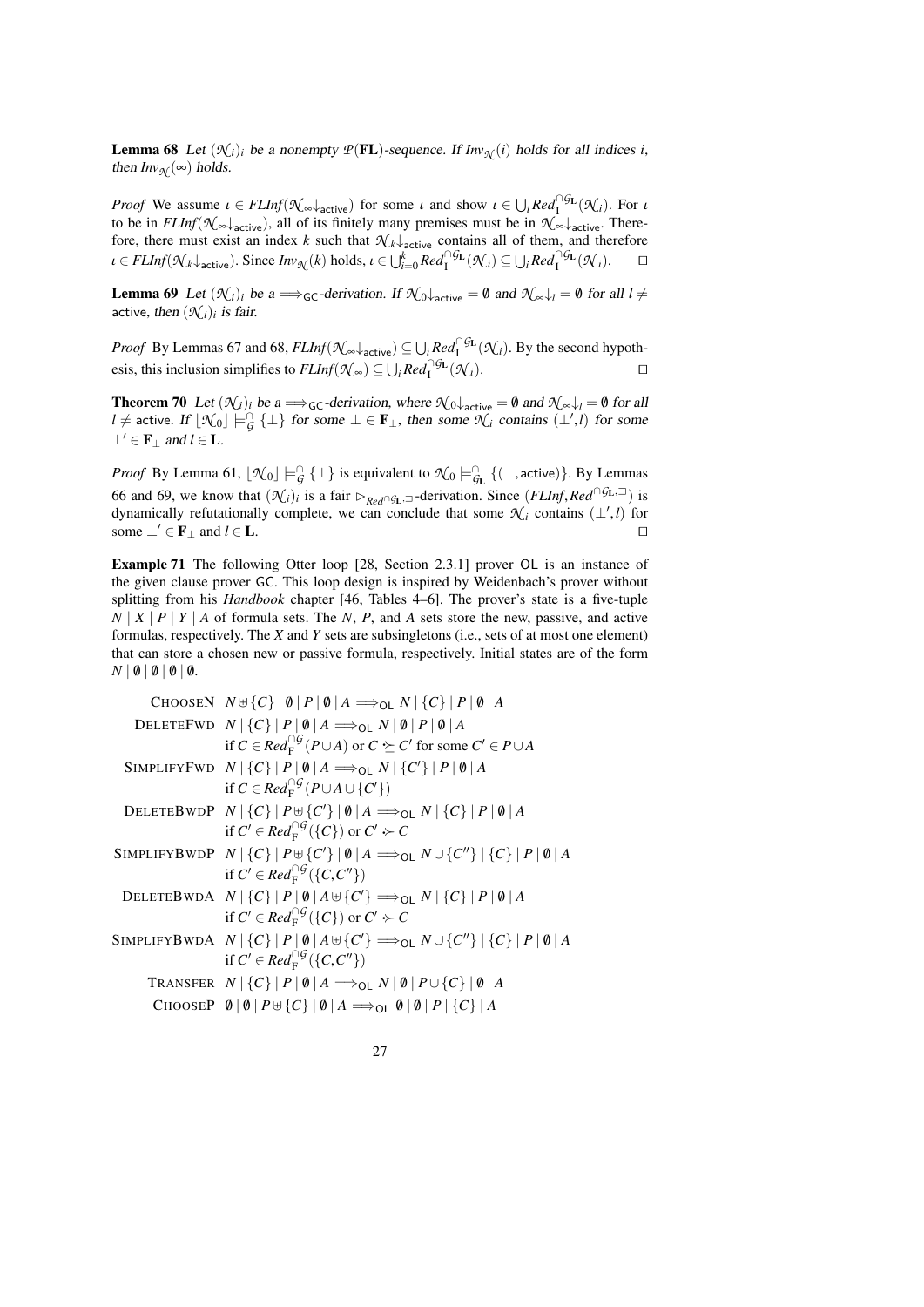**Lemma 68** Let  $(\mathcal{N}_i)_i$  be a nonempty  $P(\mathbf{FL})$ -sequence. If  $Inv_{\mathcal{N}}(i)$  holds for all indices *i*, then  $Inv_{\mathcal{N}}(\infty)$  holds.

*Proof* We assume  $\iota \in FLInf(\mathcal{N}_{\infty} \downarrow_{\text{active}})$  for some  $\iota$  and show  $\iota \in \bigcup_{i} Red_{1}^{\cap GL}(\mathcal{N}_{i})$ . For  $\iota$ to be in  $FLInf(\mathcal{N}_{\infty}\downarrow_{\text{active}})$ , all of its finitely many premises must be in  $\mathcal{N}_{\infty}\downarrow_{\text{active}}$ . Therefore, there must exist an index *k* such that  $\mathcal{N}_{k}\downarrow$ <sub>active</sub> contains all of them, and therefore  $u \in FLInf(\mathcal{K}_k\downarrow_{\text{active}}).$  Since  $Inv_{\mathcal{K}}(k)$  holds,  $u \in \bigcup_{i=0}^k Red_1^{\cap \mathcal{G}_L}(\mathcal{K}_i) \subseteq \bigcup_i Red_1^{\cap \mathcal{G}_L}(\mathcal{K}_i).$ 

<span id="page-26-0"></span>**Lemma 69** Let  $(\mathcal{K}_i)_i$  be a  $\Longrightarrow$  GC-derivation. If  $\mathcal{K}_0 \downarrow$  active = 0 and  $\mathcal{K}_0 \downarrow$  = 0 for all  $l \neq$ active, then  $(\mathcal{N}_i)_i$  is fair.

*Proof* By Lemmas [67](#page-25-0) and [68,](#page-25-1)  $FLInf(\mathcal{N}_{\infty} \downarrow_{\text{active}}) \subseteq \bigcup_i Red_i^{\cap G_L}(\mathcal{N}_i)$ . By the second hypothesis, this inclusion simplifies to  $FLInf(\mathcal{N}_{\infty}) \subseteq \bigcup_{i} Red_{I}^{\cap GL}(\mathcal{N}_{i}).$ 

<span id="page-26-1"></span>**Theorem 70** Let  $(\mathcal{N}_i)_i$  be a  $\Longrightarrow$  GC-derivation, where  $\mathcal{N}_0 \downarrow$  active  $= \emptyset$  and  $\mathcal{N}_0 \downarrow$   $= \emptyset$  for all *l* ≠ active. If  $\lfloor \mathcal{N}_0 \rfloor$   $\models^{\cap}_G {\bot}$  for some  $\bot \in \mathbf{F}_\bot$ , then some  $\mathcal{N}_i$  contains  $(\bot', l)$  for some  $\perp' \in \mathbf{F}_{\perp}$  and  $l \in \mathbf{L}$ .

*Proof* By Lemma [61,](#page-23-3)  $[\mathcal{N}_0] \models G$  { $\bot$ } is equivalent to  $\mathcal{N}_0 \models G$  { $(\bot, \text{active})$ }. By Lemmas [66](#page-25-2) and [69,](#page-26-0) we know that  $(\mathcal{N}_i)_i$  is a fair  $\triangleright_{Red} \cap g_L$ , $\preceq$ -derivation. Since  $(FLInf, Red \cap g_L, \preceq)$  is dynamically refutationally complete, we can conclude that some  $\mathcal{N}_i$  contains  $(1^t I)$  for dynamically refutationally complete, we can conclude that some  $\mathcal{N}_i$  contains  $(\perp', l)$  for some  $\perp' \in \mathbf{F}_{\perp}$  and  $l \in \mathbf{L}$ .

<span id="page-26-2"></span>Example 71 The following Otter loop [\[28,](#page-39-0) Section 2.3.1] prover OL is an instance of the given clause prover GC. This loop design is inspired by Weidenbach's prover without splitting from his *Handbook* chapter [\[46,](#page-39-13) Tables 4–6]. The prover's state is a five-tuple  $N$  |  $X$  |  $P$  |  $Y$  |  $A$  of formula sets. The  $N$ ,  $P$ , and  $A$  sets store the new, passive, and active formulas, respectively. The *X* and *Y* sets are subsingletons (i.e., sets of at most one element) that can store a chosen new or passive formula, respectively. Initial states are of the form  $N \mid \emptyset \mid \emptyset \mid \emptyset \mid \emptyset$ .

| CHOOSEN $N \uplus \{C\}   \emptyset   P   \emptyset   A \Longrightarrow_{\text{OL}} N   \{C\}   P   \emptyset   A$                   |
|--------------------------------------------------------------------------------------------------------------------------------------|
| DELETEFWD $N   {C}   P   \emptyset   A \Longrightarrow_{OL} N   \emptyset   P   \emptyset   A$                                       |
| if $C \in Red_{\mathbb{F}}^{\cap G}(P \cup A)$ or $C \succeq C'$ for some $C' \in P \cup A$                                          |
| SIMPLIFYFWD $N   {C}   P   \emptyset   A \Longrightarrow_{\mathsf{OL}} N   {C'}   P   \emptyset   A$                                 |
| if $C \in Red_{\mathbb{F}}^{\cap G}(P \cup A \cup \{C'\})$                                                                           |
| DELETEBWDP $N \mid \{C\} \mid P \cup \{C'\} \mid \emptyset \mid A \implies_{\text{OL}} N \mid \{C\} \mid P \mid \emptyset \mid A$    |
| if $C' \in Red_{\mathcal{F}}^{\cap G}(\{C\})$ or $C' \rightarrow C$                                                                  |
| SIMPLIFYBWDP $N   {C}   P \cup {C'}   \emptyset   A \Longrightarrow_{OL} N \cup {C''}   {C}   P   \emptyset   A$                     |
| if $C' \in Red_{\mathbb{F}}^{\cap G}(\{C,C''\})$                                                                                     |
| DELETEBWDA $N   \{C\}   P   \emptyset   A \oplus \{C'\} \implies_{\text{OL}} N   \{C\}   P   \emptyset   A$                          |
| if $C' \in Red_{\mathbb{F}}^{\cap G}(\lbrace C \rbrace)$ or $C' \succ C$                                                             |
| SIMPLIFYBWDA $N   \{C\}   P   \emptyset   A \oplus \{C'\} \Longrightarrow_{\mathsf{OL}} N \cup \{C''\}   \{C\}   P   \emptyset   A$  |
| if $C' \in Red_{\mathcal{F}}^{\cap G}(\{C, C''\})$                                                                                   |
| TRANSFER $N   {C}   P   \emptyset   A \Longrightarrow_{OL} N   \emptyset   P \cup {C}   \emptyset   A$                               |
| CHOOSEP $\emptyset   \emptyset   P \oplus \{C\}   \emptyset   A \Longrightarrow_{\mathsf{OL}} \emptyset   \emptyset   P   \{C\}   A$ |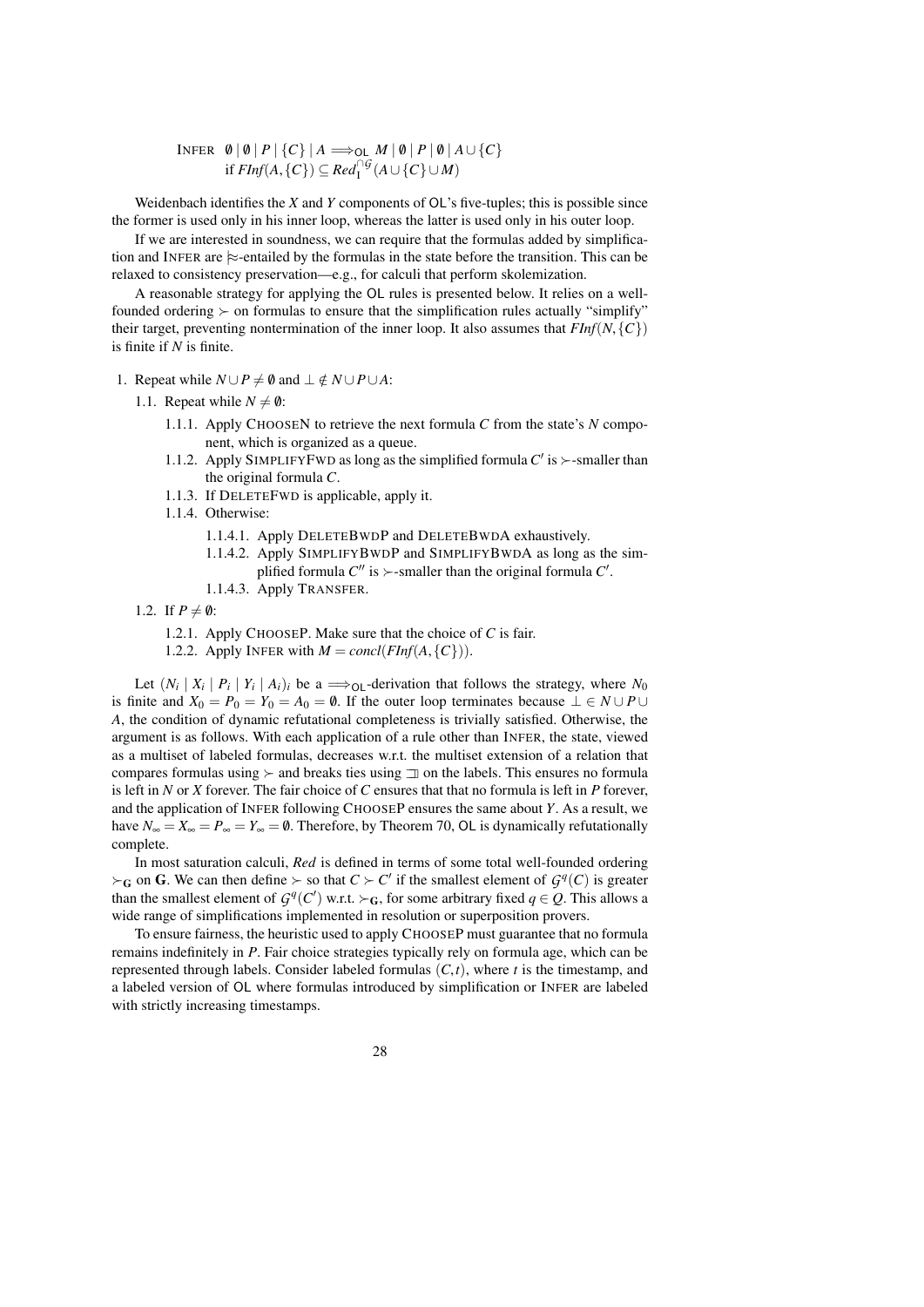$\text{INFER} \left[\begin{array}{c} \emptyset \ \vert \ \emptyset \ \vert \ \textit{P} \ \vert \ \{C\} \ \vert \ \textit{A} \Longrightarrow_{\text{OL}} \textit{M} \ \vert \ \emptyset \ \vert \ \textit{P} \ \vert \ \emptyset \ \vert \ \textit{A} \cup \{C\} \end{array} \right]$ if *FInf*(*A*, {*C*}) ⊆ *Red*<sup>∩*G*</sup>(*A*∪ {*C*}∪*M*)

Weidenbach identifies the *X* and *Y* components of OL's five-tuples; this is possible since the former is used only in his inner loop, whereas the latter is used only in his outer loop.

If we are interested in soundness, we can require that the formulas added by simplification and INFER are  $\approx$ -entailed by the formulas in the state before the transition. This can be relaxed to consistency preservation—e.g., for calculi that perform skolemization.

A reasonable strategy for applying the OL rules is presented below. It relies on a wellfounded ordering  $\succ$  on formulas to ensure that the simplification rules actually "simplify" their target, preventing nontermination of the inner loop. It also assumes that  $FInf(N, {C})$ is finite if *N* is finite.

- 1. Repeat while  $N \cup P \neq \emptyset$  and  $\bot \notin N \cup P \cup A$ :
	- 1.1. Repeat while  $N \neq \emptyset$ :
		- 1.1.1. Apply CHOOSEN to retrieve the next formula *C* from the state's *N* component, which is organized as a queue.
		- 1.1.2. Apply SIMPLIFYFWD as long as the simplified formula  $C'$  is  $\succ$ -smaller than the original formula *C*.
		- 1.1.3. If DELETEFWD is applicable, apply it.
		- 1.1.4. Otherwise:
			- 1.1.4.1. Apply DELETEBWDP and DELETEBWDA exhaustively.
			- 1.1.4.2. Apply SIMPLIFYBWDP and SIMPLIFYBWDA as long as the simplified formula  $C''$  is  $\succ$ -smaller than the original formula  $C'$ .
			- 1.1.4.3. Apply TRANSFER.
	- 1.2. If  $P \neq \emptyset$ :
		- 1.2.1. Apply CHOOSEP. Make sure that the choice of *C* is fair.
		- 1.2.2. Apply INFER with  $M = \text{concl}(FInf(A, \{C\}))$ .

Let  $(N_i | X_i | P_i | Y_i | A_i)_i$  be a  $\Rightarrow$  <sub>OL</sub>-derivation that follows the strategy, where  $N_0$ is finite and  $X_0 = P_0 = Y_0 = A_0 = \emptyset$ . If the outer loop terminates because  $\bot \in N \cup P \cup$ *A*, the condition of dynamic refutational completeness is trivially satisfied. Otherwise, the argument is as follows. With each application of a rule other than INFER, the state, viewed as a multiset of labeled formulas, decreases w.r.t. the multiset extension of a relation that compares formulas using  $\succ$  and breaks ties using  $\exists$  on the labels. This ensures no formula is left in *N* or *X* forever. The fair choice of *C* ensures that that no formula is left in *P* forever, and the application of INFER following CHOOSEP ensures the same about *Y*. As a result, we have  $N_{\infty} = X_{\infty} = P_{\infty} = Y_{\infty} = \emptyset$ . Therefore, by Theorem [70,](#page-26-1) OL is dynamically refutationally complete.

In most saturation calculi, *Red* is defined in terms of some total well-founded ordering  $\succ$ <sub>G</sub> on G. We can then define  $\succ$  so that  $C \succ C'$  if the smallest element of  $\mathcal{G}^q(C)$  is greater than the smallest element of  $G^q(C')$  w.r.t.  $\succ_G$ , for some arbitrary fixed  $q \in Q$ . This allows a wide range of simplifications implemented in resolution or superposition provers.

To ensure fairness, the heuristic used to apply CHOOSEP must guarantee that no formula remains indefinitely in *P*. Fair choice strategies typically rely on formula age, which can be represented through labels. Consider labeled formulas  $(C, t)$ , where *t* is the timestamp, and a labeled version of OL where formulas introduced by simplification or INFER are labeled with strictly increasing timestamps.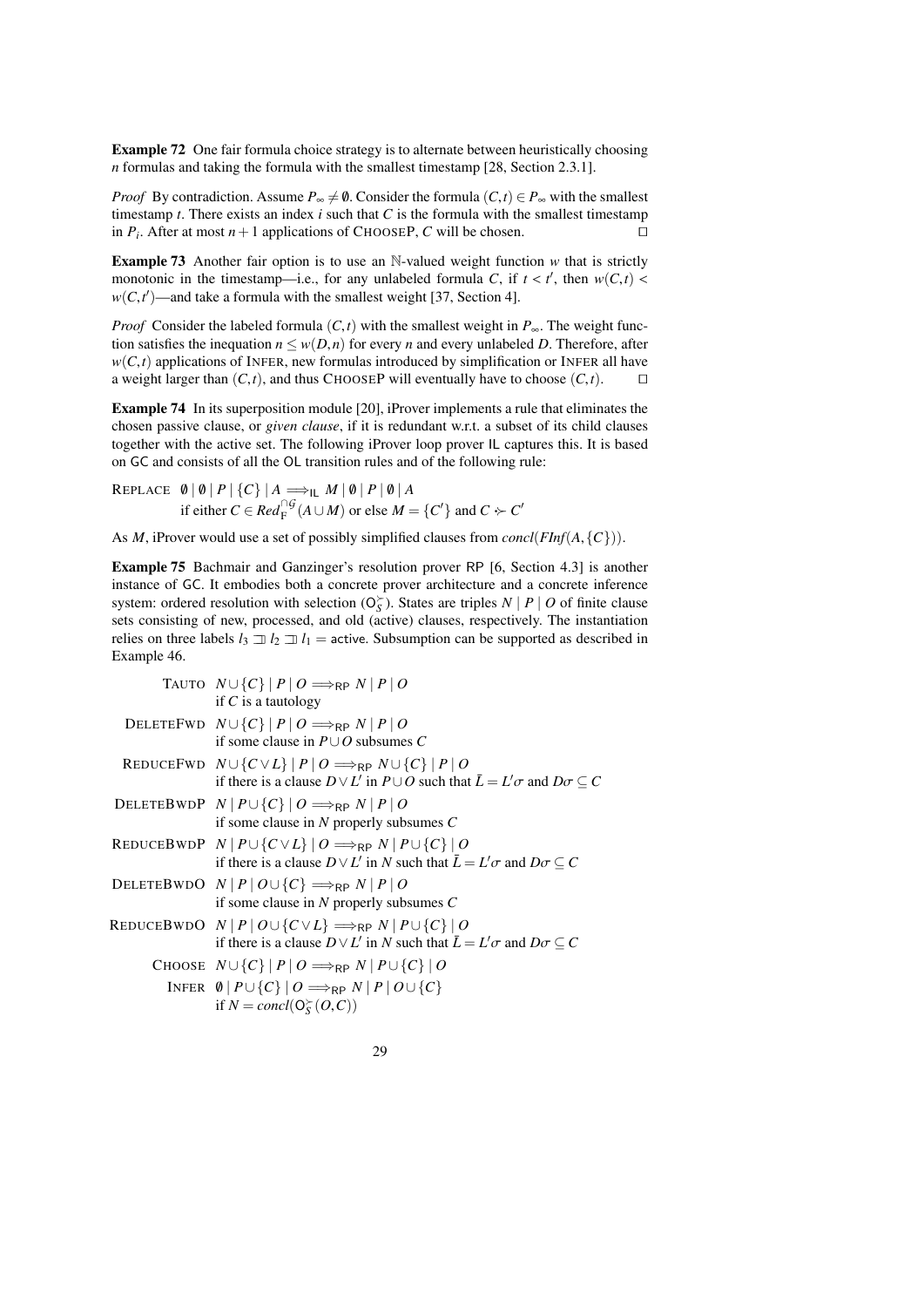Example 72 One fair formula choice strategy is to alternate between heuristically choosing *n* formulas and taking the formula with the smallest timestamp [\[28,](#page-39-0) Section 2.3.1].

*Proof* By contradiction. Assume  $P_{\infty} \neq \emptyset$ . Consider the formula  $(C, t) \in P_{\infty}$  with the smallest timestamp *t*. There exists an index *i* such that *C* is the formula with the smallest timestamp in  $P_i$ . After at most  $n+1$  applications of CHOOSEP, *C* will be chosen.

**Example 73** Another fair option is to use an N-valued weight function  $w$  that is strictly monotonic in the timestamp—i.e., for any unlabeled formula *C*, if  $t < t'$ , then  $w(C, t) < w(C, t')$ —and take a formula with the smallest weight [37] Section 41  $w(C, t')$ —and take a formula with the smallest weight [\[37,](#page-39-14) Section 4].

*Proof* Consider the labeled formula  $(C, t)$  with the smallest weight in  $P_{\infty}$ . The weight function satisfies the inequation  $n \leq w(D,n)$  for every *n* and every unlabeled *D*. Therefore, after  $w(C, t)$  applications of INFER, new formulas introduced by simplification or INFER all have a weight larger than  $(C, t)$ , and thus CHOOSEP will eventually have to choose  $(C, t)$ . a weight larger than  $(C, t)$ , and thus CHOOSEP will eventually have to choose  $(C, t)$ .

<span id="page-28-0"></span>Example 74 In its superposition module [\[20\]](#page-38-18), iProver implements a rule that eliminates the chosen passive clause, or *given clause*, if it is redundant w.r.t. a subset of its child clauses together with the active set. The following iProver loop prover IL captures this. It is based on GC and consists of all the OL transition rules and of the following rule:

REPLACE  $\emptyset | \emptyset | P | \{C\} | A \Longrightarrow_{\mathsf{IL}} M | \emptyset | P | \emptyset | A$ if either  $C \in Red_{\mathcal{F}}^{\cap G}(A \cup M)$  or else  $M = \{C'\}$  and  $C \succ C'$ 

As *<sup>M</sup>*, iProver would use a set of possibly simplified clauses from *concl*(*FInf*(*A*,{*C*})).

<span id="page-28-1"></span>Example 75 Bachmair and Ganzinger's resolution prover RP [\[6,](#page-38-0) Section 4.3] is another instance of GC. It embodies both a concrete prover architecture and a concrete inference system: ordered resolution with selection  $(O_S^{\succ})$ . States are triples *N* | *P* | *O* of finite clause sets consisting of new, processed, and old (active) clauses, respectively. The instantiation relies on three labels  $l_3 \rightrightarrows l_2 \rightrightarrows l_1$  = active. Subsumption can be supported as described in Example [46.](#page-18-3)

| TAUTO $N \cup \{C\}   P   O \Longrightarrow_{RP} N   P   O$                                                    |
|----------------------------------------------------------------------------------------------------------------|
| if $C$ is a tautology                                                                                          |
| DELETEFWD $N \cup \{C\}   P   O \implies_{RP} N   P   O$                                                       |
| if some clause in $P \cup O$ subsumes C                                                                        |
| REDUCEFWD $N \cup \{C \vee L\}$ $ P 0 \implies_{RP} N \cup \{C\}$ $ P 0$                                       |
| if there is a clause $D \vee L'$ in $P \cup O$ such that $\overline{L} = L' \sigma$ and $D \sigma \subseteq C$ |
| DELETEBWDP $N   P \cup \{C\}   O \Longrightarrow_{RP} N   P   O$                                               |
| if some clause in N properly subsumes $C$                                                                      |
| REDUCEBWDP $N   P \cup \{ C \vee L \}   O \Longrightarrow_{RP} N   P \cup \{ C \}   O$                         |
| if there is a clause $D \vee L'$ in N such that $\overline{L} = L' \sigma$ and $D \sigma \subset C$            |
| DELETEBWDO $N   P   O \cup \{C\} \implies_{RP} N   P   O$                                                      |
| if some clause in N properly subsumes $C$                                                                      |
| REDUCEBWDO $N   P   O \cup \{ C \vee L \} \Longrightarrow_{RP} N   P \cup \{ C \}   O$                         |
| if there is a clause $D \vee L'$ in N such that $\overline{L} = L' \sigma$ and $D \sigma \subset C$            |
| CHOOSE $N \cup \{C\}$   $P \mid O \Longrightarrow_{RP} N \mid P \cup \{C\} \mid O$                             |
| INFER $\emptyset   P \cup \{C\}   O \Longrightarrow_{RP} N   P   O \cup \{C\}$                                 |
| if $N = \text{concl}(\mathsf{O}_{\mathsf{S}}^{\succ}(O, C))$                                                   |
|                                                                                                                |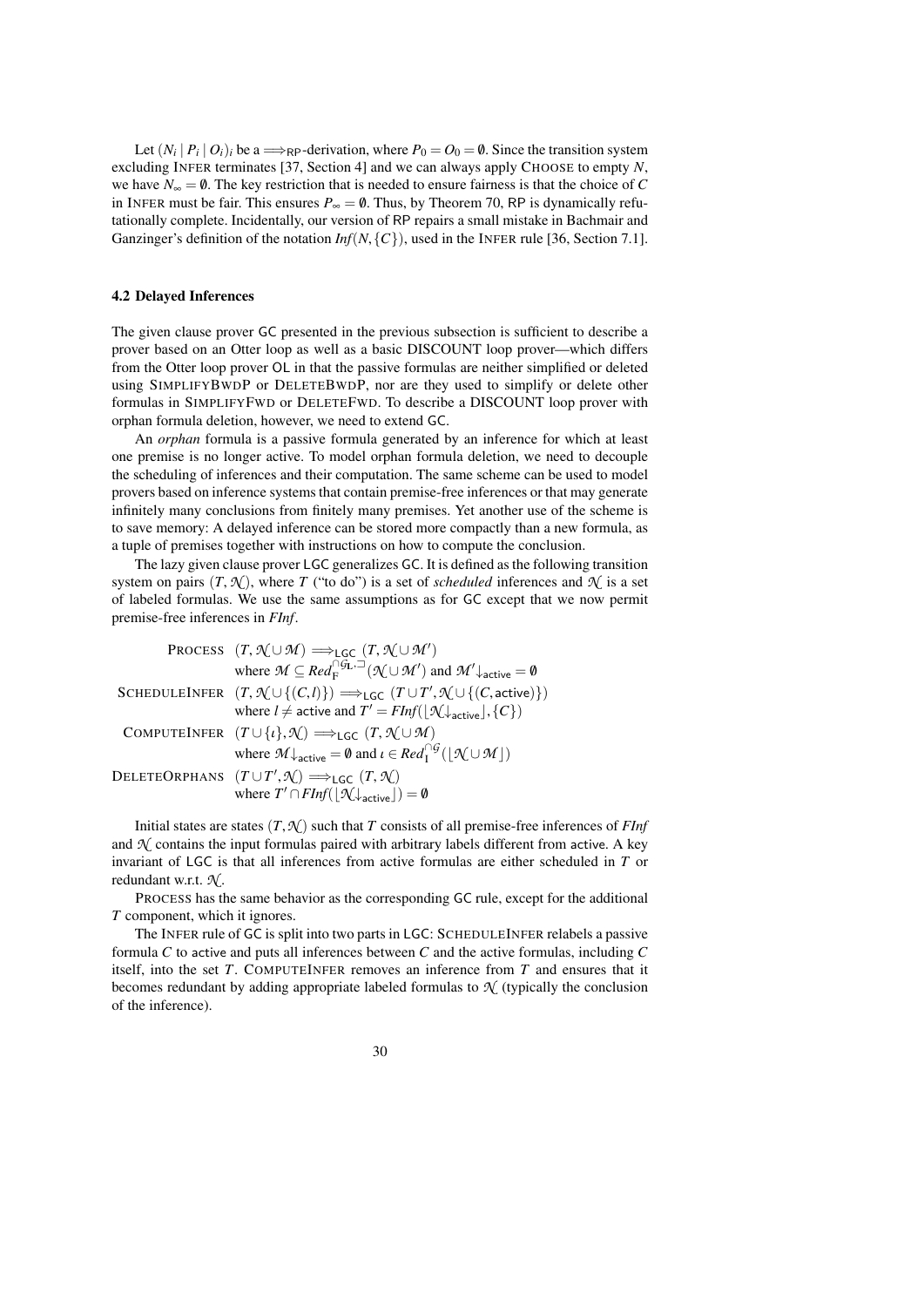Let  $(N_i | P_i | O_i)_i$  be a  $\Longrightarrow_{RP}$ -derivation, where  $P_0 = O_0 = \emptyset$ . Since the transition system excluding INFER terminates [\[37,](#page-39-14) Section 4] and we can always apply CHOOSE to empty *N*, we have  $N_{\infty} = \emptyset$ . The key restriction that is needed to ensure fairness is that the choice of *C* in INFER must be fair. This ensures  $P_{\infty} = \emptyset$ . Thus, by Theorem [70,](#page-26-1) RP is dynamically refutationally complete. Incidentally, our version of RP repairs a small mistake in Bachmair and Ganzinger's definition of the notation *Inf*(*N*,{*C*}), used in the INFER rule [\[36,](#page-39-6) Section 7.1].

### <span id="page-29-0"></span>4.2 Delayed Inferences

The given clause prover GC presented in the previous subsection is sufficient to describe a prover based on an Otter loop as well as a basic DISCOUNT loop prover—which differs from the Otter loop prover OL in that the passive formulas are neither simplified or deleted using SIMPLIFYBWDP or DELETEBWDP, nor are they used to simplify or delete other formulas in SIMPLIFYFWD or DELETEFWD. To describe a DISCOUNT loop prover with orphan formula deletion, however, we need to extend GC.

An *orphan* formula is a passive formula generated by an inference for which at least one premise is no longer active. To model orphan formula deletion, we need to decouple the scheduling of inferences and their computation. The same scheme can be used to model provers based on inference systems that contain premise-free inferences or that may generate infinitely many conclusions from finitely many premises. Yet another use of the scheme is to save memory: A delayed inference can be stored more compactly than a new formula, as a tuple of premises together with instructions on how to compute the conclusion.

The lazy given clause prover LGC generalizes GC. It is defined as the following transition system on pairs  $(T, \mathcal{N})$ , where *T* ("to do") is a set of *scheduled* inferences and  $\mathcal{N}$  is a set of labeled formulas. We use the same assumptions as for GC except that we now permit premise-free inferences in *FInf*.

| PROCESS $(T, \mathcal{N} \cup \mathcal{M}) \Longrightarrow_{\mathsf{LGC}} (T, \mathcal{N} \cup \mathcal{M}')$                                             |
|-----------------------------------------------------------------------------------------------------------------------------------------------------------|
| where $\mathcal{M} \subseteq \text{Red}_{F}^{\cap \mathcal{G}_{L},\square}(\mathcal{N} \cup \mathcal{M}')$ and $\mathcal{M}'_{\text{active}} = \emptyset$ |
| SCHEDULEINFER $(T, \mathcal{N} \cup \{(C, l)\}) \Longrightarrow_{\mathsf{LGC}} (T \cup T', \mathcal{N} \cup \{(C, \mathsf{active})\})$                    |
| where $l \neq$ active and $T' = FInf( \mathcal{H}_{\text{active}} , \{C\})$                                                                               |
| COMPUTEINFER $(T \cup \{\iota\}, \mathcal{N}) \Longrightarrow_{\mathsf{LGC}} (T, \mathcal{N} \cup \mathcal{M})$                                           |
| where $\mathcal{M}_{\text{active}} = \emptyset$ and $\iota \in \text{Red}_{\mathbb{F}}^{\cap \mathcal{G}}( \mathcal{N} \cup \mathcal{M} )$                |
| DELETEORPHANS $(T \cup T', \mathcal{N}) \implies_{\mathsf{LGC}} (T, \mathcal{N})$                                                                         |
| where $T' \cap FInf( \mathcal{N}_{\text{active}} ) = \emptyset$                                                                                           |

Initial states are states  $(T, \mathcal{N})$  such that *T* consists of all premise-free inferences of *FInf* and  $N$  contains the input formulas paired with arbitrary labels different from active. A key invariant of LGC is that all inferences from active formulas are either scheduled in *T* or redundant w.r.t. *N* .

PROCESS has the same behavior as the corresponding GC rule, except for the additional *T* component, which it ignores.

The INFER rule of GC is split into two parts in LGC: SCHEDULEINFER relabels a passive formula *C* to active and puts all inferences between *C* and the active formulas, including *C* itself, into the set *T*. COMPUTEINFER removes an inference from *T* and ensures that it becomes redundant by adding appropriate labeled formulas to  $\mathcal{N}$  (typically the conclusion of the inference).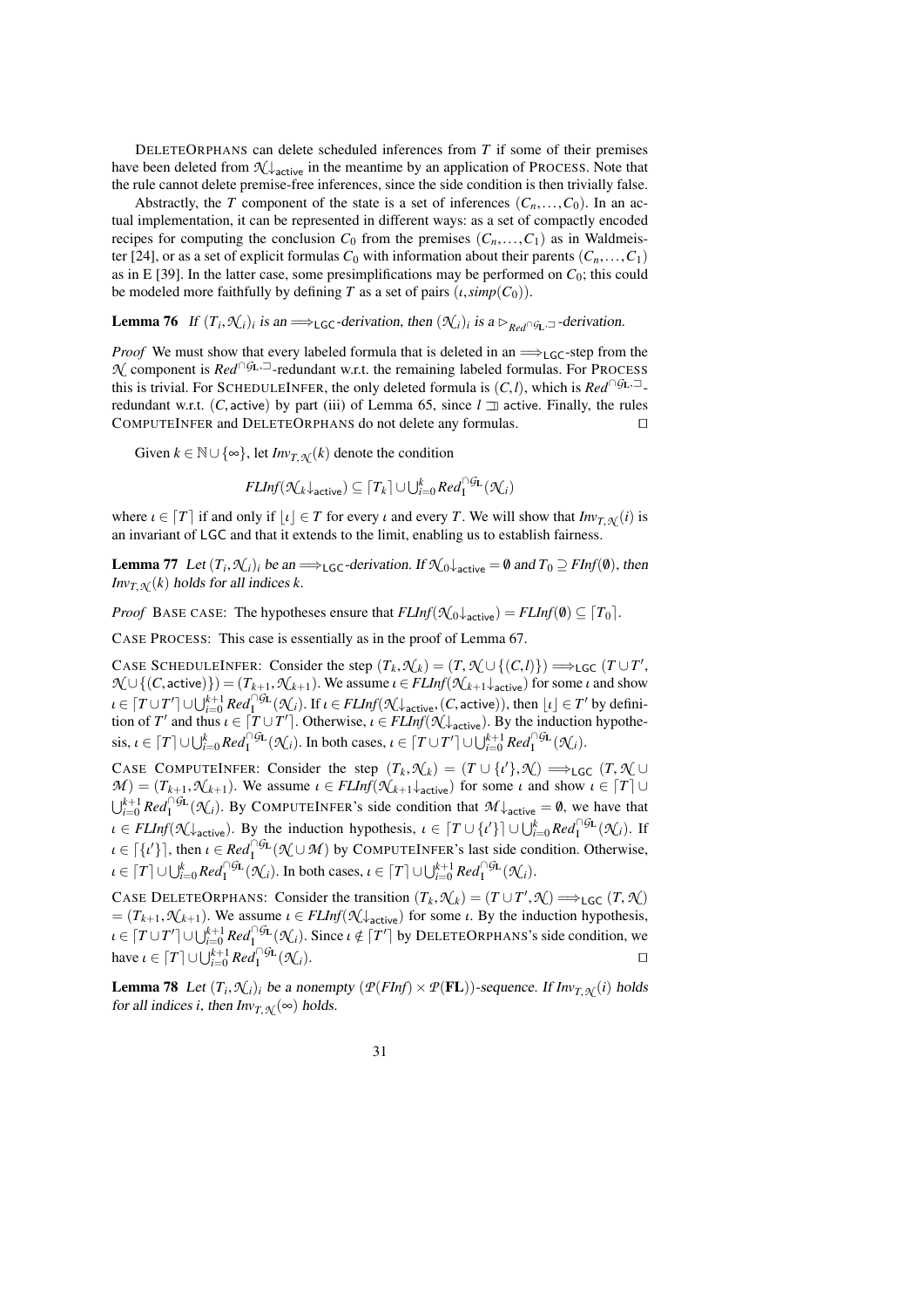DELETEORPHANS can delete scheduled inferences from *T* if some of their premises have been deleted from  $\mathcal{N}_{\text{active}}$  in the meantime by an application of PROCESS. Note that the rule cannot delete premise-free inferences, since the side condition is then trivially false.

Abstractly, the *T* component of the state is a set of inferences  $(C_n, \ldots, C_0)$ . In an actual implementation, it can be represented in different ways: as a set of compactly encoded recipes for computing the conclusion  $C_0$  from the premises  $(C_n, \ldots, C_1)$  as in Waldmeis-ter [\[24\]](#page-38-3), or as a set of explicit formulas  $C_0$  with information about their parents  $(C_n, \ldots, C_1)$ as in E [\[39\]](#page-39-1). In the latter case, some presimplifications may be performed on  $C_0$ ; this could be modeled more faithfully by defining *T* as a set of pairs  $(\iota, \text{simp}(C_0))$ .

<span id="page-30-0"></span>**Lemma 76** If  $(T_i, \mathcal{N}_i)$  *i* is an  $\Longrightarrow$   $_{\text{LGC}}$ -derivation, then  $(\mathcal{N}_i)$  *i* is a  $\triangleright_{\text{Red} \cap \mathcal{G}_L}$  -derivation.

*Proof* We must show that every labeled formula that is deleted in an  $\implies$ <sub>LGC</sub>-step from the *N* component is *Red*<sup>∩*G*L,<sup> $\Box$ </sup>-redundant w.r.t. the remaining labeled formulas. For PROCESS</sup> this is trivial. For SCHEDULEINFER, the only deleted formula is  $(C, l)$ , which is  $Red<sup>∩G<sub>L</sub>,\square</sup>$ . redundant w.r.t. (*C*, active) by part (iii) of Lemma [65,](#page-24-1) since  $l \perp n$  active. Finally, the rules COMPUTEINEER and DELETEORPHANS do not delete any formulas. COMPUTEINFER and DELETEORPHANS do not delete any formulas.

Given  $k \in \mathbb{N} \cup \{\infty\}$ , let  $Inv_{T,\mathcal{N}}(k)$  denote the condition

$$
\mathit{FLInf}(\mathcal{N}_k\downarrow_\mathsf{active}) \subseteq \lceil T_k \rceil \cup \bigcup_{i=0}^k \mathit{Red}^{\cap \mathsf{GL}}_1(\mathcal{N}_i)
$$

where  $\iota \in [T]$  if and only if  $|\iota| \in T$  for every  $\iota$  and every *T*. We will show that  $Inv_{T,N}(\iota)$  is an invariant of LGC and that it extends to the limit, enabling us to establish fairness.

**Lemma 77** Let  $(T_i, \mathcal{N}_i)$  be an  $\Longrightarrow$  LGC-derivation. If  $\mathcal{N}_0 \downarrow$  active  $= \emptyset$  and  $T_0 \supseteq FInf(\emptyset)$ , then  $I_{\text{Prox}}(k)$  holds for all indices k *Inv*<sub>*T*</sub>, $\mathcal{N}(k)$  holds for all indices *k*.

*Proof* BASE CASE: The hypotheses ensure that  $FLInf(\mathcal{N}_0 \downarrow_{\text{active}}) = FLInf(\emptyset) \subseteq [T_0]$ .

CASE PROCESS: This case is essentially as in the proof of Lemma [67.](#page-25-0)

CASE SCHEDULEINFER: Consider the step  $(T_k, \mathcal{N}_k) = (T, \mathcal{N} \cup \{ (C, l) \}) \implies \text{LGC}(T \cup T')$ <br> $\mathcal{N} \cup \{ (C \text{ active}) \} = (T_{k+1}, \mathcal{N}_{k+1})$  We assume  $l \in E[Inf(\mathcal{N}_{k+1}, l_{k+1})]$  for some *l* and show  $\mathcal{H} \cup \{ (C, \text{active}) \} = (T_{k+1}, \mathcal{N}_{k+1})$ . We assume  $\iota \in \mathcal{F}LInf(\mathcal{N}_{k+1} \downarrow_{\text{active}})$  for some  $\iota$  and show  $\iota \in [T \cup T'] \cup \bigcup_{i=0}^{k+1} \text{Red}_{1}^{\cap G_{L}}(\mathcal{K}_{i})$ . If  $\iota \in \text{FLInf}(\mathcal{K}_{\text{active}}(C, \text{active}))$ , then  $\lfloor \iota \rfloor \in T'$  by definition of  $T'$  and thus  $\iota \in [T \cup T']$ . Otherwise  $\iota \in \text{ELInf}(\mathcal{K})$ tion of *T'* and thus  $\iota \in [T \cup T']$ . Otherwise,  $\iota \in FLInf(\mathcal{N}_\text{active})$ . By the induction hypothe- $\text{cis}, \iota \in [T] \cup \bigcup_{i=0}^{k} \text{Red}_{1}^{\cap \text{GL}}(\mathcal{K}_{i}).$  In both cases,  $\iota \in [T \cup T'] \cup \bigcup_{i=0}^{k+1} \text{Red}_{1}^{\cap \text{GL}}(\mathcal{K}_{i}).$ 

CASE COMPUTEINFER: Consider the step  $(T_k, \mathcal{N}_k) = (T \cup \{t\}, \mathcal{N}) \implies_{\text{LGC}} (T, \mathcal{N} \cup \mathcal{N}) - (T_{k+1}, \mathcal{N}_{k+1})$ . We assume  $t \in \text{ELInf}(\mathcal{N}_{k+1} |_{\mathcal{N} \cup \mathcal{N}})$  for some  $t$  and show  $t \in [T] \cup$  $M$  =  $(T_{k+1}, \mathcal{N}_{k+1})$ . We assume  $\iota \in FLInf(\mathcal{N}_{k+1} \downarrow_{\text{active}})$  for some  $\iota$  and show  $\iota \in [T] \cup$  $\bigcup_{i=0}^{k+1} Red_i^{\cap} \mathcal{G}_L(\mathcal{N}_i)$ . By COMPUTEINFER's side condition that  $\mathcal{M} \downarrow$  active  $= \emptyset$ , we have that  $\iota \in FLInf(\mathcal{N} \downarrow_{\text{active}}).$  By the induction hypothesis,  $\iota \in [T \cup \{\iota'\}] \cup \bigcup_{i=0}^{k} Red_{I}^{\cap \mathcal{G}_{L}}(\mathcal{N}_{i}).$  If  $\iota \in [\{\iota'\}]$ , then  $\iota \in \mathbb{R}e d_{\Pi}^{\cap \mathcal{G}_L}(\mathcal{N} \cup \mathcal{M})$  by COMPUTEINFER's last side condition. Otherwise,  $\iota \in [T] \cup \bigcup_{i=0}^{k} Red_{1}^{\cap}G_{\mathbf{L}}(\mathcal{K}_{i})$ . In both cases,  $\iota \in [T] \cup \bigcup_{i=0}^{k+1} Red_{1}^{\cap}G_{\mathbf{L}}(\mathcal{K}_{i})$ .

CASE DELETEORPHANS: Consider the transition  $(T_k, \mathcal{N}_k) = (T \cup T', \mathcal{N}) \implies_{\text{LGC}} (T, \mathcal{N})$ <br>  $= (T_{k+1}, \mathcal{N}_{k+1})$ . We assume  $k \in \text{FLInf}(\mathcal{N}^k)$ . (for some  $k$ , By the induction hypothesis)  $=(T_{k+1}, \mathcal{N}_{k+1})$ . We assume  $\iota \in FLInf(\mathcal{N}\downarrow_{\text{active}})$  for some  $\iota$ . By the induction hypothesis,  $\iota \in [T \cup T'] \cup \bigcup_{i=0}^{k+1} \text{Re} d_1^{\cap \text{GL}}(\mathcal{A}_i)$ . Since  $\iota \notin [T']$  by DELETEORPHANS's side condition, we contain have  $\iota \in [T] \cup \bigcup_{i=0}^{k+1} Red_1^{\cap \mathcal{G}_L}$  $(\mathcal{N}_i)$ .

**Lemma 78** Let  $(T_i, \mathcal{N}_i)$  be a nonempty  $(\mathcal{P}(FInf) \times \mathcal{P}(FL))$ -sequence. If  $Inv_{T, \mathcal{N}}(i)$  holds for all indices i then  $Inv_{T, \mathcal{N}}(i)$  holds for all indices *i*, then  $Inv_{T,\mathcal{N}}(\infty)$  holds.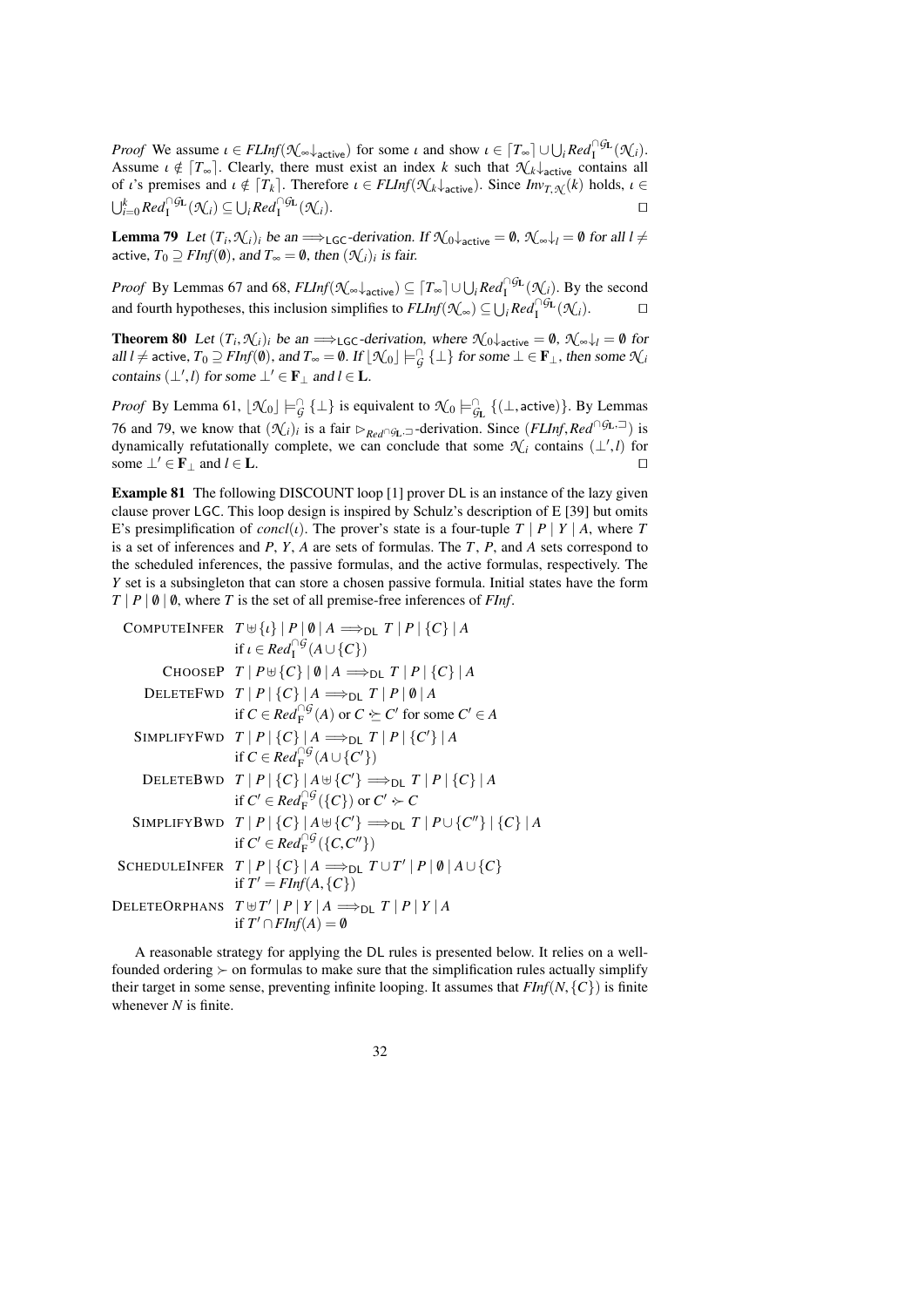*Proof* We assume  $\iota \in FLInf(\mathcal{K}_{\infty} \downarrow_{\text{active}})$  for some  $\iota$  and show  $\iota \in [T_{\infty}] \cup \bigcup_{i} Red_{i}^{\cap GL}(\mathcal{K}_{i})$ . Assume  $\iota \notin [T_{\infty}]$ . Clearly, there must exist an index *k* such that  $\mathcal{N}_k \downarrow_{\text{active}}$  contains all of *i*'s premises and  $\iota \notin [T_{\iota}]$ . Therefore  $\iota \in EIInf(\mathcal{N}_{\iota} | \ldots)$ . Since  $Inv_{\iota}(\iota)$  holds  $\iota \in$ of *ι*'s premises and  $\iota \notin [T_k]$ . Therefore  $\iota \in FLInf(\mathcal{N}_k\downarrow_{\text{active}})$ . Since  $Inv_{T,\mathcal{N}}(k)$  holds,  $\iota \in \iota_{k-0}^kRel_{\lambda}^{\mathcal{N}_{\text{GL}}(\mathcal{N}_i)} \subset \iota_{k-0}^kRel_{\lambda}^{\mathcal{N}_{\text{GL}}(\mathcal{N}_i)}$ .  $\bigcup_{i=0}^k Red_1^{\cap G_{\mathbf{L}}}(\mathcal{K}_i) \subseteq \bigcup_i Red_1^{\cap G_{\mathbf{L}}}$  $(\mathcal{N}_i)$ .

<span id="page-31-0"></span>**Lemma 79** Let  $(T_i, \mathcal{N}_i)$  be an  $\Longrightarrow$  LGC-derivation. If  $\mathcal{N}_0 \downarrow$  active  $T_0 \supseteq \mathcal{N}_i$  for all  $l \neq$ active,  $T_0 \supseteq \text{FInf}(\emptyset)$ , and  $T_{\infty} = \emptyset$ , then  $(\mathcal{N}_i)_i$  is fair.

*Proof* By Lemmas [67](#page-25-0) and [68,](#page-25-1)  $FLInf(\mathcal{N}_{\infty} \downarrow_{\text{active}}) \subseteq [T_{\infty}] \cup \bigcup_i Red_i^{\cap G_L}(\mathcal{N}_i)$ . By the second and fourth hypotheses, this inclusion simplifies to  $FLInf(\mathcal{N}_{\infty}) \subseteq \bigcup_i Red_1^{\cap \mathcal{G}_L}(\mathcal{N}_i)$ . □

<span id="page-31-2"></span>**Theorem 80** Let  $(T_i, \mathcal{N}_i)_i$  be an  $\Longrightarrow$  LGC-derivation, where  $\mathcal{N}_0 \downarrow_{\text{active}} = \emptyset$ ,  $\mathcal{N}_{\infty} \downarrow_l = \emptyset$  for all  $l \neq \text{active}, T_0 \supseteq F\text{Inf}(\emptyset)$ , and  $T_{\infty} = \emptyset$ . If  $[\mathcal{N}_0] \models^{\Box}_{\mathcal{G}} {\{\perp\}}$  for some  $\bot \in \mathbf{F}_{\bot}$ contains  $(\perp', l)$  for some  $\perp' \in \mathbf{F}_{\perp}$  and  $l \in \mathbf{L}$ .

*Proof* By Lemma [61,](#page-23-3)  $[\mathcal{N}_0] \models G$  { $\bot$ } is equivalent to  $\mathcal{N}_0 \models G$  { $(\bot, \text{active})$ }. By Lemmas [76](#page-30-0) and [79,](#page-31-0) we know that  $(\mathcal{N}_i)_i$  is a fair  $\triangleright_{Red \cap G_L} \supseteq$ -derivation. Since  $(FLInf, Red \cap G_L, \supseteq)$  is dynamically refutationally complete, we can conclude that some  $\mathcal{N}_i$  contains  $(1', l)$  for dynamically refutationally complete, we can conclude that some  $\mathcal{N}_i$  contains  $(\perp', l)$  for some  $\perp' \in \mathbf{F}_\perp$  and  $l \in \mathbf{L}$ .

<span id="page-31-1"></span>Example 81 The following DISCOUNT loop [\[1\]](#page-38-2) prover DL is an instance of the lazy given clause prover LGC. This loop design is inspired by Schulz's description of E [\[39\]](#page-39-1) but omits E's presimplification of *concl*(*ι*). The prover's state is a four-tuple  $T | P | Y | A$ , where  $T$ is a set of inferences and *P*, *Y*, *A* are sets of formulas. The *T*, *P*, and *A* sets correspond to the scheduled inferences, the passive formulas, and the active formulas, respectively. The *Y* set is a subsingleton that can store a chosen passive formula. Initial states have the form  $T | P | \emptyset | \emptyset$ , where *T* is the set of all premise-free inferences of *FInf*.

COMPUTEINFER 
$$
T \oplus \{i\} | P | \emptyset | A \Rightarrow_{DL} T | P | \{C\} | A
$$

\nif  $i \in Red_1^{\cap G}(A \cup \{C\})$ 

\nChoose  $T | P \oplus \{C\} | \emptyset | A \Rightarrow_{DL} T | P | \{C\} | A$ 

\nDELETEFWD  $T | P | \{C\} | A \Rightarrow_{DL} T | P | \emptyset | A$ 

\nif  $C \in Red_F^{\cap G}(A)$  or  $C \succeq C'$  for some  $C' \in A$ 

\nSIMPLIFYFWD  $T | P | \{C\} | A \Rightarrow_{DL} T | P | \{C'\} | A$ 

\nif  $C \in Red_F^{\cap G}(A \cup \{C'\})$ 

\nDELETEBWD  $T | P | \{C\} | A \oplus \{C'\} \Rightarrow_{DL} T | P | \{C\} | A$ 

\nif  $C' \in Red_F^{\cap G}(\{C\})$  or  $C' \sim C$ 

\nSIMPLIFYBWD  $T | P | \{C\} | A \oplus \{C'\} \Rightarrow_{DL} T | P \cup \{C''\} | \{C\} | A$ 

\nif  $C' \in Red_F^{\cap G}(\{C, C''\})$ 

\nSCHEDULEINFER  $T | P | \{C\} | A \Rightarrow_{DL} T \cup T' | P | \emptyset | A \cup \{C\}$ 

\nif  $T' = \text{FInf}(A, \{C\})$ 

\nDELETEORPHANS  $T \oplus T' | P | Y | A \Rightarrow_{DL} T | P | Y | A$ 

\nif  $T' \cap \text{FInf}(A) = \emptyset$ 

A reasonable strategy for applying the DL rules is presented below. It relies on a wellfounded ordering  $\succ$  on formulas to make sure that the simplification rules actually simplify their target in some sense, preventing infinite looping. It assumes that  $FInf(N, \{C\})$  is finite whenever *N* is finite.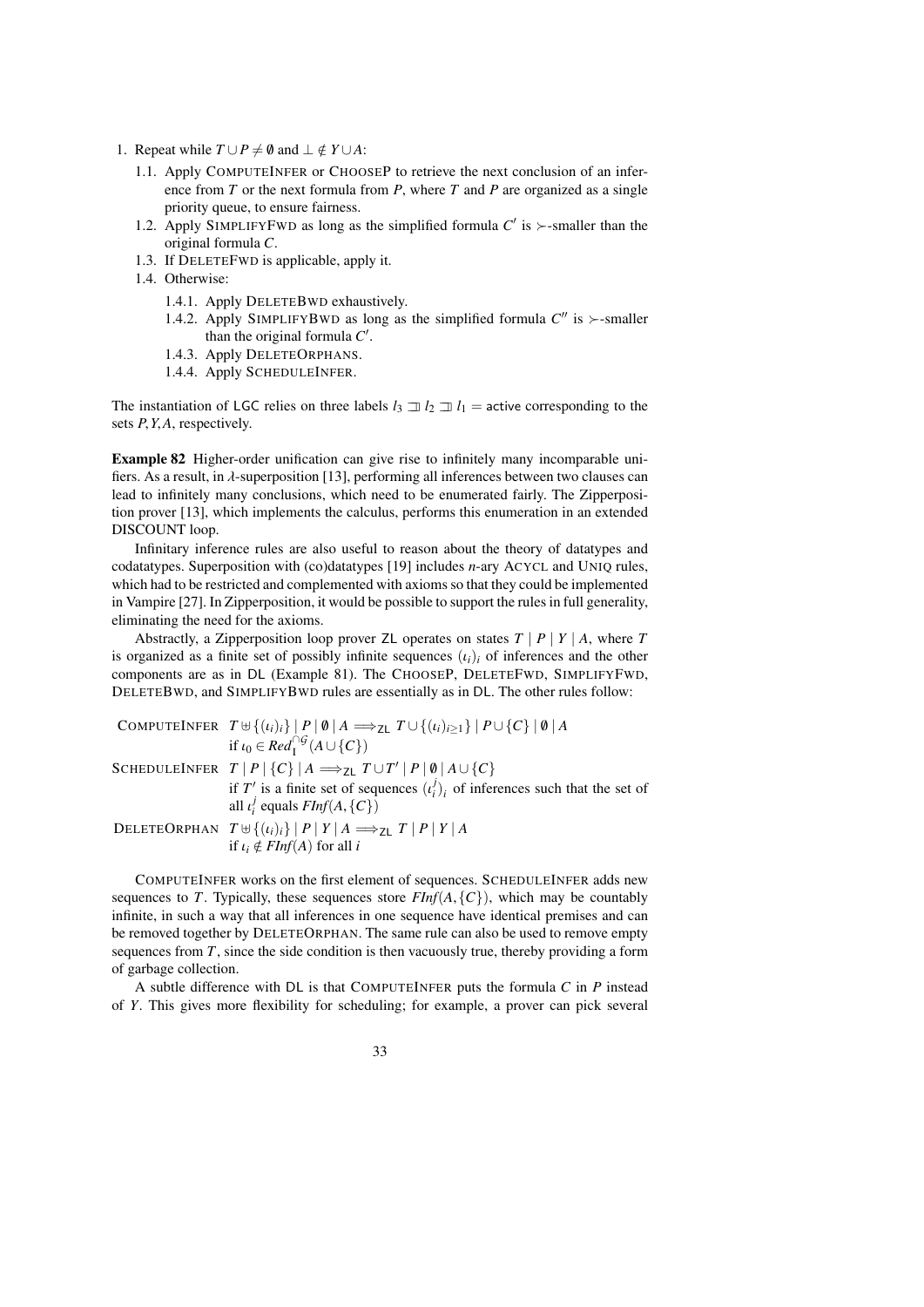- 1. Repeat while  $T \cup P \neq \emptyset$  and  $\bot \notin Y \cup A$ :
	- 1.1. Apply COMPUTEINFER or CHOOSEP to retrieve the next conclusion of an inference from *T* or the next formula from *P*, where *T* and *P* are organized as a single priority queue, to ensure fairness.
	- 1.2. Apply SIMPLIFYFWD as long as the simplified formula  $C'$  is  $\succ$ -smaller than the original formula *C*.
	- 1.3. If DELETEFWD is applicable, apply it.
	- 1.4. Otherwise:
		- 1.4.1. Apply DELETEBWD exhaustively.
		- 1.4.2. Apply SIMPLIFYBWD as long as the simplified formula  $C''$  is  $\succ$ -smaller than the original formula  $C'$ .
		- 1.4.3. Apply DELETEORPHANS.
		- 1.4.4. Apply SCHEDULEINFER.

The instantiation of LGC relies on three labels  $l_3 \rightrightarrows l_2 \rightrightarrows l_1$  = active corresponding to the sets *<sup>P</sup>*,*Y*,*A*, respectively.

<span id="page-32-0"></span>Example 82 Higher-order unification can give rise to infinitely many incomparable unifiers. As a result, in  $\lambda$ -superposition [\[13\]](#page-38-4), performing all inferences between two clauses can lead to infinitely many conclusions, which need to be enumerated fairly. The Zipperposition prover [\[13\]](#page-38-4), which implements the calculus, performs this enumeration in an extended DISCOUNT loop.

Infinitary inference rules are also useful to reason about the theory of datatypes and codatatypes. Superposition with (co)datatypes [\[19\]](#page-38-19) includes *n*-ary ACYCL and UNIQ rules, which had to be restricted and complemented with axioms so that they could be implemented in Vampire [\[27\]](#page-39-15). In Zipperposition, it would be possible to support the rules in full generality, eliminating the need for the axioms.

Abstractly, a Zipperposition loop prover ZL operates on states  $T \mid P \mid Y \mid A$ , where  $T$ is organized as a finite set of possibly infinite sequences  $(i<sub>i</sub>)<sub>i</sub>$  of inferences and the other components are as in DL (Example [81\)](#page-31-1). The CHOOSEP, DELETEFWD, SIMPLIFYFWD, DELETEBWD, and SIMPLIFYBWD rules are essentially as in DL. The other rules follow:

| COMPUTEINFER $T \cup \{(i_i)_i\}   P   \emptyset   A \implies_{Z } T \cup \{(i_i)_{i\geq 1}\}   P \cup \{C\}   \emptyset   A$ |
|-------------------------------------------------------------------------------------------------------------------------------|
| if $\iota_0 \in \text{Red}_{\mathsf{I}}^{\cap \mathcal{G}}(\mathsf{A} \cup \{\mathcal{C}\})$                                  |
| SCHEDULEINFER $T   P   {C}   A \implies_{ZL} T \cup T'   P   \emptyset   A \cup {C}$                                          |
| if T' is a finite set of sequences $(\iota_i^j)_i$ of inferences such that the set of                                         |
| all $\iota_i^j$ equals $FInf(A, \{C\})$                                                                                       |
| DELETEORPHAN $T \uplus \{(t_i)_i\}   P   Y   A \Longrightarrow_{Z} T   P   Y   A$                                             |
| if $\iota_i \notin \text{FInf}(A)$ for all i                                                                                  |

COMPUTEINFER works on the first element of sequences. SCHEDULEINFER adds new sequences to *T*. Typically, these sequences store  $FInf(A, \{C\})$ , which may be countably infinite, in such a way that all inferences in one sequence have identical premises and can be removed together by DELETEORPHAN. The same rule can also be used to remove empty sequences from *T*, since the side condition is then vacuously true, thereby providing a form of garbage collection.

A subtle difference with DL is that COMPUTEINFER puts the formula *C* in *P* instead of *Y*. This gives more flexibility for scheduling; for example, a prover can pick several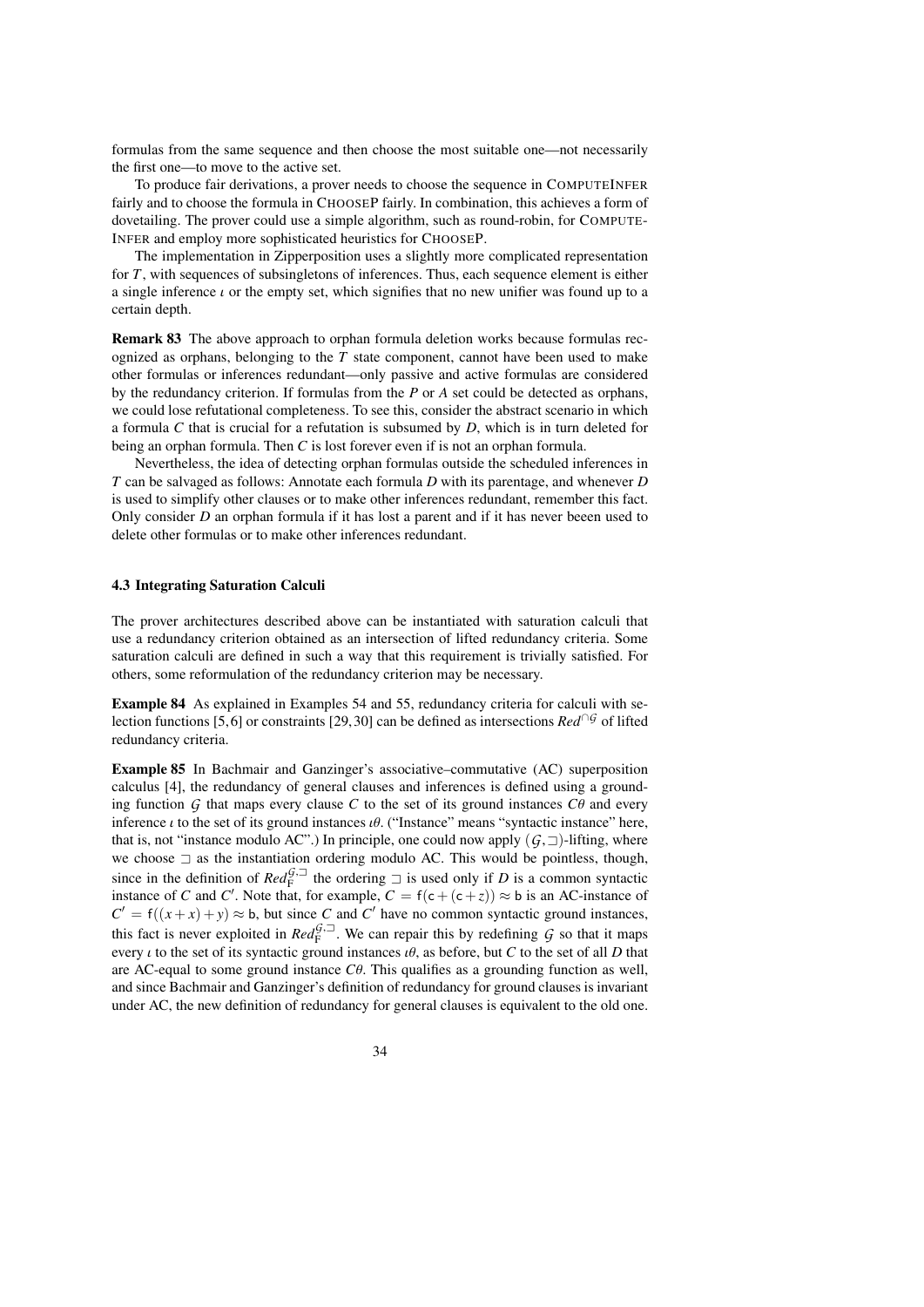formulas from the same sequence and then choose the most suitable one—not necessarily the first one—to move to the active set.

To produce fair derivations, a prover needs to choose the sequence in COMPUTEINFER fairly and to choose the formula in CHOOSEP fairly. In combination, this achieves a form of dovetailing. The prover could use a simple algorithm, such as round-robin, for COMPUTE-INFER and employ more sophisticated heuristics for CHOOSEP.

The implementation in Zipperposition uses a slightly more complicated representation for *T*, with sequences of subsingletons of inferences. Thus, each sequence element is either a single inference  $\iota$  or the empty set, which signifies that no new unifier was found up to a certain depth.

Remark 83 The above approach to orphan formula deletion works because formulas recognized as orphans, belonging to the  $T$  state component, cannot have been used to make other formulas or inferences redundant—only passive and active formulas are considered by the redundancy criterion. If formulas from the *P* or *A* set could be detected as orphans, we could lose refutational completeness. To see this, consider the abstract scenario in which a formula *C* that is crucial for a refutation is subsumed by *D*, which is in turn deleted for being an orphan formula. Then *C* is lost forever even if is not an orphan formula.

Nevertheless, the idea of detecting orphan formulas outside the scheduled inferences in *T* can be salvaged as follows: Annotate each formula *D* with its parentage, and whenever *D* is used to simplify other clauses or to make other inferences redundant, remember this fact. Only consider *D* an orphan formula if it has lost a parent and if it has never beeen used to delete other formulas or to make other inferences redundant.

### 4.3 Integrating Saturation Calculi

The prover architectures described above can be instantiated with saturation calculi that use a redundancy criterion obtained as an intersection of lifted redundancy criteria. Some saturation calculi are defined in such a way that this requirement is trivially satisfied. For others, some reformulation of the redundancy criterion may be necessary.

Example 84 As explained in Examples [54](#page-20-2) and [55,](#page-21-0) redundancy criteria for calculi with se-lection functions [\[5,](#page-38-6)6] or constraints [\[29,](#page-39-2) [30\]](#page-39-10) can be defined as intersections  $Red^{\cap G}$  of lifted redundancy criteria.

Example 85 In Bachmair and Ganzinger's associative–commutative (AC) superposition calculus [\[4\]](#page-38-20), the redundancy of general clauses and inferences is defined using a grounding function  $G$  that maps every clause  $C$  to the set of its ground instances  $C\theta$  and every inference  $\iota$  to the set of its ground instances  $\iota\theta$ . ("Instance" means "syntactic instance" here, that is, not "instance modulo AC".) In principle, one could now apply  $(G, \Box)$ -lifting, where we choose  $\exists$  as the instantiation ordering modulo AC. This would be pointless, though, since in the definition of  $\text{Red}_{F}^{\tilde{G},\square}$  the ordering  $\square$  is used only if D is a common syntactic instance of C and C'. Note that, for example,  $C = f(c + (c + z)) \approx b$  is an AC-instance of  $C' = f((x + x) + y) \approx b$ , but since *C* and *C*<sup>'</sup> have no common syntactic ground instances, this fact is never exploited in  $Red_F^{G, \square}$ . We can repair this by redefining *G* so that it maps every *i* to the set of its syntactic ground instances  $\hat{u}\theta$ , as before, but *C* to the set of all *D* that are AC-equal to some ground instance *<sup>C</sup>*θ. This qualifies as a grounding function as well, and since Bachmair and Ganzinger's definition of redundancy for ground clauses is invariant under AC, the new definition of redundancy for general clauses is equivalent to the old one.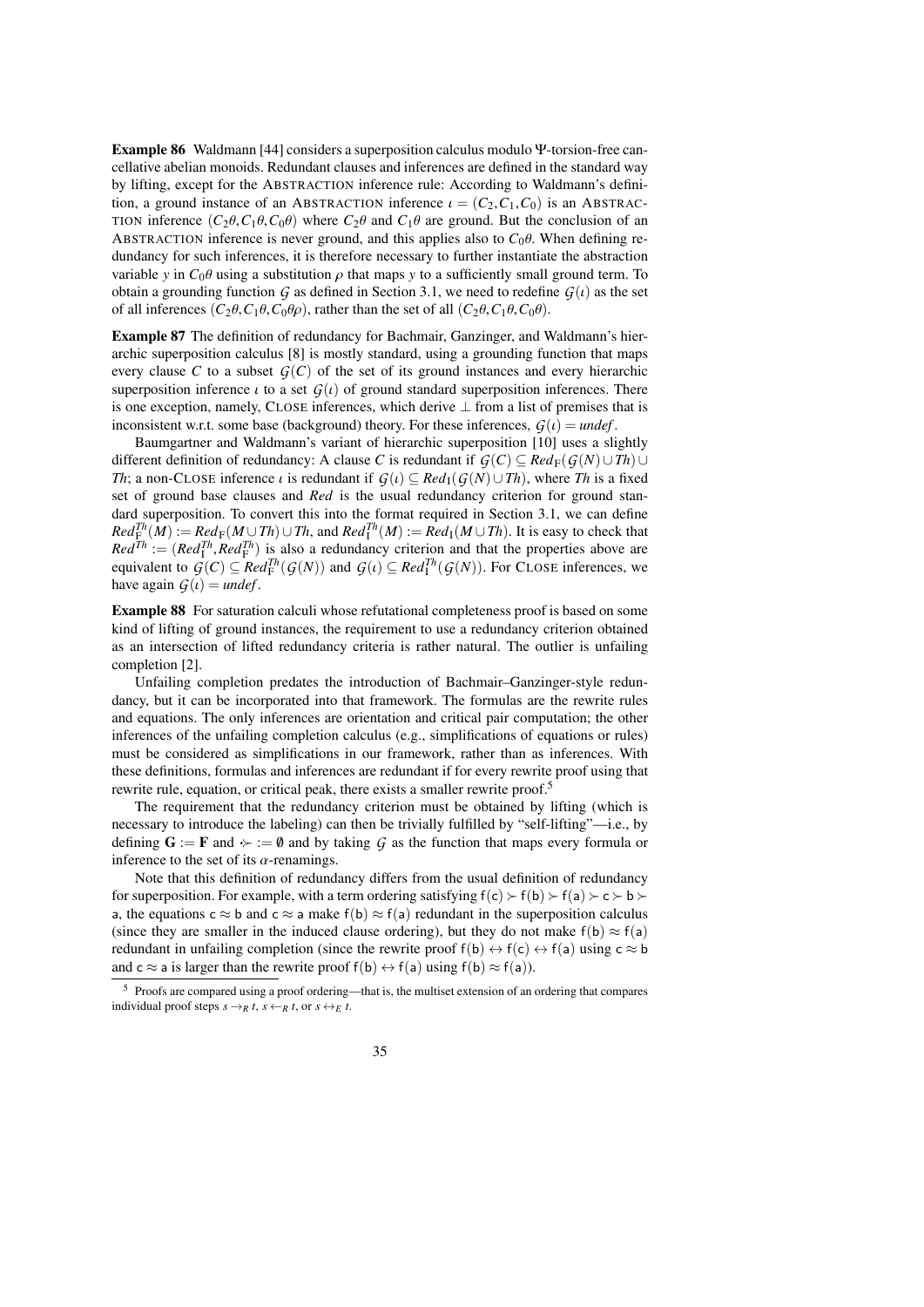Example 86 Waldmann [\[44\]](#page-39-3) considers a superposition calculus modulo Ψ-torsion-free cancellative abelian monoids. Redundant clauses and inferences are defined in the standard way by lifting, except for the ABSTRACTION inference rule: According to Waldmann's definition, a ground instance of an ABSTRACTION inference  $\iota = (C_2, C_1, C_0)$  is an ABSTRAC-TION inference  $(C_2\theta, C_1\theta, C_0\theta)$  where  $C_2\theta$  and  $C_1\theta$  are ground. But the conclusion of an ABSTRACTION inference is never ground, and this applies also to  $C_0\theta$ . When defining redundancy for such inferences, it is therefore necessary to further instantiate the abstraction variable *y* in  $C_0\theta$  using a substitution  $\rho$  that maps *y* to a sufficiently small ground term. To obtain a grounding function *G* as defined in Section [3.1,](#page-13-0) we need to redefine  $G(t)$  as the set of all inferences  $(C_2\theta, C_1\theta, C_0\theta\rho)$ , rather than the set of all  $(C_2\theta, C_1\theta, C_0\theta)$ .

Example 87 The definition of redundancy for Bachmair, Ganzinger, and Waldmann's hierarchic superposition calculus [\[8\]](#page-38-7) is mostly standard, using a grounding function that maps every clause *C* to a subset  $G(C)$  of the set of its ground instances and every hierarchic superposition inference  $\iota$  to a set  $G(\iota)$  of ground standard superposition inferences. There is one exception, namely, CLOSE inferences, which derive  $\perp$  from a list of premises that is inconsistent w.r.t. some base (background) theory. For these inferences,  $G(t) =$  *undef*.

Baumgartner and Waldmann's variant of hierarchic superposition [\[10\]](#page-38-14) uses a slightly different definition of redundancy: A clause *C* is redundant if  $G(C) \subseteq Red_F(G(N) \cup Th) \cup$ *Th*; a non-CLOSE inference  $\iota$  is redundant if  $G(\iota) \subseteq Red_1(G(N) \cup Th)$ , where *Th* is a fixed set of ground base clauses and *Red* is the usual redundancy criterion for ground standard superposition. To convert this into the format required in Section [3.1,](#page-13-0) we can define  $Red^{Th}_{\mathcal{F}}(M) := Red_{\mathcal{F}}(M \cup Th) \cup Th$ , and  $Red^{Th}_{\mathcal{I}}(M) := Red_{\mathcal{I}}(M \cup Th)$ . It is easy to check that  $Red^{Th} := (Red^{Th}_1, Red^{Th}_1)$  is also a redundancy criterion and that the properties above are<br>equivalent to  $G(C) \subseteq Red^{Th}(G(N))$  and  $G() \subseteq Red^{Th}(G(N))$ . For  $CLOSE$  inferences we equivalent to  $\mathcal{G}(C) \subseteq \mathbb{R}ed_F^{Th}(\mathcal{G}(N))$  and  $\mathcal{G}(\iota) \subseteq \mathbb{R}ed_I^{Th}(\mathcal{G}(N))$ . For CLOSE inferences, we have again  $\mathcal{G}(\iota) = \iota \iota \iota \iota \iota \iota$ have again  $G(t) =$  *undef*.

Example 88 For saturation calculi whose refutational completeness proof is based on some kind of lifting of ground instances, the requirement to use a redundancy criterion obtained as an intersection of lifted redundancy criteria is rather natural. The outlier is unfailing completion [\[2\]](#page-38-5).

Unfailing completion predates the introduction of Bachmair–Ganzinger-style redundancy, but it can be incorporated into that framework. The formulas are the rewrite rules and equations. The only inferences are orientation and critical pair computation; the other inferences of the unfailing completion calculus (e.g., simplifications of equations or rules) must be considered as simplifications in our framework, rather than as inferences. With these definitions, formulas and inferences are redundant if for every rewrite proof using that rewrite rule, equation, or critical peak, there exists a smaller rewrite proof.<sup>[5](#page-34-0)</sup>

The requirement that the redundancy criterion must be obtained by lifting (which is necessary to introduce the labeling) can then be trivially fulfilled by "self-lifting"—i.e., by defining  $G := F$  and  $\rightarrow := \emptyset$  and by taking  $G$  as the function that maps every formula or inference to the set of its  $\alpha$ -renamings.

Note that this definition of redundancy differs from the usual definition of redundancy for superposition. For example, with a term ordering satisfying  $f(c) \succ f(b) \succ f(a) \succ c \succ b$ a, the equations  $c \approx b$  and  $c \approx a$  make  $f(b) \approx f(a)$  redundant in the superposition calculus (since they are smaller in the induced clause ordering), but they do not make  $f(b) \approx f(a)$ redundant in unfailing completion (since the rewrite proof  $f(b) \leftrightarrow f(c) \leftrightarrow f(a)$ ) using  $c \approx b$ and  $c \approx a$  is larger than the rewrite proof  $f(b) \leftrightarrow f(a)$  using  $f(b) \approx f(a)$ ).

<span id="page-34-0"></span><sup>5</sup> Proofs are compared using a proof ordering—that is, the multiset extension of an ordering that compares individual proof steps  $s \rightarrow_R t$ ,  $s \leftarrow_R t$ , or  $s \leftrightarrow_E t$ .

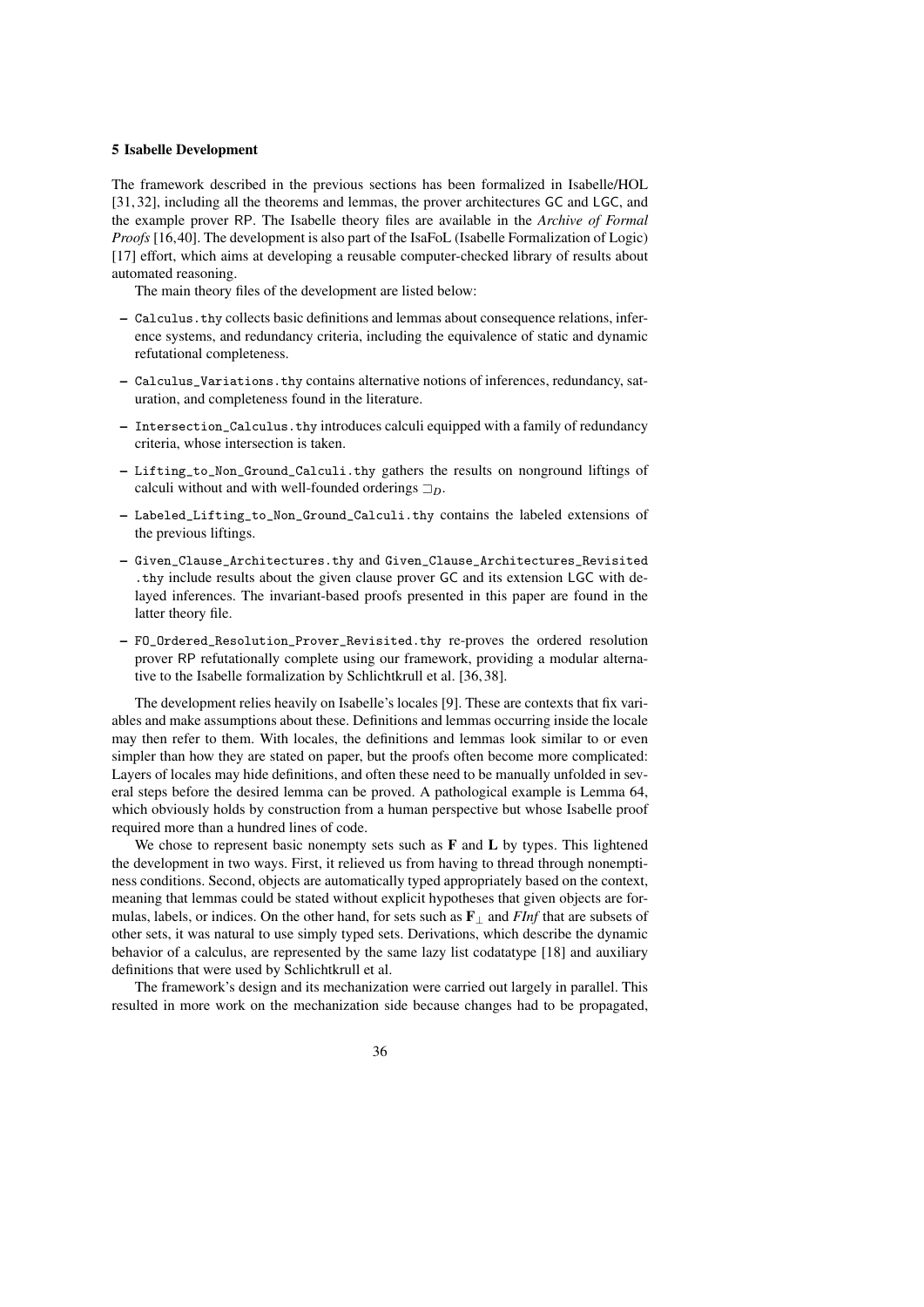### <span id="page-35-0"></span>5 Isabelle Development

The framework described in the previous sections has been formalized in Isabelle/HOL [\[31,](#page-39-16) [32\]](#page-39-7), including all the theorems and lemmas, the prover architectures GC and LGC, and the example prover RP. The Isabelle theory files are available in the *Archive of Formal Proofs* [\[16](#page-38-21)[,40\]](#page-39-17). The development is also part of the IsaFoL (Isabelle Formalization of Logic) [\[17\]](#page-38-22) effort, which aims at developing a reusable computer-checked library of results about automated reasoning.

The main theory files of the development are listed below:

- Calculus.thy collects basic definitions and lemmas about consequence relations, inference systems, and redundancy criteria, including the equivalence of static and dynamic refutational completeness.
- Calculus\_Variations.thy contains alternative notions of inferences, redundancy, saturation, and completeness found in the literature.
- Intersection\_Calculus.thy introduces calculi equipped with a family of redundancy criteria, whose intersection is taken.
- Lifting\_to\_Non\_Ground\_Calculi.thy gathers the results on nonground liftings of calculi without and with well-founded orderings  $\Box_D$ .
- Labeled\_Lifting\_to\_Non\_Ground\_Calculi.thy contains the labeled extensions of the previous liftings.
- Given\_Clause\_Architectures.thy and Given\_Clause\_Architectures\_Revisited .thy include results about the given clause prover GC and its extension LGC with delayed inferences. The invariant-based proofs presented in this paper are found in the latter theory file.
- FO\_Ordered\_Resolution\_Prover\_Revisited.thy re-proves the ordered resolution prover RP refutationally complete using our framework, providing a modular alternative to the Isabelle formalization by Schlichtkrull et al. [\[36,](#page-39-6) [38\]](#page-39-18).

The development relies heavily on Isabelle's locales [\[9\]](#page-38-23). These are contexts that fix variables and make assumptions about these. Definitions and lemmas occurring inside the locale may then refer to them. With locales, the definitions and lemmas look similar to or even simpler than how they are stated on paper, but the proofs often become more complicated: Layers of locales may hide definitions, and often these need to be manually unfolded in several steps before the desired lemma can be proved. A pathological example is Lemma [64,](#page-23-2) which obviously holds by construction from a human perspective but whose Isabelle proof required more than a hundred lines of code.

We chose to represent basic nonempty sets such as  $\bf{F}$  and  $\bf{L}$  by types. This lightened the development in two ways. First, it relieved us from having to thread through nonemptiness conditions. Second, objects are automatically typed appropriately based on the context, meaning that lemmas could be stated without explicit hypotheses that given objects are formulas, labels, or indices. On the other hand, for sets such as F<sup>⊥</sup> and *FInf* that are subsets of other sets, it was natural to use simply typed sets. Derivations, which describe the dynamic behavior of a calculus, are represented by the same lazy list codatatype [\[18\]](#page-38-24) and auxiliary definitions that were used by Schlichtkrull et al.

The framework's design and its mechanization were carried out largely in parallel. This resulted in more work on the mechanization side because changes had to be propagated,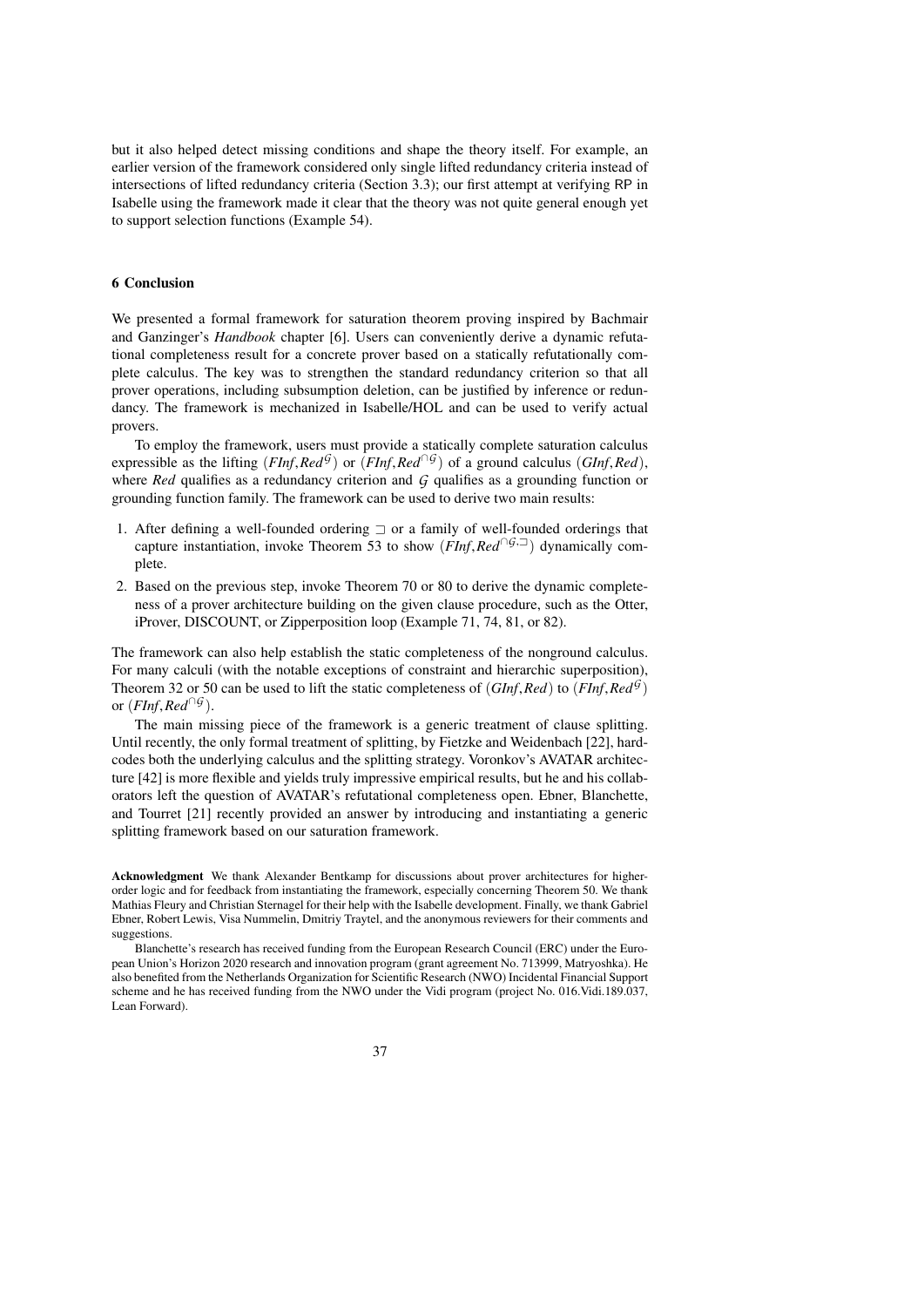but it also helped detect missing conditions and shape the theory itself. For example, an earlier version of the framework considered only single lifted redundancy criteria instead of intersections of lifted redundancy criteria (Section [3.3\)](#page-19-0); our first attempt at verifying RP in Isabelle using the framework made it clear that the theory was not quite general enough yet to support selection functions (Example [54\)](#page-20-2).

### 6 Conclusion

We presented a formal framework for saturation theorem proving inspired by Bachmair and Ganzinger's *Handbook* chapter [\[6\]](#page-38-0). Users can conveniently derive a dynamic refutational completeness result for a concrete prover based on a statically refutationally complete calculus. The key was to strengthen the standard redundancy criterion so that all prover operations, including subsumption deletion, can be justified by inference or redundancy. The framework is mechanized in Isabelle/HOL and can be used to verify actual provers.

To employ the framework, users must provide a statically complete saturation calculus expressible as the lifting (*FInf*,  $Red^{\mathcal{G}}$ ) or (*FInf*,  $Red^{\cap \mathcal{G}}$ ) of a ground calculus (*GInf*,  $Red$ ), where *Red* qualifies as a grounding function of where *Red* qualifies as a redundancy criterion and *G* qualifies as a grounding function or grounding function family. The framework can be used to derive two main results:

- 1. After defining a well-founded ordering  $\exists$  or a family of well-founded orderings that capture instantiation, invoke Theorem [53](#page-20-0) to show (*FInf*,*Red*∩*G*,=) dynamically complete.
- 2. Based on the previous step, invoke Theorem [70](#page-26-1) or [80](#page-31-2) to derive the dynamic completeness of a prover architecture building on the given clause procedure, such as the Otter, iProver, DISCOUNT, or Zipperposition loop (Example [71,](#page-26-2) [74,](#page-28-0) [81,](#page-31-1) or [82\)](#page-32-0).

The framework can also help establish the static completeness of the nonground calculus. For many calculi (with the notable exceptions of constraint and hierarchic superposition), Theorem [32](#page-14-0) or [50](#page-19-3) can be used to lift the static completeness of  $(GInf, Red)$  to  $(FInf, Red^{\mathcal{G}})$ <br>or  $(FInf, Rad^{\mathcal{G}})$ or  $(FInf, Red^{\cap G})$ .<br>The main mi

The main missing piece of the framework is a generic treatment of clause splitting. Until recently, the only formal treatment of splitting, by Fietzke and Weidenbach [\[22\]](#page-38-25), hardcodes both the underlying calculus and the splitting strategy. Voronkov's AVATAR architecture [\[42\]](#page-39-19) is more flexible and yields truly impressive empirical results, but he and his collaborators left the question of AVATAR's refutational completeness open. Ebner, Blanchette, and Tourret [\[21\]](#page-38-11) recently provided an answer by introducing and instantiating a generic splitting framework based on our saturation framework.

Acknowledgment We thank Alexander Bentkamp for discussions about prover architectures for higherorder logic and for feedback from instantiating the framework, especially concerning Theorem [50.](#page-19-3) We thank Mathias Fleury and Christian Sternagel for their help with the Isabelle development. Finally, we thank Gabriel Ebner, Robert Lewis, Visa Nummelin, Dmitriy Traytel, and the anonymous reviewers for their comments and suggestions.

Blanchette's research has received funding from the European Research Council (ERC) under the European Union's Horizon 2020 research and innovation program (grant agreement No. 713999, Matryoshka). He also benefited from the Netherlands Organization for Scientific Research (NWO) Incidental Financial Support scheme and he has received funding from the NWO under the Vidi program (project No. 016.Vidi.189.037, Lean Forward).

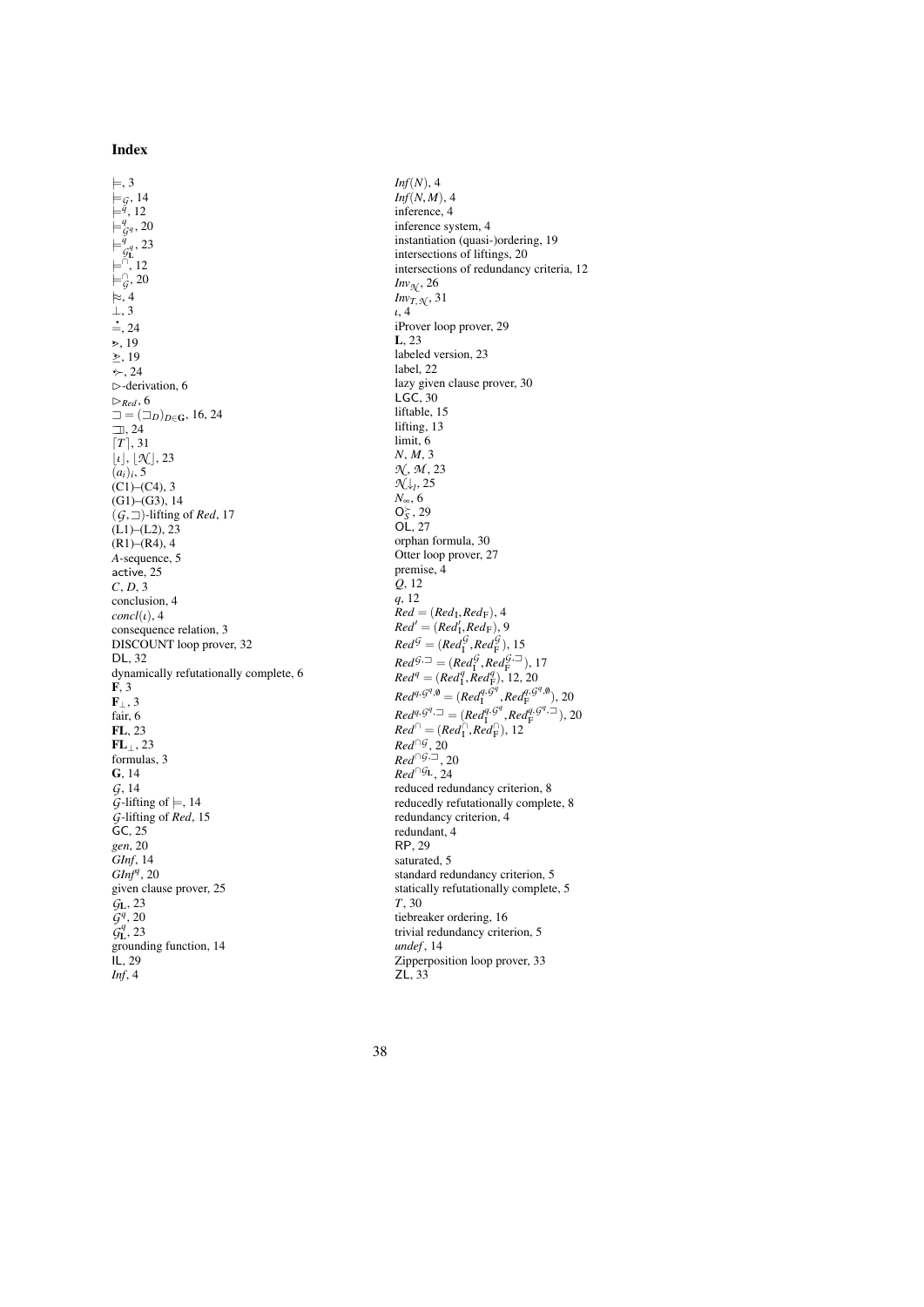### Index

 $\models$ , [3](#page-2-1)  $\models$ *G*, [14](#page-13-1)<br> $\models$ <sup>*q*</sup>, [12](#page-11-1)  $\models^q_{\mathcal{G}^q}$ , [20](#page-19-0)  $\models \frac{\check{q}}{\mathcal{G}_{\mathbf{L}}}^q$ , [23](#page-22-2)  $\models$ <sup>∩</sup>, [12](#page-11-1) |=<sup>∩</sup> *G* , [20](#page-19-0)  $\vDash$ , [4](#page-2-2) ⊥, [3](#page-2-1)  $\frac{1}{2}$ , [24](#page-23-4) ·>, [19](#page-18-3)  $\geq$ , [19](#page-18-3)  $\div$ , [24](#page-23-4)  $\triangleright$ -derivation, [6](#page-4-0)  $\triangleright_{Red}$ , [6](#page-4-0)  $\Box = (\Box_D)_{D \in \mathbf{G}}, 16, 24$  $\Box = (\Box_D)_{D \in \mathbf{G}}, 16, 24$  $\Box = (\Box_D)_{D \in \mathbf{G}}, 16, 24$  $\Box$ , [24](#page-23-4)  $[T]$ , [31](#page-30-0)  $\lbrack t \rbrack, \lbrack \mathcal{K} \rbrack, 23$  $\lbrack t \rbrack, \lbrack \mathcal{K} \rbrack, 23$ <br> $(a_i)_i, 5$  $(a_i)_i, 5$  $(C1)$ – $(C4)$ , [3](#page-2-3)  $(G1)$ – $(G3)$ , [14](#page-13-2)  $(G, \Box)$ -lifting of *Red*, [17](#page-15-0)  $(L1)$ – $(L2)$ , [23](#page-22-3)  $(R1)$ – $(R4)$ , [4](#page-3-1) *A*-sequence, [5](#page-4-0) active, [25](#page-24-2) *C*, *D*, [3](#page-2-4) conclusion, [4](#page-2-2)  $concl(\iota)$ , [4](#page-2-2) consequence relation, [3](#page-2-1) DISCOUNT loop prover, [32](#page-31-1) DL, [32](#page-31-1) dynamically refutationally complete, [6](#page-4-0) F, [3](#page-2-1)  $\mathbf{F}_{\perp}$ , [3](#page-2-1) fair, [6](#page-4-0) FL, [23](#page-21-1)  $FL_{\perp}$ , [23](#page-21-1) formulas, [3](#page-2-1) G, [14](#page-13-0) *G*, [14](#page-13-0)  $\tilde{\textit{G}}$ -lifting of  $\models$ , [14](#page-13-1) *G*-lifting of *Red*, [15](#page-13-3) GC, [25](#page-24-2) *gen*, [20](#page-19-1) *GInf*, [14](#page-13-0) *GInf<sup>q</sup>* , [20](#page-19-0) given clause prover, [25](#page-24-2) *G*L, [23](#page-22-4)  $\tilde{G}^q$ , [20](#page-19-0)  $\tilde{g}_{\mathbf{L}}^{q}$ , [23](#page-22-2) grounding function, [14](#page-13-0)  $IL, 29$  $IL, 29$ *Inf*, [4](#page-2-2)

*Inf*(*N*), [4](#page-2-2)  $Inf(N, M)$ , [4](#page-2-2) inference, [4](#page-2-2) inference system, [4](#page-2-2) instantiation (quasi-)ordering, [19](#page-18-3) intersections of liftings, [20](#page-19-0) intersections of redundancy criteria, [12](#page-11-1)  $Inv_{\mathcal{N}}$ , [26](#page-25-2) *Inv*<sub>*T*</sub>, $\chi$ </sub>, [31](#page-30-0) ι, [4](#page-2-2) iProver loop prover, [29](#page-28-0) L, [23](#page-21-1) labeled version, [23](#page-21-1) label, [22](#page-21-1) lazy given clause prover, [30](#page-29-0)  $LGC, 30$  $LGC, 30$ liftable, [15](#page-14-2) lifting, [13](#page-12-0) limit, [6](#page-4-0) *N*, *M*, [3](#page-2-1) *N* , *M* , [23](#page-21-1) *N*<sup>↓</sup>*l*</sub>, [25](#page-24-2) *N*∞, [6](#page-4-0)<br>**O***s*<sup>*'*</sup>, [29](#page-28-1) OL, [27](#page-26-2) orphan formula, [30](#page-29-0) Otter loop prover, [27](#page-26-2) premise, [4](#page-2-2) *Q*, [12](#page-11-1) *q*, [12](#page-11-1)  $Red = (Red<sub>I</sub>, Red<sub>F</sub>), 4$  $Red = (Red<sub>I</sub>, Red<sub>F</sub>), 4$ <br>  $Red' = (Red'_c, Red_{F})$  $Red' = (Red'_1, Red_F), 9$  $Red' = (Red'_1, Red_F), 9$ <br>*R*<sub>d</sub> $G$  (*R*<sub>d</sub> $G$ <sup>*R*</sup><sub>d</sub> $G$ )</sub>  $Red^{\mathcal{G}} = (Red^{\mathcal{G}}_1, Red^{\mathcal{G}}_F), 15$  $Red^{\mathcal{G}} = (Red^{\mathcal{G}}_1, Red^{\mathcal{G}}_F), 15$ <br>  $R^{-1}$ <sup>(*G*</sup>) = (*R*<sub>i</sub><sup>*G*</sup>) = *A*<sup>*G*</sup>) = *A*<sup>*G*</sup>) = *A*<sup>*G*</sup>) = *A*<sup>*G*</sup>) = *A*<sup>*G*</sup>) = *A*<sup>*G*</sup>  $Red^{G, \square} = (Red_{\mathrm{I}}^G, Red_{\mathrm{F}}^{G, \square}), 17$  $Red^{G, \square} = (Red_{\mathrm{I}}^G, Red_{\mathrm{F}}^{G, \square}), 17$  $Red^{G, \square} = (Red^{G}_{I}, Red^{G, \square}_{F}),$ <br>  $Red^{q} = (Red^{q}_{I}, Red^{q}_{F}), 12, 20$  $Red^{q} = (Red^{q}_{I}, Red^{q}_{F}), 12, 20$  $Red^{q} = (Red^{q}_{I}, Red^{q}_{F}), 12, 20$ <br>  $R = \frac{q_{I}G^{q}}{r}$  $Red^{q, G^q, \emptyset} = (Red^{q, \hat{G}^q}_I)$  $\frac{q, \dot{G}^q}{I}$ ,  $Red_F^{q, G^q, \emptyset}$ , [20](#page-19-0)<br> $\frac{q, G^q}{I}$ ,  $\frac{q, G^q, \square}{I}$ , 20  $Red^{q, G^q, \square} = (Red^{q, G^q}_{\mathbb{I}})$  $Red^{q, G^q, \square} = (Red_1^{q, G^q}, Red_F^{q, G^q, \square}), 20$  $Red^{q, G^q, \square} = (Red_1^{q, G^q}, Red_F^{q, G^q, \square}), 20$ <br>  $Red^{\cap} = (Red_1^{\cap}, Red_F^{\cap}), 12$  $Red^{\cap} = (Red_1^{\cap}, Red_F^{\cap}), 12$ <br>  $Red^{\cap}$ <br>  $Red^{\cap}$  $Red^{\cap G}$ , [20](#page-19-0)<br> *Red*<sup>∩G,⊐</sup>, 20  $Red^{\cap}G_L$ , [24](#page-22-2) reduced redundancy criterion, [8](#page-7-2) reducedly refutationally complete, [8](#page-7-2) redundancy criterion, [4](#page-2-2) redundant, [4](#page-3-2) RP, [29](#page-28-1) saturated, [5](#page-4-0) standard redundancy criterion, [5](#page-4-2) statically refutationally complete, [5](#page-4-0) *T*, [30](#page-29-0) tiebreaker ordering, [16](#page-15-0) trivial redundancy criterion, [5](#page-4-1) *undef* , [14](#page-13-0) Zipperposition loop prover, [33](#page-32-0)  $Z\hat{L}$ , [33](#page-32-0)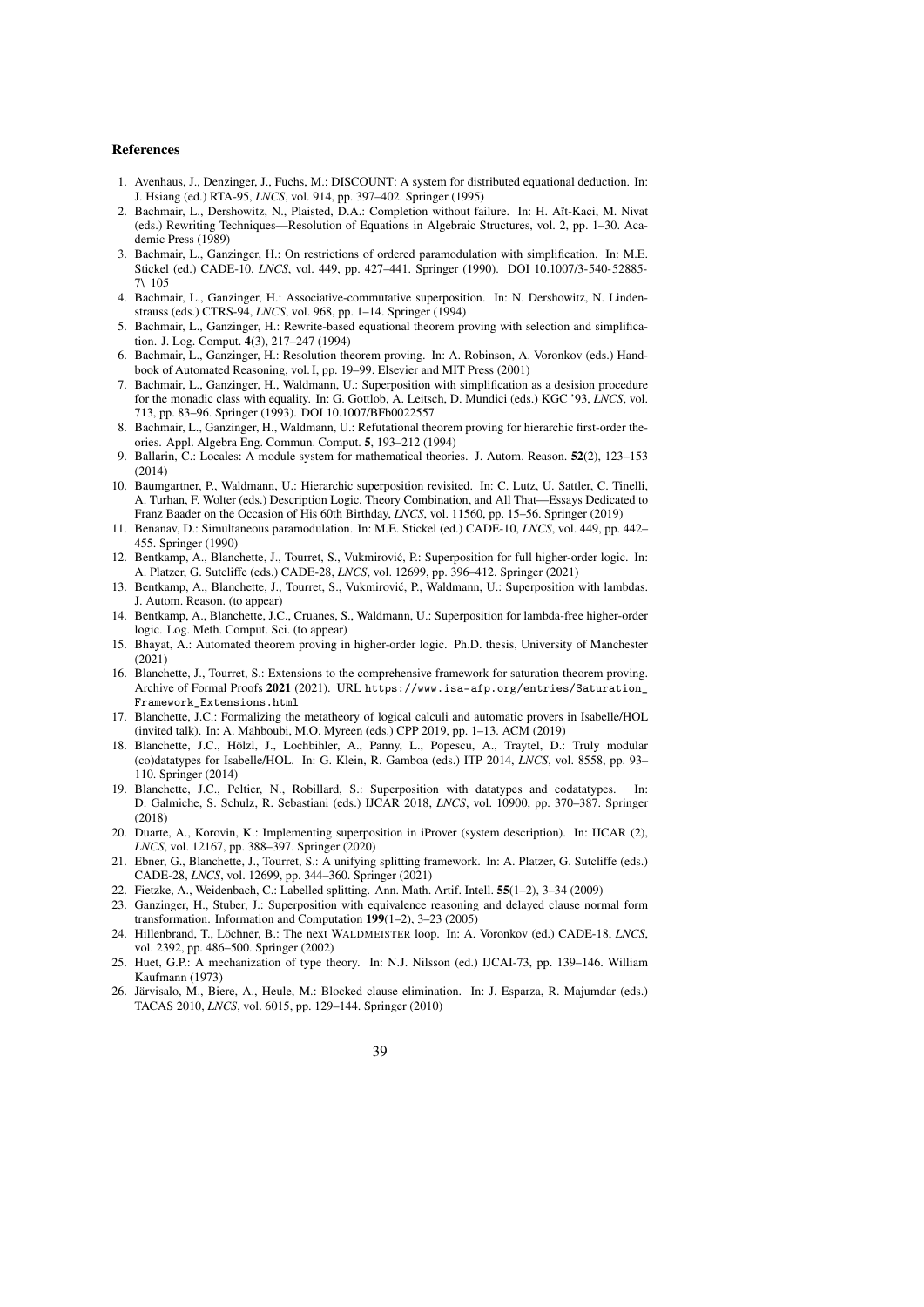### References

- <span id="page-38-2"></span>1. Avenhaus, J., Denzinger, J., Fuchs, M.: DISCOUNT: A system for distributed equational deduction. In: J. Hsiang (ed.) RTA-95, *LNCS*, vol. 914, pp. 397–402. Springer (1995)
- <span id="page-38-5"></span>2. Bachmair, L., Dershowitz, N., Plaisted, D.A.: Completion without failure. In: H. Aït-Kaci, M. Nivat (eds.) Rewriting Techniques—Resolution of Equations in Algebraic Structures, vol. 2, pp. 1–30. Academic Press (1989)
- <span id="page-38-1"></span>3. Bachmair, L., Ganzinger, H.: On restrictions of ordered paramodulation with simplification. In: M.E. Stickel (ed.) CADE-10, *LNCS*, vol. 449, pp. 427–441. Springer (1990). DOI 10.1007/3-540-52885- 7\\_105
- <span id="page-38-20"></span>4. Bachmair, L., Ganzinger, H.: Associative-commutative superposition. In: N. Dershowitz, N. Lindenstrauss (eds.) CTRS-94, *LNCS*, vol. 968, pp. 1–14. Springer (1994)
- <span id="page-38-6"></span>5. Bachmair, L., Ganzinger, H.: Rewrite-based equational theorem proving with selection and simplification. J. Log. Comput. 4(3), 217–247 (1994)
- <span id="page-38-0"></span>6. Bachmair, L., Ganzinger, H.: Resolution theorem proving. In: A. Robinson, A. Voronkov (eds.) Handbook of Automated Reasoning, vol. I, pp. 19–99. Elsevier and MIT Press (2001)
- <span id="page-38-16"></span>7. Bachmair, L., Ganzinger, H., Waldmann, U.: Superposition with simplification as a desision procedure for the monadic class with equality. In: G. Gottlob, A. Leitsch, D. Mundici (eds.) KGC '93, *LNCS*, vol. 713, pp. 83–96. Springer (1993). DOI 10.1007/BFb0022557
- <span id="page-38-7"></span>8. Bachmair, L., Ganzinger, H., Waldmann, U.: Refutational theorem proving for hierarchic first-order theories. Appl. Algebra Eng. Commun. Comput. 5, 193–212 (1994)
- <span id="page-38-23"></span>9. Ballarin, C.: Locales: A module system for mathematical theories. J. Autom. Reason. 52(2), 123–153 (2014)
- <span id="page-38-14"></span>10. Baumgartner, P., Waldmann, U.: Hierarchic superposition revisited. In: C. Lutz, U. Sattler, C. Tinelli, A. Turhan, F. Wolter (eds.) Description Logic, Theory Combination, and All That—Essays Dedicated to Franz Baader on the Occasion of His 60th Birthday, *LNCS*, vol. 11560, pp. 15–56. Springer (2019)
- <span id="page-38-12"></span>11. Benanav, D.: Simultaneous paramodulation. In: M.E. Stickel (ed.) CADE-10, *LNCS*, vol. 449, pp. 442– 455. Springer (1990)
- <span id="page-38-10"></span>12. Bentkamp, A., Blanchette, J., Tourret, S., Vukmirovic, P.: Superposition for full higher-order logic. In: ´ A. Platzer, G. Sutcliffe (eds.) CADE-28, *LNCS*, vol. 12699, pp. 396–412. Springer (2021)
- <span id="page-38-4"></span>13. Bentkamp, A., Blanchette, J., Tourret, S., Vukmirovic, P., Waldmann, U.: Superposition with lambdas. ´ J. Autom. Reason. (to appear)
- <span id="page-38-9"></span>14. Bentkamp, A., Blanchette, J.C., Cruanes, S., Waldmann, U.: Superposition for lambda-free higher-order logic. Log. Meth. Comput. Sci. (to appear)
- <span id="page-38-8"></span>15. Bhayat, A.: Automated theorem proving in higher-order logic. Ph.D. thesis, University of Manchester  $(2021)$
- <span id="page-38-21"></span>16. Blanchette, J., Tourret, S.: Extensions to the comprehensive framework for saturation theorem proving. Archive of Formal Proofs 2021 (2021). URL [https://www.isa-afp.org/entries/Saturation\\_](https://www.isa-afp.org/entries/Saturation_Framework_Extensions.html) [Framework\\_Extensions.html](https://www.isa-afp.org/entries/Saturation_Framework_Extensions.html)
- <span id="page-38-22"></span>17. Blanchette, J.C.: Formalizing the metatheory of logical calculi and automatic provers in Isabelle/HOL (invited talk). In: A. Mahboubi, M.O. Myreen (eds.) CPP 2019, pp. 1–13. ACM (2019)
- <span id="page-38-24"></span>18. Blanchette, J.C., Hölzl, J., Lochbihler, A., Panny, L., Popescu, A., Traytel, D.: Truly modular (co)datatypes for Isabelle/HOL. In: G. Klein, R. Gamboa (eds.) ITP 2014, *LNCS*, vol. 8558, pp. 93– 110. Springer (2014)
- <span id="page-38-19"></span>19. Blanchette, J.C., Peltier, N., Robillard, S.: Superposition with datatypes and codatatypes. In: D. Galmiche, S. Schulz, R. Sebastiani (eds.) IJCAR 2018, *LNCS*, vol. 10900, pp. 370–387. Springer (2018)
- <span id="page-38-18"></span>20. Duarte, A., Korovin, K.: Implementing superposition in iProver (system description). In: IJCAR (2), *LNCS*, vol. 12167, pp. 388–397. Springer (2020)
- <span id="page-38-11"></span>21. Ebner, G., Blanchette, J., Tourret, S.: A unifying splitting framework. In: A. Platzer, G. Sutcliffe (eds.) CADE-28, *LNCS*, vol. 12699, pp. 344–360. Springer (2021)
- <span id="page-38-25"></span>22. Fietzke, A., Weidenbach, C.: Labelled splitting. Ann. Math. Artif. Intell. 55(1–2), 3–34 (2009)
- <span id="page-38-17"></span>23. Ganzinger, H., Stuber, J.: Superposition with equivalence reasoning and delayed clause normal form transformation. Information and Computation  $199(1-2)$ , 3-23 (2005)
- <span id="page-38-3"></span>24. Hillenbrand, T., Löchner, B.: The next WALDMEISTER loop. In: A. Voronkov (ed.) CADE-18, *LNCS*, vol. 2392, pp. 486–500. Springer (2002)
- <span id="page-38-15"></span>25. Huet, G.P.: A mechanization of type theory. In: N.J. Nilsson (ed.) IJCAI-73, pp. 139–146. William Kaufmann (1973)
- <span id="page-38-13"></span>26. Järvisalo, M., Biere, A., Heule, M.: Blocked clause elimination. In: J. Esparza, R. Majumdar (eds.) TACAS 2010, *LNCS*, vol. 6015, pp. 129–144. Springer (2010)